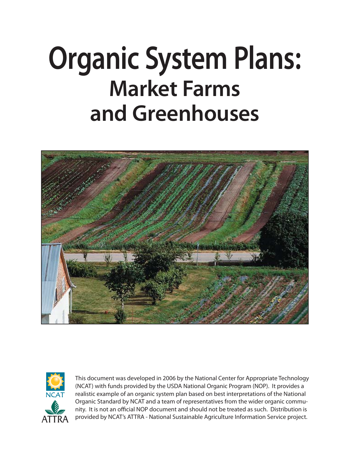# **Organic System Plans: Market Farms and Greenhouses**





This document was developed in 2006 by the National Center for Appropriate Technology (NCAT) with funds provided by the USDA National Organic Program (NOP). It provides a realistic example of an organic system plan based on best interpretations of the National Organic Standard by NCAT and a team of representatives from the wider organic community. It is not an official NOP document and should not be treated as such. Distribution is  $ATTRA$  provided by NCAT's ATTRA - National Sustainable Agriculture Information Service project.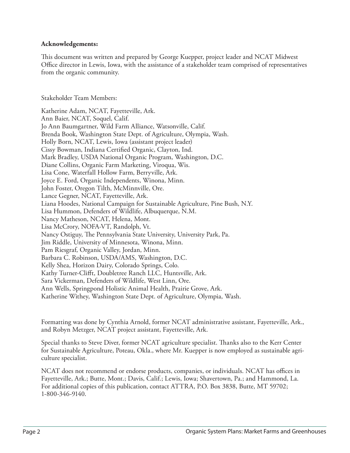#### **Acknowledgements:**

This document was written and prepared by George Kuepper, project leader and NCAT Midwest Office director in Lewis, Iowa, with the assistance of a stakeholder team comprised of representatives from the organic community.

Stakeholder Team Members:

Katherine Adam, NCAT, Fayetteville, Ark. Ann Baier, NCAT, Soquel, Calif. Jo Ann Baumgartner, Wild Farm Alliance, Watsonville, Calif. Brenda Book, Washington State Dept. of Agriculture, Olympia, Wash. Holly Born, NCAT, Lewis, Iowa (assistant project leader) Cissy Bowman, Indiana Certified Organic, Clayton, Ind. Mark Bradley, USDA National Organic Program, Washington, D.C. Diane Collins, Organic Farm Marketing, Viroqua, Wis. Lisa Cone, Waterfall Hollow Farm, Berryville, Ark. Joyce E. Ford, Organic Independents, Winona, Minn. John Foster, Oregon Tilth, McMinnville, Ore. Lance Gegner, NCAT, Fayetteville, Ark. Liana Hoodes, National Campaign for Sustainable Agriculture, Pine Bush, N.Y. Lisa Hummon, Defenders of Wildlife, Albuquerque, N.M. Nancy Matheson, NCAT, Helena, Mont. Lisa McCrory, NOFA-VT, Randolph, Vt. Nancy Ostiguy, The Pennsylvania State University, University Park, Pa. Jim Riddle, University of Minnesota, Winona, Minn. Pam Riesgraf, Organic Valley, Jordan, Minn. Barbara C. Robinson, USDA/AMS, Washington, D.C. Kelly Shea, Horizon Dairy, Colorado Springs, Colo. Kathy Turner-Clifft, Doubletree Ranch LLC, Huntsville, Ark. Sara Vickerman, Defenders of Wildlife, West Linn, Ore. Ann Wells, Springpond Holistic Animal Health, Prairie Grove, Ark. Katherine Withey, Washington State Dept. of Agriculture, Olympia, Wash.

Formatting was done by Cynthia Arnold, former NCAT administrative assistant, Fayetteville, Ark., and Robyn Metzger, NCAT project assistant, Fayetteville, Ark.

Special thanks to Steve Diver, former NCAT agriculture specialist. Thanks also to the Kerr Center for Sustainable Agriculture, Poteau, Okla., where Mr. Kuepper is now employed as sustainable agriculture specialist.

NCAT does not recommend or endorse products, companies, or individuals. NCAT has offices in Fayetteville, Ark.; Butte, Mont.; Davis, Calif.; Lewis, Iowa; Shavertown, Pa.; and Hammond, La. For additional copies of this publication, contact ATTRA, P.O. Box 3838, Butte, MT 59702; 1-800-346-9140.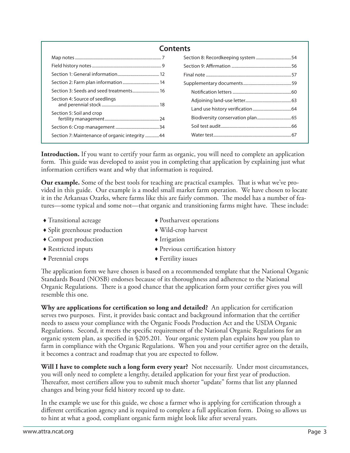| Contents                                       |  |  |  |  |  |  |
|------------------------------------------------|--|--|--|--|--|--|
|                                                |  |  |  |  |  |  |
|                                                |  |  |  |  |  |  |
|                                                |  |  |  |  |  |  |
|                                                |  |  |  |  |  |  |
|                                                |  |  |  |  |  |  |
| Section 4: Source of seedlings                 |  |  |  |  |  |  |
|                                                |  |  |  |  |  |  |
| Section 5: Soil and crop                       |  |  |  |  |  |  |
|                                                |  |  |  |  |  |  |
| Section 7: Maintenance of organic integrity 44 |  |  |  |  |  |  |

Introduction. If you want to certify your farm as organic, you will need to complete an application form. This guide was developed to assist you in completing that application by explaining just what information certifiers want and why that information is required.

Our example. Some of the best tools for teaching are practical examples. That is what we've provided in this guide. Our example is a model small market farm operation. We have chosen to locate it in the Arkansas Ozarks, where farms like this are fairly common. The model has a number of features—some typical and some not—that organic and transitioning farms might have. These include:

- Transitional acreage  $\longrightarrow$  Postharvest operations
	-
- Split greenhouse production Wild-crop harvest
- Compost production Irrigation
- Restricted inputs Previous certification history
- Perennial crops **Fertility** issues

The application form we have chosen is based on a recommended template that the National Organic Standards Board (NOSB) endorses because of its thoroughness and adherence to the National Organic Regulations. There is a good chance that the application form your certifier gives you will resemble this one.

**Why are applications for certification so long and detailed?** An application for certification serves two purposes. First, it provides basic contact and background information that the certifier needs to assess your compliance with the Organic Foods Production Act and the USDA Organic Regulations. Second, it meets the specific requirement of the National Organic Regulations for an organic system plan, as specified in \$205.201. Your organic system plan explains how you plan to farm in compliance with the Organic Regulations. When you and your certifier agree on the details, it becomes a contract and roadmap that you are expected to follow.

**Will I have to complete such a long form every year?** Not necessarily. Under most circumstances, you will only need to complete a lengthy, detailed application for your first year of production. Thereafter, most certifiers allow you to submit much shorter "update" forms that list any planned changes and bring your field history record up to date.

In the example we use for this guide, we chose a farmer who is applying for certification through a different certification agency and is required to complete a full application form. Doing so allows us to hint at what a good, compliant organic farm might look like after several years.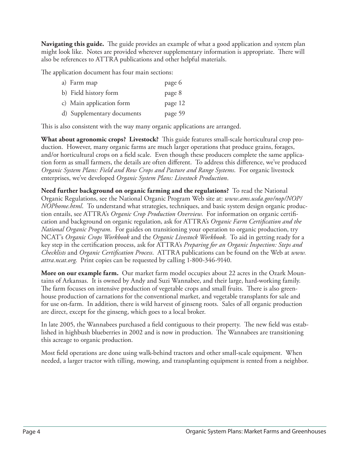**Navigating this guide.** The guide provides an example of what a good application and system plan might look like. Notes are provided wherever supplementary information is appropriate. There will also be references to ATTRA publications and other helpful materials.

The application document has four main sections:

| a) Farm map                | page 6  |
|----------------------------|---------|
| b) Field history form      | page 8  |
| c) Main application form   | page 12 |
| d) Supplementary documents | page 59 |
|                            |         |

This is also consistent with the way many organic applications are arranged.

**What about agronomic crops? Livestock?** This guide features small-scale horticultural crop production. However, many organic farms are much larger operations that produce grains, forages, and/or horticultural crops on a field scale. Even though these producers complete the same application form as small farmers, the details are often different. To address this difference, we've produced *Organic System Plans: Field and Row Crops and Pasture and Range Systems*. For organic livestock enterprises, we've developed *Organic System Plans: Livestock Production*.

**Need further background on organic farming and the regulations?** To read the National Organic Regulations, see the National Organic Program Web site at: *www.ams.usda.gov/nop/NOP/ NOPhome.html*. To understand what strategies, techniques, and basic system design organic production entails, see ATTRA's *Organic Crop Production Overview*. For information on organic certification and background on organic regulation, ask for ATTRA's *Organic Farm Certification and the National Organic Program*. For guides on transitioning your operation to organic production, try NCAT's *Organic Crops Workbook* and the *Organic Livestock Workbook*. To aid in getting ready for a key step in the certification process, ask for ATTRA's *Preparing for an Organic Inspection: Steps and Checklists* and *Organic Certification Process.* ATTRA publications can be found on the Web at *www. attra.ncat.org*. Print copies can be requested by calling 1-800-346-9140.

**More on our example farm.** Our market farm model occupies about 22 acres in the Ozark Mountains of Arkansas. It is owned by Andy and Suzi Wannabee, and their large, hard-working family. The farm focuses on intensive production of vegetable crops and small fruits. There is also greenhouse production of carnations for the conventional market, and vegetable transplants for sale and for use on-farm. In addition, there is wild harvest of ginseng roots. Sales of all organic production are direct, except for the ginseng, which goes to a local broker.

In late 2005, the Wannabees purchased a field contiguous to their property. The new field was established in highbush blueberries in 2002 and is now in production. The Wannabees are transitioning this acreage to organic production.

Most field operations are done using walk-behind tractors and other small-scale equipment. When needed, a larger tractor with tilling, mowing, and transplanting equipment is rented from a neighbor.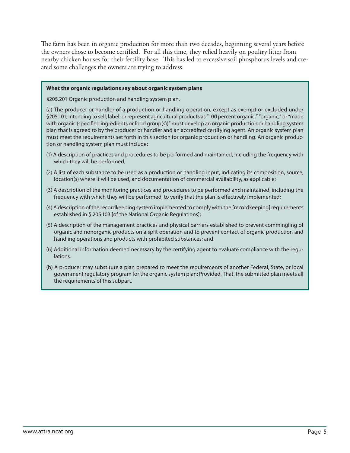The farm has been in organic production for more than two decades, beginning several years before the owners chose to become certified. For all this time, they relied heavily on poultry litter from nearby chicken houses for their fertility base. This has led to excessive soil phosphorus levels and created some challenges the owners are trying to address.

#### **What the organic regulations say about organic system plans**

§205.201 Organic production and handling system plan.

(a) The producer or handler of a production or handling operation, except as exempt or excluded under §205.101, intending to sell, label, or represent agricultural products as "100 percent organic," "organic," or "made with organic (specified ingredients or food group(s))" must develop an organic production or handling system plan that is agreed to by the producer or handler and an accredited certifying agent. An organic system plan must meet the requirements set forth in this section for organic production or handling. An organic production or handling system plan must include:

- (1) A description of practices and procedures to be performed and maintained, including the frequency with which they will be performed;
- (2) A list of each substance to be used as a production or handling input, indicating its composition, source, location(s) where it will be used, and documentation of commercial availability, as applicable;
- (3) A description of the monitoring practices and procedures to be performed and maintained, including the frequency with which they will be performed, to verify that the plan is effectively implemented;
- (4) A description of the recordkeeping system implemented to comply with the [recordkeeping] requirements established in § 205.103 [of the National Organic Regulations];
- (5) A description of the management practices and physical barriers established to prevent commingling of organic and nonorganic products on a split operation and to prevent contact of organic production and handling operations and products with prohibited substances; and
- (6) Additional information deemed necessary by the certifying agent to evaluate compliance with the regulations.
- (b) A producer may substitute a plan prepared to meet the requirements of another Federal, State, or local government regulatory program for the organic system plan: Provided, That, the submitted plan meets all the requirements of this subpart.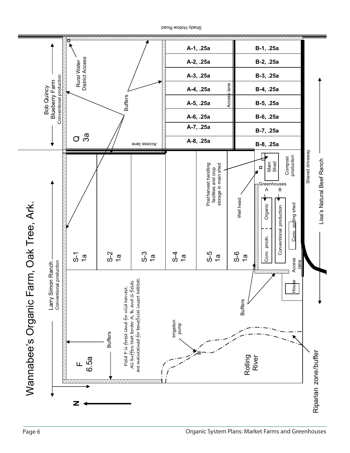

Shady Hollow Road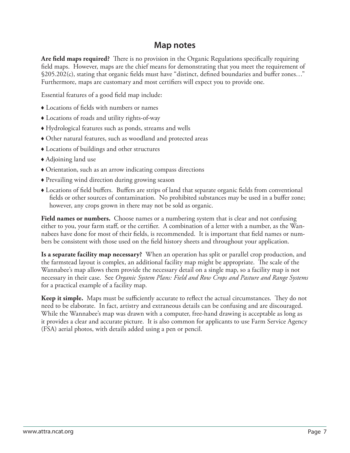#### **Map notes**

**Are field maps required?** There is no provision in the Organic Regulations specifically requiring field maps. However, maps are the chief means for demonstrating that you meet the requirement of  $$205.202(c)$ , stating that organic fields must have "distinct, defined boundaries and buffer zones..." Furthermore, maps are customary and most certifiers will expect you to provide one.

Essential features of a good field map include:

- $\triangle$  Locations of fields with numbers or names
- Locations of roads and utility rights-of-way
- Hydrological features such as ponds, streams and wells
- Other natural features, such as woodland and protected areas
- Locations of buildings and other structures
- Adjoining land use
- Orientation, such as an arrow indicating compass directions
- Prevailing wind direction during growing season
- Locations of field buffers. Buffers are strips of land that separate organic fields from conventional fields or other sources of contamination. No prohibited substances may be used in a buffer zone; however, any crops grown in there may not be sold as organic.

**Field names or numbers.** Choose names or a numbering system that is clear and not confusing either to you, your farm staff, or the certifier. A combination of a letter with a number, as the Wannabees have done for most of their fields, is recommended. It is important that field names or numbers be consistent with those used on the field history sheets and throughout your application.

**Is a separate facility map necessary?** When an operation has split or parallel crop production, and the farmstead layout is complex, an additional facility map might be appropriate. The scale of the Wannabee's map allows them provide the necessary detail on a single map, so a facility map is not necessary in their case. See *Organic System Plans: Field and Row Crops and Pasture and Range Systems* for a practical example of a facility map.

**Keep it simple.** Maps must be sufficiently accurate to reflect the actual circumstances. They do not need to be elaborate. In fact, artistry and extraneous details can be confusing and are discouraged. While the Wannabee's map was drawn with a computer, free-hand drawing is acceptable as long as it provides a clear and accurate picture. It is also common for applicants to use Farm Service Agency (FSA) aerial photos, with details added using a pen or pencil.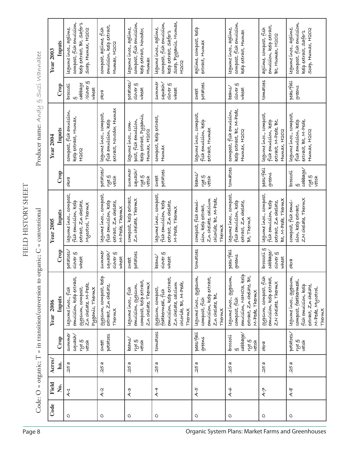|                                                                                                                              | <b>Year 2003</b>                                   | Inputs | kelp extract, Bt, Safer's<br>compost, fish emulsion,<br>legune inoc., agline,<br>SORP, HUNUX, H2O2           | emulsion, kelp extract,<br>compost, aglime, fish<br>HUMAX, H2O2                         | compost, fish emulsion,<br>Legume inoc., aglime,<br>kelp extract, Novodor,<br>Humax     | soap, Pyganic, Humax,<br>compost, fish emulsion,<br>legume inoc., aglime,<br>kelp extract, safer's<br><b>H202</b>           | aglime, compost, leelp<br>extract, Humax                                                             | compost, fish emulsion,<br>Legume inoc., aglime,<br>kelp extract, Humax                                        | enuclsion, kelp extract,<br>agline, compost, fish<br>Bt, Humax, H2O2                        | compost, fish emulsion,<br>Legume inoc., aglime,<br>Soap, Humax, H2O2<br>kelp extract, safer's                               |
|------------------------------------------------------------------------------------------------------------------------------|----------------------------------------------------|--------|--------------------------------------------------------------------------------------------------------------|-----------------------------------------------------------------------------------------|-----------------------------------------------------------------------------------------|-----------------------------------------------------------------------------------------------------------------------------|------------------------------------------------------------------------------------------------------|----------------------------------------------------------------------------------------------------------------|---------------------------------------------------------------------------------------------|------------------------------------------------------------------------------------------------------------------------------|
|                                                                                                                              |                                                    | Crop   | /olover §<br>cabbage<br>broccolí<br>wheat                                                                    | olera                                                                                   | potatoes/<br>olover §<br>wheat                                                          | summer<br>squash/<br>clover §<br>wheat                                                                                      | potatoes<br>sweet                                                                                    | $\omega$ over $\xi$<br>beans/<br>wheat                                                                         | tomatoes                                                                                    | peas/fall<br>greens                                                                                                          |
| $\operatorname{Product}$ name: $\operatorname{\mathsf{Avol}}_{\mathcal{U}}$ $\ominus$ $\operatorname{\mathsf{Suc}}$ Wawwabee | Year 2004                                          | Inputs | compost, fish emulsion,<br>kelp extract, Humax,<br>H202                                                      | extract, Novodor, Humax<br>Legunne inoc., compost,<br>fish enculsion, kelp              | kelp extract, Pyganic,<br>post, fish emulsion,<br>Legume inoc., com-<br>HUMAX, H2O2     | compost, kelp extract,<br>Humax                                                                                             | Legume inoc., compost,<br>fish enculsion, kelp<br>extract, Humax                                     | kelp extract, Bt, M-Pede,<br>compost, fish emulsion,<br>Humax, H2O2                                            | Legume inoc., compost,<br>extract, M-Pede, Bt,<br>fish emulsion, kelp<br>HUMAX, H2O2        | legume inoc., compost,<br>fish emulsion, kelp<br>extract, Bt, M-Pede,<br>Humax, H2O2                                         |
|                                                                                                                              |                                                    | Crop   | olera                                                                                                        | potatoes,<br>ing<br>S<br>vetch                                                          | summer<br>squash/<br>rye §<br>vetch                                                     | potatoes<br>sweet                                                                                                           | beans/<br>ryeg<br>vetoh                                                                              | tomatoes                                                                                                       | peas/fall<br>greens                                                                         | cabbage/<br>broccolí<br>Pahl<br>vetch<br>w                                                                                   |
| FIELD HISTORY SHEET<br>= conventional                                                                                        | Year 2005                                          | Inputs | legume inoc., compost,<br>extract, Zn chelate,<br>fish emulsion, kelp<br>Mycotrol, Thermx                    | legume inoc., compost,<br>fish emulsion, kelp<br>extract, Zu chelate,<br>M-Pede, Thermx | compost, kelp extract,<br>Zn chelate, Thermx                                            | Legunne inoc., compost,<br>fish emulsion, kelp<br>extract, Zn chelate,<br>M-Pede, Thermx                                    | chloride, Bt, M-Pede,<br>Zn chelate, calcium<br>compost, fish emul-<br>sion, kelp extract,<br>Thermx | Legume inoc., compost,<br>fish emulsion, kelp<br>extract, Zn chelate,<br>Bt, Thermx                            | Legume inoc., compost,<br>Bt, M-Pede, ThermX<br>fish emulsion, kelp<br>extract, Zn chelate, | ZN chelate, Thermx<br>compost, fish emul-<br>sion, kelp extract,                                                             |
| ganic; C                                                                                                                     |                                                    | Crop   | potatoes/<br>$\text{clover} \xi$<br>wheat                                                                    | summer<br>squash<br>clover §<br>wheat                                                   | potatoes<br>sweet                                                                       | $\text{clover}$ $\xi$<br>beans/<br>wheat                                                                                    | tomatoes                                                                                             | peas/fall<br>greens                                                                                            | broccolí S<br>cabbage/<br>$olover$ $g$<br>wheat                                             | olera                                                                                                                        |
| $=$ in transition/conversion to or                                                                                           | 2006<br>Year                                       | Inputs | emulsion, kelp extract,<br>Z.n chelate, M-Pede,<br>gypsum, compost,<br>Legune inoc., fish<br>Pyganic, Thermx | OUPSUM, compost, leelp<br>extract, Zn chelate,<br>Thermx                                | compost, kelp extract,<br>Zu chelate, Thermx<br>emulsion, gypsum,<br>Legume inoc., fish | emulsion, kelp extract,<br>chloride, Bt, M-Pede,<br>Zn chelate, calcium<br>asberner compost,<br>feathermeal, fish<br>Thermx | Legume inoc., gypsum.,<br>enuclsion, kelp extract,<br>Zn chelate, Bt,<br>compost, fish<br>Thermx     | enuclsion, NANO3, kelp<br>extract, Zn chelate, Bt,<br>Legume inoc., gypsum,<br>M-Pede, Thermx<br>compost, fish | gypsum, compost, fish<br>emulsion, kelp extract,<br>ZN chelate, ThermX                      | legume inoc., gypsum,<br>compost, feathermeal,<br>fish emulsion, kelp<br>extract, Zn chelate,<br>M-Pede, Mycotrol,<br>Thermx |
|                                                                                                                              |                                                    | Crop   | summer<br>squash<br>पुर डी<br>Vetch                                                                          | potatoes<br>sweet                                                                       | beans/<br>ryeg<br>veteh                                                                 | tomatoes                                                                                                                    | peas/fall<br>greens                                                                                  | cabbage/<br>broccolí<br>rye §<br>vetch<br>W)                                                                   | olera                                                                                       | potatoes/<br>ryeg<br>vetch                                                                                                   |
| Code: O = organic; T                                                                                                         | Acres/                                             | ha.    | .25a                                                                                                         | .25a                                                                                    | .25a                                                                                    | .25a                                                                                                                        | 25a                                                                                                  | .25a                                                                                                           | .25a                                                                                        | .25a                                                                                                                         |
|                                                                                                                              | Field                                              | Ż.     | $4 - 1$                                                                                                      | $4-2$                                                                                   | $A-3$                                                                                   | $A - 4$                                                                                                                     | $4-5$                                                                                                | $4-6$                                                                                                          | $A - \neq$                                                                                  | $\mathcal{A}\text{-}\mathcal{B}$                                                                                             |
|                                                                                                                              | Code                                               |        | $\circ$                                                                                                      | O                                                                                       | $\circ$                                                                                 | O                                                                                                                           | O                                                                                                    | O                                                                                                              | O                                                                                           | O                                                                                                                            |
| Page 8                                                                                                                       | Organic System Plans: Market Farms and Greenhouses |        |                                                                                                              |                                                                                         |                                                                                         |                                                                                                                             |                                                                                                      |                                                                                                                |                                                                                             |                                                                                                                              |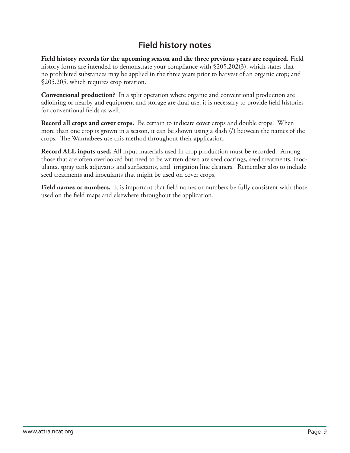# **Field history notes**

**Field history records for the upcoming season and the three previous years are required.** Field history forms are intended to demonstrate your compliance with §205.202(3), which states that no prohibited substances may be applied in the three years prior to harvest of an organic crop; and §205.205, which requires crop rotation.

**Conventional production?** In a split operation where organic and conventional production are adjoining or nearby and equipment and storage are dual use, it is necessary to provide field histories for conventional fields as well.

**Record all crops and cover crops.** Be certain to indicate cover crops and double crops. When more than one crop is grown in a season, it can be shown using a slash (/) between the names of the crops. The Wannabees use this method throughout their application.

**Record ALL inputs used.** All input materials used in crop production must be recorded. Among those that are often overlooked but need to be written down are seed coatings, seed treatments, inoculants, spray tank adjuvants and surfactants, and irrigation line cleaners. Remember also to include seed treatments and inoculants that might be used on cover crops.

**Field names or numbers.** It is important that field names or numbers be fully consistent with those used on the field maps and elsewhere throughout the application.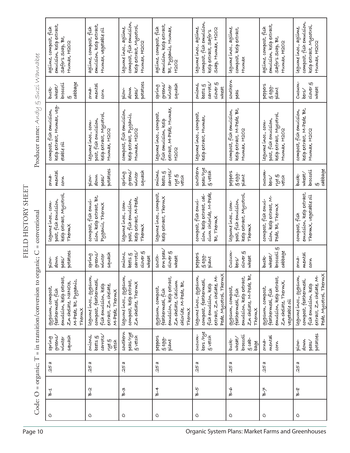|                                                  | emulsion, kelp extract,<br>aglime, compost, fish<br>safer's soap Bt,<br>HUMAX, H2O2                                      | enulsion, kelp extract,<br>aglinue, compost, fish<br>Humax, vegetable oil                                        | compost, fish emulsion,<br>kelp extract, Mycotrol,<br>legume inoc., aglime,<br>HUMAX, H2O2 | emulsion, kelp extract,<br>aglinue, compost, fish<br>Bt, Pyganic, Humax,<br>H2O2                                           | compost, fish emulsion,<br>legume inoc., aglime,<br>SORP, HUMAX, H2O2<br>kelp extract, safer's                              | Legume inoc., aglime,<br>compost, kelp extract,<br>Humax                                              | emulsion, kelp extract,<br>aglime, compost, fish<br>Safer's Soap, Bt,<br>HUMAX, H2O2                     | compost, fish emulsion,<br>kelp extract, Mycotrol,<br>Legume inoc., aglime,<br>Humax, H2O2                                  |  |
|--------------------------------------------------|--------------------------------------------------------------------------------------------------------------------------|------------------------------------------------------------------------------------------------------------------|--------------------------------------------------------------------------------------------|----------------------------------------------------------------------------------------------------------------------------|-----------------------------------------------------------------------------------------------------------------------------|-------------------------------------------------------------------------------------------------------|----------------------------------------------------------------------------------------------------------|-----------------------------------------------------------------------------------------------------------------------------|--|
|                                                  | cabbage<br>broccolí<br>wheat/<br>buck-<br>$\omega$                                                                       | mental<br>$orwa-$<br>corn                                                                                        | potatoes<br>down<br>plow-<br>peas/                                                         | greens/<br>squash<br>spring<br>winter                                                                                      | $\omega$ over $\xi$<br>carrots<br>onions,<br>beets $\xi$<br>wheat                                                           | southern<br>peas                                                                                      | peppers<br>$6.699 -$<br>plant                                                                            | Cucum-<br>$\text{clover}$ $\xi$<br>wheat<br>bers/                                                                           |  |
| Producer name: $A \wedge A \cup B$ Suzi Wannabee | kelp extract, Humax, veg-<br>compost, fish emulsion,<br>etable oil                                                       | kelp extract, Mycotrol,<br>post, fish emulsion,<br>Legume inoc., com-<br>Humax, H2O2                             | compost, fish emulsion,<br>kelp extract, Pyganic,<br>Humax, H2O2                           | extract, M-Pede, Humax,<br>Legume inoc., compost,<br>fish enulsion, kelp<br>F202                                           | Legume inoc., compost,<br>kelp extract, Humax,                                                                              | kelp extract, M-Pede, Bt,<br>compost, fish emulsion,<br>Humax, H2O2                                   | kelp extract, Mycotrol,<br>post, fish emulsion,<br>Legume inoc., com-<br>HUMAX, H2O2                     | kelp extract, M-Pede, Bt,<br>compost, fish emulsion,<br>HUMAX, H2O2                                                         |  |
|                                                  | mental<br>orna-<br>corn                                                                                                  | potatoes<br>down<br>plow-<br>peas/                                                                               | squash<br>greens/<br>spring<br>winter                                                      | <b>SAMOES</b><br>onions,<br>bets 5<br>ing<br>S<br>vetch                                                                    | southern<br>peas/rye<br>5 vetch                                                                                             | peppers<br>$5.699 -$<br>plant                                                                         | cucum-<br>rye §<br>vetch<br>bers/                                                                        | cabbage<br>broccolí<br>wheat/<br>buck-                                                                                      |  |
| FIELD HISTORY SHEET<br>= conventional            | kelp extract, Mycotrol,<br>post, fish emulsion,<br>Legume inoc., com-<br>Thermx                                          | sion, kelp extract, Bt,<br>compost, fish emul-<br>Pyganic, Thermx                                                | kelp extract, M-Pede,<br>post, fish emulsion,<br>Legume inoc., com-<br>Thermx              | Legunne inoc., compost,<br>kelp extract, Thermx                                                                            | cium chloride, M-Pede,<br>sion, kelp extract, cal-<br>compost, fish emul-<br>Bt, Thermx                                     | kelp extract, Mycotrol<br>post, fish emulsion,<br>Legume inoc., com-<br>Thermx                        | sion, kelp extract, M-<br>compost, fish emul-<br>Pede, Bt, Thermx                                        | emulsion, kelp extract,<br>Thermx, vegetable oil<br>compost, fish                                                           |  |
| ganic; C                                         | potatoes<br>down<br>plow-<br>peas/                                                                                       | squash<br>greens/<br>spring<br>winter                                                                            | $\text{clover} \xi$<br>carrots/<br>onions,<br>$bects$ $\xi$<br>wheat                       | ern peas,<br>$\text{clover}$ $\epsilon$<br>south-<br>wheat                                                                 | peppers<br>$5.699 -$<br>plant                                                                                               | Cucum-<br>clover §<br>wheat<br>bers/                                                                  | broccolí S<br>cabbage<br>wheat/<br>buck-                                                                 | mental<br>orna-<br>corn                                                                                                     |  |
| $=$ in transition/conversion to or               | emulsion, kelp extract,<br>M-Pede, Bt, Pyganic,<br>Zn chelate, NaNO3,<br>asbernim compost<br>feathermeal, fish<br>Thermx | Legume inoc., gypsum,<br>compost, feathermeal,<br>fish enculsion, kelp<br>extract, Zn chelate,<br>M-Pede, Thermx | Legume inoc., gypsum,<br>compost, kelp extract,<br>Zn chelate, Thermx                      | emulsion, kelp extract,<br>Zn chelate, Calcium<br>chloride, M-Pede, Bt,<br>gypsum, compost,<br>feathermeal, fish<br>Thermx | Pede, Mycotrol, Thermx<br>extract, Zu chelate, M-<br>Legume inoc., gypsum,<br>compost, feathermeal,<br>fish enculsion, kelp | Zn chelate, M-Pede, Bt,<br>emulsion, kelp extract,<br>asberner compost<br>feathermeal, fish<br>Thermx | emulsion, kelp extract,<br>Zn chelate, Thermx,<br>OUPSUM, compost,<br>feathermeal, fish<br>vegetable oil | Pede, Mycotrol, Thermx<br>extract, Zn chelate, M-<br>Legume inoc., gypsum.,<br>compost, feathermeal,<br>fish emulsion, kelp |  |
|                                                  | greens/<br>squash<br>spring<br>winter                                                                                    | carrots/<br>onions,<br>beets $\xi$<br>rye §<br>vetch                                                             | southern<br>peas/rye<br>g vetch                                                            | peppers<br>.<br>ยิ <i>ย</i> อร<br>plant                                                                                    | bers/rye<br>CLCLLIN-<br>g vetch                                                                                             | broccolí<br>where<br>S cab-<br>buck-<br>bage                                                          | mental<br>$OVM-$<br>corn                                                                                 | potatoes<br>down<br>plow-<br>peas/                                                                                          |  |
|                                                  | .25a                                                                                                                     | .25a                                                                                                             | 25a                                                                                        | .25a                                                                                                                       | .25a                                                                                                                        | .25a                                                                                                  | .25a                                                                                                     | .25a                                                                                                                        |  |
| Code: O = organic; T                             | ት-1<br>ለ                                                                                                                 | <u>ራ</u><br>አ                                                                                                    | م<br>8-3                                                                                   | ት-4<br>4                                                                                                                   | 5-8                                                                                                                         | 9-A                                                                                                   | ₹-ط                                                                                                      | 8-<br>वै                                                                                                                    |  |
|                                                  | O                                                                                                                        | O                                                                                                                | O                                                                                          | O                                                                                                                          | O                                                                                                                           | O                                                                                                     | O                                                                                                        | O                                                                                                                           |  |
| Page 10                                          | Organic System Plans: Market Farms and Greenhouses                                                                       |                                                                                                                  |                                                                                            |                                                                                                                            |                                                                                                                             |                                                                                                       |                                                                                                          |                                                                                                                             |  |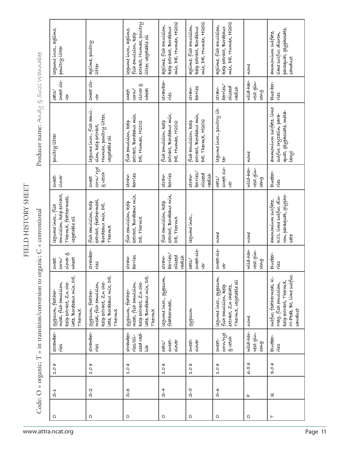|                                                           | legume inoc., aglime,<br>poultry litter                                                                | aglime, poultry<br>litter                                                                              | extract, Humax, poultry<br>legume inoc., aglime,<br>fish emulsion, kelp<br>litter, vegetable oil       | mix, DE, Humax, H2O2<br>aglime, fish emulsion,<br>kelp extract, Bordeaux | MIX, DE, HUMAX, H2O2<br>aglinne, fish enulsion,<br>kelp extract, Bordeaux | mix, DE, Humax, H2O2<br>aglime, fish emulsion,<br>kelp extract, Bordeaux                        | none                           | paraquat, glyphosate,<br>ammonium sulfate,<br>lime sulfur, diuron,<br>sawdust                                  |
|-----------------------------------------------------------|--------------------------------------------------------------------------------------------------------|--------------------------------------------------------------------------------------------------------|--------------------------------------------------------------------------------------------------------|--------------------------------------------------------------------------|---------------------------------------------------------------------------|-------------------------------------------------------------------------------------------------|--------------------------------|----------------------------------------------------------------------------------------------------------------|
|                                                           | sweet olo-<br>oats/<br>ver                                                                             | sweet olo-<br>yer                                                                                      | $\text{clover}$ $\xi$<br>wheat<br>sweet<br>corn/                                                       | strawber-<br>ries                                                        | berries<br>$straw-$                                                       | berries/<br>oilseed<br>radish<br>$straw-$                                                       | wild-har-<br>vest gin-<br>seng | blue-ber-<br>ries                                                                                              |
| Producer name: $A \sim a \nu / a \nu$ Wawwabee            | poultry litter                                                                                         | Legume inoc., fish emul-<br>Humax, poultry litter,<br>sion, kelp extract,<br>vegetable oil             | extract, Bordeaux mix,<br>Fish enculsion, kelp<br>DE, HUMAX, H2O2                                      | extract, Bordeaux mix,<br>fish enculsion, kelp<br>DE, HUMAX, H2O2        | extract, Bordeaux mix,<br>DE, ThermX, H2O2<br>fish emulsion, kelp         | Legume inoc., poultry lit-<br>$t^{\prime}$                                                      | none                           | anunonium sulfate, lime<br>quat, glyphosate, meta-<br>sulfur, oryzalín, para-<br>laxyl                         |
|                                                           | sweet-<br>olover                                                                                       | corn/rye<br>g vetch<br>sweet                                                                           | berries<br>$straw-$                                                                                    | berries<br>$straw-$                                                      | berries/<br>oilseed<br>straw-<br>radish                                   | sweet clo-<br>oats/<br>ver                                                                      | wild-har-<br>vest gin-<br>seng | blueber-<br>ries                                                                                               |
|                                                           | emulsion, kelp extract,<br>Thermx, feathermeal,<br>Legume inoc., fish<br>vegetable oil                 | extract, feathermeal,<br>fish emulsion, kelp<br>Bordeaux mix, DE,<br>Thermx                            | extract, Bordeaux mix,<br>fish emulsion, kelp<br>DE, Therm.X                                           | extract, Bordeaux mix,<br>fish emulsion, kelp<br>DE, Thermx              | Legume inoc.,                                                             | none                                                                                            | none                           | ron, paraquat, glypho-<br>KCL, lime sulfur, diu-<br>anunonium sulfate,<br>$s$ ate                              |
|                                                           | clover 5<br>wheat<br>corn/<br>sweet                                                                    | strawber-<br>ries                                                                                      | straw-<br>berries                                                                                      | berries<br>oilseed<br>straw-<br>radish                                   | sweet-olo-<br>oats/<br>yer                                                | sweet-clo-<br>yer                                                                               | wild-har-<br>vest gin-<br>seng | blueber-<br>ries                                                                                               |
| = in transition/conversion to organic; $C$ = conventional | Late, Bordeaux mix, DE,<br>kelp extract, Zn che-<br>meal, fish emulsion,<br>gypsum, feather-<br>Thermx | Late, Bordeaux mix, DE,<br>kelp extract, Zn che-<br>meal, fish emulsion,<br>9Ypsum, feather-<br>Thermx | Late, Bordeaux mix, DE,<br>kelp extract, Zu che-<br>meal, fish emulsion,<br>gypsum, feather-<br>Thermx | Legume inoc., gypsum,<br>feathermeal,                                    | gypsum                                                                    | legunne innoc., gypsum,<br>Thermx, vegetable oil<br>extract, Zn chelate,<br>fish enulsion, kelp | none                           | M-Pede, Bt, lime sulfur,<br>sulfur, feathermeal, K-<br>kelp extract, Thermx,<br>Mag, fish emulsion,<br>sawdust |
|                                                           | strawber-<br>ries                                                                                      | strawber-<br>ries                                                                                      | strawber-<br>seed rad-<br>ries/oil-<br>ζŠΙ                                                             | clover<br>sweet-<br>oats/                                                | sweet-<br>clover                                                          | corninge<br>5 vetch<br>sweet-                                                                   | wild-har-<br>vest gin-<br>seng | blueber-<br>ries                                                                                               |
|                                                           | 1.0a                                                                                                   | 1.0 a                                                                                                  | 1.0a                                                                                                   | 1.0a                                                                     | 1.0a                                                                      | 1.0a                                                                                            | 6.5 a                          | 3.0 R                                                                                                          |
| Code: O = organic; T                                      | 5-1<br>0                                                                                               | ς.<br>Ο                                                                                                | S-3                                                                                                    | \$-4                                                                     | ს<br>სე                                                                   | ھ'                                                                                              | 4                              | G,                                                                                                             |
|                                                           | O                                                                                                      | O                                                                                                      | O                                                                                                      | O                                                                        | O                                                                         | O                                                                                               | O                              | ⊢                                                                                                              |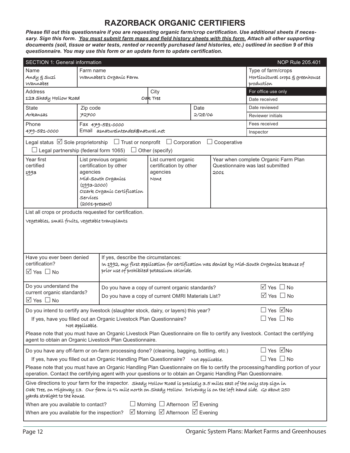#### **RAZORBACK ORGANIC CERTIFIERS**

Please fill out this questionnaire if you are requesting organic farm/crop certification. Use additional sheets if necessary. Sign this form. You must submit farm maps and field history sheets with this form. Attach all other supporting *documents (soil, tissue or water tests, rented or recently purchased land histories, etc.) outlined in section 9 of this questionnaire. You may use this form or an update form to update certification.* 

| <b>SECTION 1: General information</b>                                                                                                                                                                                                          |                                                                                                                                                                                                         |                                                    |                                                |         |                                 | NOP Rule 205.401                                                                                                                 |  |  |
|------------------------------------------------------------------------------------------------------------------------------------------------------------------------------------------------------------------------------------------------|---------------------------------------------------------------------------------------------------------------------------------------------------------------------------------------------------------|----------------------------------------------------|------------------------------------------------|---------|---------------------------------|----------------------------------------------------------------------------------------------------------------------------------|--|--|
| Name                                                                                                                                                                                                                                           | Type of farm/crops<br>Farm name                                                                                                                                                                         |                                                    |                                                |         |                                 |                                                                                                                                  |  |  |
| Andy g Suzí<br>Wannabee                                                                                                                                                                                                                        |                                                                                                                                                                                                         | Wannabee's Organic Farm                            | Horticultural crops § greenhouse<br>production |         |                                 |                                                                                                                                  |  |  |
| <b>Address</b><br>For office use only<br>City                                                                                                                                                                                                  |                                                                                                                                                                                                         |                                                    |                                                |         |                                 |                                                                                                                                  |  |  |
| 123 Shady Hollow Road                                                                                                                                                                                                                          |                                                                                                                                                                                                         |                                                    | Oale Tree                                      |         |                                 | Date received                                                                                                                    |  |  |
| <b>State</b>                                                                                                                                                                                                                                   | Zip code                                                                                                                                                                                                |                                                    |                                                | Date    |                                 | Date reviewed                                                                                                                    |  |  |
| Arkansas                                                                                                                                                                                                                                       | 72700                                                                                                                                                                                                   |                                                    |                                                | 2/28/06 |                                 | <b>Reviewer initials</b>                                                                                                         |  |  |
| Phone                                                                                                                                                                                                                                          |                                                                                                                                                                                                         | Fax 479-581-0000                                   |                                                |         |                                 | Fees received                                                                                                                    |  |  |
| 479-581-0000                                                                                                                                                                                                                                   |                                                                                                                                                                                                         | Email asnatureintended@natural.net                 |                                                |         |                                 | Inspector                                                                                                                        |  |  |
| Legal status $\boxtimes$ Sole proprietorship $\Box$ Trust or nonprofit<br>$\Box$ Legal partnership (federal form 1065)                                                                                                                         |                                                                                                                                                                                                         |                                                    | $\Box$ Corporation<br>$\Box$ Other (specify)   |         | Cooperative                     |                                                                                                                                  |  |  |
| Year first                                                                                                                                                                                                                                     |                                                                                                                                                                                                         | List previous organic                              | List current organic                           |         |                                 | Year when complete Organic Farm Plan                                                                                             |  |  |
| certified                                                                                                                                                                                                                                      |                                                                                                                                                                                                         | certification by other                             | certification by other                         |         | 2001                            | Questionnaire was last submitted                                                                                                 |  |  |
| 1993                                                                                                                                                                                                                                           | agencies                                                                                                                                                                                                | Míd-South Organics                                 | agencies<br>None                               |         |                                 |                                                                                                                                  |  |  |
|                                                                                                                                                                                                                                                | $(1993 - 2000)$                                                                                                                                                                                         |                                                    |                                                |         |                                 |                                                                                                                                  |  |  |
|                                                                                                                                                                                                                                                |                                                                                                                                                                                                         | Ozark Organic Certification                        |                                                |         |                                 |                                                                                                                                  |  |  |
|                                                                                                                                                                                                                                                | Services<br>$(2001$ -present)                                                                                                                                                                           |                                                    |                                                |         |                                 |                                                                                                                                  |  |  |
| List all crops or products requested for certification.                                                                                                                                                                                        |                                                                                                                                                                                                         |                                                    |                                                |         |                                 |                                                                                                                                  |  |  |
| Vegetables, small fruits, vegetable transplants                                                                                                                                                                                                |                                                                                                                                                                                                         |                                                    |                                                |         |                                 |                                                                                                                                  |  |  |
|                                                                                                                                                                                                                                                |                                                                                                                                                                                                         |                                                    |                                                |         |                                 |                                                                                                                                  |  |  |
|                                                                                                                                                                                                                                                |                                                                                                                                                                                                         |                                                    |                                                |         |                                 |                                                                                                                                  |  |  |
|                                                                                                                                                                                                                                                |                                                                                                                                                                                                         |                                                    |                                                |         |                                 |                                                                                                                                  |  |  |
| Have you ever been denied                                                                                                                                                                                                                      |                                                                                                                                                                                                         | If yes, describe the circumstances:                |                                                |         |                                 |                                                                                                                                  |  |  |
| certification?                                                                                                                                                                                                                                 |                                                                                                                                                                                                         |                                                    |                                                |         |                                 | In 1992, my first application for certification was denied by Mid-South Organics because of                                      |  |  |
| $\boxtimes$ Yes $\Box$ No                                                                                                                                                                                                                      |                                                                                                                                                                                                         | príor use of prohíbited potassium chloride.        |                                                |         |                                 |                                                                                                                                  |  |  |
|                                                                                                                                                                                                                                                |                                                                                                                                                                                                         |                                                    |                                                |         |                                 |                                                                                                                                  |  |  |
| Do you understand the                                                                                                                                                                                                                          |                                                                                                                                                                                                         | Do you have a copy of current organic standards?   |                                                |         | $\overline{\Box}$ Yes $\Box$ No |                                                                                                                                  |  |  |
| current organic standards?                                                                                                                                                                                                                     |                                                                                                                                                                                                         | Do you have a copy of current OMRI Materials List? |                                                |         |                                 | $\boxtimes$ Yes $\Box$ No                                                                                                        |  |  |
| $\boxtimes$ Yes $\Box$ No                                                                                                                                                                                                                      |                                                                                                                                                                                                         |                                                    |                                                |         |                                 |                                                                                                                                  |  |  |
| Do you intend to certify any livestock (slaughter stock, dairy, or layers) this year?                                                                                                                                                          |                                                                                                                                                                                                         |                                                    |                                                |         |                                 | □ Yes ☑No                                                                                                                        |  |  |
| If yes, have you filled out an Organic Livestock Plan Questionnaire?                                                                                                                                                                           | Not applicable.                                                                                                                                                                                         |                                                    |                                                |         |                                 | $\Box$ Yes $\Box$ No                                                                                                             |  |  |
| Please note that you must have an Organic Livestock Plan Questionnaire on file to certify any livestock. Contact the certifying<br>agent to obtain an Organic Livestock Plan Questionnaire.                                                    |                                                                                                                                                                                                         |                                                    |                                                |         |                                 |                                                                                                                                  |  |  |
|                                                                                                                                                                                                                                                |                                                                                                                                                                                                         |                                                    |                                                |         |                                 | $\Box$ Yes $\Box$ No                                                                                                             |  |  |
|                                                                                                                                                                                                                                                | Do you have any off-farm or on-farm processing done? (cleaning, bagging, bottling, etc.)<br>$\Box$ Yes $\Box$ No<br>If yes, have you filled out an Organic Handling Plan Questionnaire? Not applicable. |                                                    |                                                |         |                                 |                                                                                                                                  |  |  |
|                                                                                                                                                                                                                                                |                                                                                                                                                                                                         |                                                    |                                                |         |                                 | Please note that you must have an Organic Handling Plan Questionnaire on file to certify the processing/handling portion of your |  |  |
| operation. Contact the certifying agent with your questions or to obtain an Organic Handling Plan Questionnaire.                                                                                                                               |                                                                                                                                                                                                         |                                                    |                                                |         |                                 |                                                                                                                                  |  |  |
| Give directions to your farm for the inspector. Shady Hollow Road is precisely 3.5 miles east of the only stop sign in<br>Oak Tree, on Highway 13. Our farm is 3/4 mile north on Shady Hollow. Driveway is on the left hand side. Go about 250 |                                                                                                                                                                                                         |                                                    |                                                |         |                                 |                                                                                                                                  |  |  |
| yards straíght to the house.                                                                                                                                                                                                                   |                                                                                                                                                                                                         |                                                    |                                                |         |                                 |                                                                                                                                  |  |  |
| When are you available to contact?                                                                                                                                                                                                             |                                                                                                                                                                                                         |                                                    | $\Box$ Morning $\Box$ Afternoon $\Box$ Evening |         |                                 |                                                                                                                                  |  |  |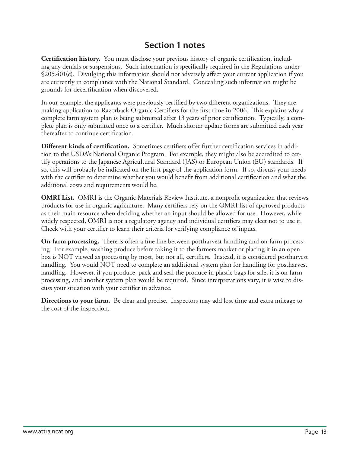### **Section 1 notes**

**Certification history.** You must disclose your previous history of organic certification, including any denials or suspensions. Such information is specifically required in the Regulations under  $$205.401(c)$ . Divulging this information should not adversely affect your current application if you are currently in compliance with the National Standard. Concealing such information might be grounds for decertification when discovered.

In our example, the applicants were previously certified by two different organizations. They are making application to Razorback Organic Certifiers for the first time in 2006. This explains why a complete farm system plan is being submitted after 13 years of prior certification. Typically, a complete plan is only submitted once to a certifier. Much shorter update forms are submitted each year thereafter to continue certification.

**Different kinds of certification.** Sometimes certifiers offer further certification services in addition to the USDA's National Organic Program. For example, they might also be accredited to certify operations to the Japanese Agricultural Standard (JAS) or European Union (EU) standards. If so, this will probably be indicated on the first page of the application form. If so, discuss your needs with the certifier to determine whether you would benefit from additional certification and what the additional costs and requirements would be.

**OMRI List.** OMRI is the Organic Materials Review Institute, a nonprofit organization that reviews products for use in organic agriculture. Many certifiers rely on the OMRI list of approved products as their main resource when deciding whether an input should be allowed for use. However, while widely respected, OMRI is not a regulatory agency and individual certifiers may elect not to use it. Check with your certifier to learn their criteria for verifying compliance of inputs.

**On-farm processing.** There is often a fine line between postharvest handling and on-farm processing. For example, washing produce before taking it to the farmers market or placing it in an open box is NOT viewed as processing by most, but not all, certifiers. Instead, it is considered postharvest handling. You would NOT need to complete an additional system plan for handling for postharvest handling. However, if you produce, pack and seal the produce in plastic bags for sale, it is on-farm processing, and another system plan would be required. Since interpretations vary, it is wise to discuss your situation with your certifier in advance.

**Directions to your farm.** Be clear and precise. Inspectors may add lost time and extra mileage to the cost of the inspection.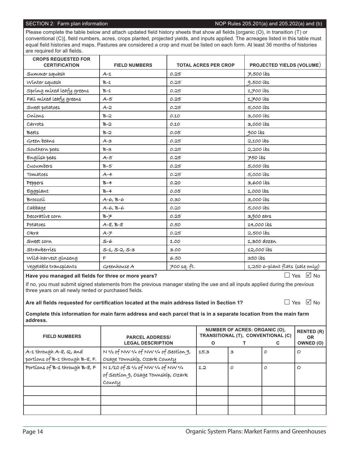#### SECTION 2: Farm plan information November 2012 12: NOP Rules 205.201(a) and 205.202(a) and (b)

Please complete the table below and attach updated field history sheets that show all fields [organic (O), in transition (T) or conventional (C)], field numbers, acres, crops planted, projected yields, and inputs applied. The acreages listed in this table must equal field histories and maps. Pastures are considered a crop and must be listed on each form. At least 36 months of histories are required for all fields.

| <b>CROPS REQUESTED FOR</b><br><b>CERTIFICATION</b> | <b>FIELD NUMBERS</b>  | <b>TOTAL ACRES PER CROP</b> | <b>PROJECTED YIELDS (VOLUME)</b> |
|----------------------------------------------------|-----------------------|-----------------------------|----------------------------------|
| Summer squash                                      | $A-1$                 | 0.25                        | $7,500$ lbs                      |
| Winter squash                                      | $B-1$                 | 0.25                        | $9,500$ lbs                      |
| Spring mixed leafy greens                          | $B-1$                 | 0.25                        | $1,700$ lbs                      |
| Fall mixed leafy greens                            | $A - 5$               | 0.25                        | 1,700 lbs                        |
| Sweet potatoes                                     | $A-2$                 | 0.25                        | 5,000 lbs                        |
| Oníons                                             | $B-2$                 | 0.10                        | 3,000 lbs                        |
| Carrots                                            | $B-2$                 | 0.10                        | 3,000 lbs                        |
| Beets                                              | $B-2$                 | 0.05                        | 900 lbs                          |
| Green beans                                        | $A - 3$               | 0.25                        | 2,100 lbs                        |
| Southern peas                                      | $B-3$                 | 0.25                        | 2,200 lbs                        |
| English peas                                       | $A-5$                 | 0.25                        | 750 lbs                          |
| Cucumbers                                          | $B-5$                 | 0.25                        | 5,000 lbs                        |
| Tomatoes                                           | $A - 4$               | 0.25                        | 5,000 lbs                        |
| Peppers                                            | $B-4$                 | 0.20                        | 3,600 lbs                        |
| Eggplant                                           | $B-4$                 | 0.05                        | 1,000 lbs                        |
| Broccolí                                           | $A-6, B-6$            | 0.30                        | 3,000 lbs                        |
| cabbage                                            | $A - G, B - G$        | 0.20                        | 5,000 lbs                        |
| Decorative corn                                    | $B - F$               | 0.25                        | 3,900 ears                       |
| Potatoes                                           | $A - 8, B - 8$        | 0.50                        | 14,000 lbs                       |
| Okra                                               | $A - \neq$            | 0.25                        | $2,500$ lbs                      |
| Sweet corn                                         | $S-6$                 | 1.00                        | 1,300 dozen                      |
| Strawberries                                       | $S-1$ , $S-2$ , $S-3$ | 3.00                        | 12,000 lbs                       |
| Wild-harvest ginseng                               | $\mathsf{F}$          | 6.50                        | 350 lbs                          |
| vegetable transplants                              | Greenhouse A          | 700 sq. ft.                 | 1,250 6-plant flats (sale only)  |

Have you managed all fields for three or more years?

 $\Box$  Yes  $\Box$  No

If no, you must submit signed statements from the previous manager stating the use and all inputs applied during the previous three years on all newly rented or purchased fields.

Are all fields requested for certification located at the main address listed in Section 1?

 $\Box$  Yes  $\Box$  No

**Complete this information for main farm address and each parcel that is in a separate location from the main farm address.**

| <b>FIELD NUMBERS</b>            | <b>PARCEL ADDRESS/</b><br><b>LEGAL DESCRIPTION</b>                      | $\mathbf{o}$ | <b>NUMBER OF ACRES: ORGANIC (O),</b><br>TRANSITIONAL (T), CONVENTIONAL (C) | С | <b>RENTED (R)</b><br><b>OR</b><br>OWNED (O) |
|---------------------------------|-------------------------------------------------------------------------|--------------|----------------------------------------------------------------------------|---|---------------------------------------------|
| A-1 through A-8, Q, and         | $N$ $\frac{1}{2}$ of NW $\frac{1}{4}$ of NW $\frac{1}{4}$ of Section 9, | 15.3         | З                                                                          |   | O                                           |
| portions of B-1 through B-8, F. | Osage Township, Ozark County                                            |              |                                                                            |   |                                             |
| Portions of B-1 through B-8, F  | $N$ 1/10 of S $\frac{1}{2}$ of NW $\frac{1}{4}$ of NW $\frac{1}{4}$     | 1.2          | 0                                                                          | 0 | Ο                                           |
|                                 | of Section 9, Osage Township, Ozark                                     |              |                                                                            |   |                                             |
|                                 | County                                                                  |              |                                                                            |   |                                             |
|                                 |                                                                         |              |                                                                            |   |                                             |
|                                 |                                                                         |              |                                                                            |   |                                             |
|                                 |                                                                         |              |                                                                            |   |                                             |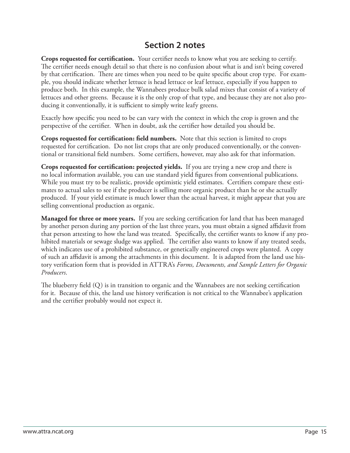#### **Section 2 notes**

**Crops requested for certification.** Your certifier needs to know what you are seeking to certify. The certifier needs enough detail so that there is no confusion about what is and isn't being covered by that certification. There are times when you need to be quite specific about crop type. For example, you should indicate whether lettuce is head lettuce or leaf lettuce, especially if you happen to produce both. In this example, the Wannabees produce bulk salad mixes that consist of a variety of lettuces and other greens. Because it is the only crop of that type, and because they are not also producing it conventionally, it is sufficient to simply write leafy greens.

Exactly how specific you need to be can vary with the context in which the crop is grown and the perspective of the certifier. When in doubt, ask the certifier how detailed you should be.

**Crops requested for certification: field numbers.** Note that this section is limited to crops requested for certification. Do not list crops that are only produced conventionally, or the conventional or transitional field numbers. Some certifiers, however, may also ask for that information.

Crops requested for certification: projected yields. If you are trying a new crop and there is no local information available, you can use standard yield figures from conventional publications. While you must try to be realistic, provide optimistic yield estimates. Certifiers compare these estimates to actual sales to see if the producer is selling more organic product than he or she actually produced. If your yield estimate is much lower than the actual harvest, it might appear that you are selling conventional production as organic.

**Managed for three or more years.** If you are seeking certification for land that has been managed by another person during any portion of the last three years, you must obtain a signed affidavit from that person attesting to how the land was treated. Specifically, the certifier wants to know if any prohibited materials or sewage sludge was applied. The certifier also wants to know if any treated seeds, which indicates use of a prohibited substance, or genetically engineered crops were planted. A copy of such an affidavit is among the attachments in this document. It is adapted from the land use history verification form that is provided in ATTRA's *Forms, Documents, and Sample Letters for Organic Producers*.

The blueberry field  $(Q)$  is in transition to organic and the Wannabees are not seeking certification for it. Because of this, the land use history verification is not critical to the Wannabee's application and the certifier probably would not expect it.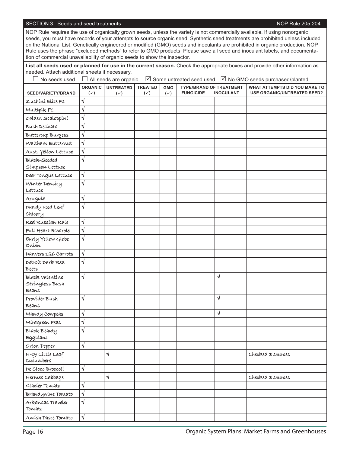#### SECTION 3: Seeds and seed treatments **NOP Rule 205.204** NOP Rule 205.204

NOP Rule requires the use of organically grown seeds, unless the variety is not commercially available. If using nonorganic seeds, you must have records of your attempts to source organic seed. Synthetic seed treatments are prohibited unless included on the National List. Genetically engineered or modified (GMO) seeds and inoculants are prohibited in organic production. NOP Rule uses the phrase "excluded methods" to refer to GMO products. Please save all seed and inoculant labels, and documentation of commercial unavailability of organic seeds to show the inspector.

**List all seeds used or planned for use in the current season.** Check the appropriate boxes and provide other information as needed. Attach additional sheets if necessary.

| $\Box$ No seeds used                        |                       | $\Box$ All seeds are organic |                |                |                                |                  |                                    |
|---------------------------------------------|-----------------------|------------------------------|----------------|----------------|--------------------------------|------------------|------------------------------------|
|                                             | <b>ORGANIC</b>        | <b>UNTREATED</b>             | <b>TREATED</b> | <b>GMO</b>     | <b>TYPE/BRAND OF TREATMENT</b> |                  | WHAT ATTEMPTS DID YOU MAKE TO      |
| SEED/VARIETY/BRAND                          | $(\checkmark)$        | $(\checkmark)$               | $(\checkmark)$ | $(\checkmark)$ | <b>FUNGICIDE</b>               | <b>INOCULANT</b> | <b>USE ORGANIC/UNTREATED SEED?</b> |
| Zuchíní Elíte F1                            | √                     |                              |                |                |                                |                  |                                    |
| Multípík F1                                 | √                     |                              |                |                |                                |                  |                                    |
| Golden Scaloppíní                           | $\sqrt{}$             |                              |                |                |                                |                  |                                    |
| Bush Delícata                               | $\sqrt{}$             |                              |                |                |                                |                  |                                    |
| Buttercup Burgess                           | √                     |                              |                |                |                                |                  |                                    |
| Waltham Butternut                           | $\sqrt{}$             |                              |                |                |                                |                  |                                    |
| Aust. Yellow Lettuce                        | $\sqrt{}$             |                              |                |                |                                |                  |                                    |
| Black-Seeded                                | √                     |                              |                |                |                                |                  |                                    |
| Símpson Lettuce                             |                       |                              |                |                |                                |                  |                                    |
| Deer Tongue Lettuce                         | √                     |                              |                |                |                                |                  |                                    |
| Winter Density<br>Lettuce                   | $\sqrt{}$             |                              |                |                |                                |                  |                                    |
| Arugula                                     | √                     |                              |                |                |                                |                  |                                    |
| Dandy Red Leaf<br>Chicory                   | $\sqrt{}$             |                              |                |                |                                |                  |                                    |
| Red Russian Kale                            | √                     |                              |                |                |                                |                  |                                    |
| Full Heart Escarole                         | $\sqrt{}$             |                              |                |                |                                |                  |                                    |
| Early Yellow Globe<br>Oníon                 | √                     |                              |                |                |                                |                  |                                    |
| Danvers 126 Carrots                         | √                     |                              |                |                |                                |                  |                                    |
| Detroit Dark Red<br><b>Beets</b>            | √                     |                              |                |                |                                |                  |                                    |
| Black valentine<br>Stringless Bush<br>Beans | $\sqrt{}$             |                              |                |                |                                | √                |                                    |
| Provider Bush                               | $\sqrt{}$             |                              |                |                |                                | $\sqrt{}$        |                                    |
| Beans                                       |                       |                              |                |                |                                |                  |                                    |
| Mandy Cowpeas                               | √                     |                              |                |                |                                | $\sqrt{}$        |                                    |
| Míragreen Peas                              | $\overline{\sqrt{ }}$ |                              |                |                |                                |                  |                                    |
| Black Beauty<br>Eggplant                    | $\sqrt{}$             |                              |                |                |                                |                  |                                    |
| Oríon Pepper                                | $\sqrt{}$             |                              |                |                |                                |                  |                                    |
| H-19 Little Leaf<br>Cucumbers               |                       | √                            |                |                |                                |                  | Checked 3 sources                  |
| De Cícco Broccolí                           | $\sqrt{}$             |                              |                |                |                                |                  |                                    |
| Hermes Cabbage                              |                       | $\sqrt{}$                    |                |                |                                |                  | Checked 3 sources                  |
| Glacier Tomato                              | √                     |                              |                |                |                                |                  |                                    |
| Brandywine Tomato                           | $\sqrt{}$             |                              |                |                |                                |                  |                                    |
| Arkansas Traveler<br>Tomato                 | $\sqrt{}$             |                              |                |                |                                |                  |                                    |
| Amísh Paste Tomato                          | $\sqrt{ }$            |                              |                |                |                                |                  |                                    |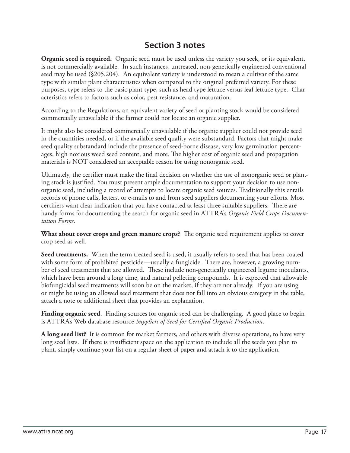#### **Section 3 notes**

**Organic seed is required.** Organic seed must be used unless the variety you seek, or its equivalent, is not commercially available. In such instances, untreated, non-genetically engineered conventional seed may be used (§205.204). An equivalent variety is understood to mean a cultivar of the same type with similar plant characteristics when compared to the original preferred variety. For these purposes, type refers to the basic plant type, such as head type lettuce versus leaf lettuce type. Characteristics refers to factors such as color, pest resistance, and maturation.

According to the Regulations, an equivalent variety of seed or planting stock would be considered commercially unavailable if the farmer could not locate an organic supplier.

It might also be considered commercially unavailable if the organic supplier could not provide seed in the quantities needed, or if the available seed quality were substandard. Factors that might make seed quality substandard include the presence of seed-borne disease, very low germination percentages, high noxious weed seed content, and more. The higher cost of organic seed and propagation materials is NOT considered an acceptable reason for using nonorganic seed.

Ultimately, the certifier must make the final decision on whether the use of nonorganic seed or planting stock is justified. You must present ample documentation to support your decision to use nonorganic seed, including a record of attempts to locate organic seed sources. Traditionally this entails records of phone calls, letters, or e-mails to and from seed suppliers documenting your efforts. Most certifiers want clear indication that you have contacted at least three suitable suppliers. There are handy forms for documenting the search for organic seed in ATTRA's *Organic Field Crops Documentation Forms*.

**What about cover crops and green manure crops?** The organic seed requirement applies to cover crop seed as well.

Seed treatments. When the term treated seed is used, it usually refers to seed that has been coated with some form of prohibited pesticide—usually a fungicide. There are, however, a growing number of seed treatments that are allowed. These include non-genetically engineered legume inoculants, which have been around a long time, and natural pelleting compounds. It is expected that allowable biofungicidal seed treatments will soon be on the market, if they are not already. If you are using or might be using an allowed seed treatment that does not fall into an obvious category in the table, attach a note or additional sheet that provides an explanation.

**Finding organic seed**. Finding sources for organic seed can be challenging. A good place to begin is ATTRA's Web database resource Suppliers of Seed for Certified Organic Production.

**A long seed list?** It is common for market farmers, and others with diverse operations, to have very long seed lists. If there is insufficient space on the application to include all the seeds you plan to plant, simply continue your list on a regular sheet of paper and attach it to the application.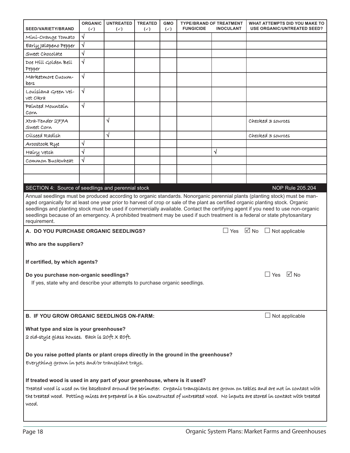| <b>SEED/VARIETY/BRAND</b>                                                                                                                                                                                                                                                                                                                                  | <b>ORGANIC</b><br>$(\checkmark)$ | <b>UNTREATED</b><br>$(\checkmark)$ | <b>TREATED</b><br>$(\checkmark)$ | <b>GMO</b><br>$(\checkmark)$ | <b>FUNGICIDE</b> | <b>TYPE/BRAND OF TREATMENT</b><br><b>INOCULANT</b> | WHAT ATTEMPTS DID YOU MAKE TO<br><b>USE ORGANIC/UNTREATED SEED?</b>                                                                                                                                                                                                                                                                                                                                                                                                                                                                 |  |
|------------------------------------------------------------------------------------------------------------------------------------------------------------------------------------------------------------------------------------------------------------------------------------------------------------------------------------------------------------|----------------------------------|------------------------------------|----------------------------------|------------------------------|------------------|----------------------------------------------------|-------------------------------------------------------------------------------------------------------------------------------------------------------------------------------------------------------------------------------------------------------------------------------------------------------------------------------------------------------------------------------------------------------------------------------------------------------------------------------------------------------------------------------------|--|
| Míní-Orange Tomato                                                                                                                                                                                                                                                                                                                                         | √                                |                                    |                                  |                              |                  |                                                    |                                                                                                                                                                                                                                                                                                                                                                                                                                                                                                                                     |  |
| Early Jalapeno Pepper                                                                                                                                                                                                                                                                                                                                      | √                                |                                    |                                  |                              |                  |                                                    |                                                                                                                                                                                                                                                                                                                                                                                                                                                                                                                                     |  |
| Sweet Chocolate                                                                                                                                                                                                                                                                                                                                            | $\sqrt{}$                        |                                    |                                  |                              |                  |                                                    |                                                                                                                                                                                                                                                                                                                                                                                                                                                                                                                                     |  |
| Doe Hill Golden Bell                                                                                                                                                                                                                                                                                                                                       | $\sqrt{}$                        |                                    |                                  |                              |                  |                                                    |                                                                                                                                                                                                                                                                                                                                                                                                                                                                                                                                     |  |
| Pepper                                                                                                                                                                                                                                                                                                                                                     |                                  |                                    |                                  |                              |                  |                                                    |                                                                                                                                                                                                                                                                                                                                                                                                                                                                                                                                     |  |
| Marketmore Cucum-<br>bers                                                                                                                                                                                                                                                                                                                                  | √                                |                                    |                                  |                              |                  |                                                    |                                                                                                                                                                                                                                                                                                                                                                                                                                                                                                                                     |  |
| Louisiana Green Vel-<br>vet Okra                                                                                                                                                                                                                                                                                                                           | $\sqrt{}$                        |                                    |                                  |                              |                  |                                                    |                                                                                                                                                                                                                                                                                                                                                                                                                                                                                                                                     |  |
| Paínted Mountain<br>Corn                                                                                                                                                                                                                                                                                                                                   | √                                |                                    |                                  |                              |                  |                                                    |                                                                                                                                                                                                                                                                                                                                                                                                                                                                                                                                     |  |
| Xtra-Tender 277A<br>Sweet Corn                                                                                                                                                                                                                                                                                                                             |                                  | √                                  |                                  |                              |                  |                                                    | Checked 3 sources                                                                                                                                                                                                                                                                                                                                                                                                                                                                                                                   |  |
| Oílseed Radísh                                                                                                                                                                                                                                                                                                                                             |                                  | √                                  |                                  |                              |                  |                                                    | Checked 3 sources                                                                                                                                                                                                                                                                                                                                                                                                                                                                                                                   |  |
| Aroostook Rye                                                                                                                                                                                                                                                                                                                                              | √                                |                                    |                                  |                              |                  |                                                    |                                                                                                                                                                                                                                                                                                                                                                                                                                                                                                                                     |  |
| Hairy Vetch                                                                                                                                                                                                                                                                                                                                                | $\sqrt{}$                        |                                    |                                  |                              |                  | √                                                  |                                                                                                                                                                                                                                                                                                                                                                                                                                                                                                                                     |  |
| Common Buckwheat                                                                                                                                                                                                                                                                                                                                           | √                                |                                    |                                  |                              |                  |                                                    |                                                                                                                                                                                                                                                                                                                                                                                                                                                                                                                                     |  |
|                                                                                                                                                                                                                                                                                                                                                            |                                  |                                    |                                  |                              |                  |                                                    |                                                                                                                                                                                                                                                                                                                                                                                                                                                                                                                                     |  |
|                                                                                                                                                                                                                                                                                                                                                            |                                  |                                    |                                  |                              |                  |                                                    |                                                                                                                                                                                                                                                                                                                                                                                                                                                                                                                                     |  |
| SECTION 4: Source of seedlings and perennial stock                                                                                                                                                                                                                                                                                                         |                                  |                                    |                                  |                              |                  |                                                    | NOP Rule 205.204                                                                                                                                                                                                                                                                                                                                                                                                                                                                                                                    |  |
| requirement.                                                                                                                                                                                                                                                                                                                                               |                                  |                                    |                                  |                              |                  |                                                    | Annual seedlings must be produced according to organic standards. Nonorganic perennial plants (planting stock) must be man-<br>aged organically for at least one year prior to harvest of crop or sale of the plant as certified organic planting stock. Organic<br>seedlings and planting stock must be used if commercially available. Contact the certifying agent if you need to use non-organic<br>seedlings because of an emergency. A prohibited treatment may be used if such treatment is a federal or state phytosanitary |  |
| A. DO YOU PURCHASE ORGANIC SEEDLINGS?                                                                                                                                                                                                                                                                                                                      |                                  |                                    |                                  |                              |                  | $\Box$ Yes                                         | $\boxdot$ No $\Box$ Not applicable                                                                                                                                                                                                                                                                                                                                                                                                                                                                                                  |  |
| Who are the suppliers?                                                                                                                                                                                                                                                                                                                                     |                                  |                                    |                                  |                              |                  |                                                    |                                                                                                                                                                                                                                                                                                                                                                                                                                                                                                                                     |  |
| If certified, by which agents?                                                                                                                                                                                                                                                                                                                             |                                  |                                    |                                  |                              |                  |                                                    |                                                                                                                                                                                                                                                                                                                                                                                                                                                                                                                                     |  |
| Do you purchase non-organic seedlings?                                                                                                                                                                                                                                                                                                                     |                                  |                                    |                                  |                              |                  |                                                    | $\Box$ Yes $\Box$ No                                                                                                                                                                                                                                                                                                                                                                                                                                                                                                                |  |
| If yes, state why and describe your attempts to purchase organic seedlings.                                                                                                                                                                                                                                                                                |                                  |                                    |                                  |                              |                  |                                                    |                                                                                                                                                                                                                                                                                                                                                                                                                                                                                                                                     |  |
|                                                                                                                                                                                                                                                                                                                                                            |                                  |                                    |                                  |                              |                  |                                                    |                                                                                                                                                                                                                                                                                                                                                                                                                                                                                                                                     |  |
|                                                                                                                                                                                                                                                                                                                                                            |                                  |                                    |                                  |                              |                  |                                                    |                                                                                                                                                                                                                                                                                                                                                                                                                                                                                                                                     |  |
|                                                                                                                                                                                                                                                                                                                                                            |                                  |                                    |                                  |                              |                  |                                                    |                                                                                                                                                                                                                                                                                                                                                                                                                                                                                                                                     |  |
| <b>B. IF YOU GROW ORGANIC SEEDLINGS ON-FARM:</b>                                                                                                                                                                                                                                                                                                           |                                  |                                    |                                  |                              |                  |                                                    | $\Box$ Not applicable                                                                                                                                                                                                                                                                                                                                                                                                                                                                                                               |  |
| What type and size is your greenhouse?                                                                                                                                                                                                                                                                                                                     |                                  |                                    |                                  |                              |                  |                                                    |                                                                                                                                                                                                                                                                                                                                                                                                                                                                                                                                     |  |
| 2 old-style glass houses. Each is 20ft X 80ft.                                                                                                                                                                                                                                                                                                             |                                  |                                    |                                  |                              |                  |                                                    |                                                                                                                                                                                                                                                                                                                                                                                                                                                                                                                                     |  |
|                                                                                                                                                                                                                                                                                                                                                            |                                  |                                    |                                  |                              |                  |                                                    |                                                                                                                                                                                                                                                                                                                                                                                                                                                                                                                                     |  |
| Do you raise potted plants or plant crops directly in the ground in the greenhouse?<br>Everything grown in pots and/or transplant trays.                                                                                                                                                                                                                   |                                  |                                    |                                  |                              |                  |                                                    |                                                                                                                                                                                                                                                                                                                                                                                                                                                                                                                                     |  |
|                                                                                                                                                                                                                                                                                                                                                            |                                  |                                    |                                  |                              |                  |                                                    |                                                                                                                                                                                                                                                                                                                                                                                                                                                                                                                                     |  |
| If treated wood is used in any part of your greenhouse, where is it used?<br>Treated wood is used on the baseboard around the perimeter. Organic transplants are grown on tables and are not in contact with<br>the treated wood. Potting mixes are prepared in a bin constructed of untreated wood. No inputs are stored in contact with treated<br>wood. |                                  |                                    |                                  |                              |                  |                                                    |                                                                                                                                                                                                                                                                                                                                                                                                                                                                                                                                     |  |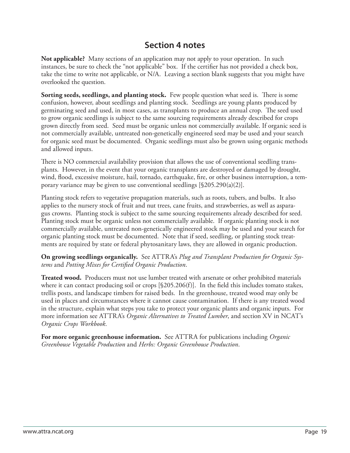#### **Section 4 notes**

**Not applicable?** Many sections of an application may not apply to your operation. In such instances, be sure to check the "not applicable" box. If the certifier has not provided a check box, take the time to write not applicable, or N/A. Leaving a section blank suggests that you might have overlooked the question.

**Sorting seeds, seedlings, and planting stock.** Few people question what seed is. There is some confusion, however, about seedlings and planting stock. Seedlings are young plants produced by germinating seed and used, in most cases, as transplants to produce an annual crop. The seed used to grow organic seedlings is subject to the same sourcing requirements already described for crops grown directly from seed. Seed must be organic unless not commercially available. If organic seed is not commercially available, untreated non-genetically engineered seed may be used and your search for organic seed must be documented. Organic seedlings must also be grown using organic methods and allowed inputs.

There is NO commercial availability provision that allows the use of conventional seedling transplants. However, in the event that your organic transplants are destroyed or damaged by drought, wind, flood, excessive moisture, hail, tornado, earthquake, fire, or other business interruption, a temporary variance may be given to use conventional seedlings [§205.290(a)(2)].

Planting stock refers to vegetative propagation materials, such as roots, tubers, and bulbs. It also applies to the nursery stock of fruit and nut trees, cane fruits, and strawberries, as well as asparagus crowns. Planting stock is subject to the same sourcing requirements already described for seed. Planting stock must be organic unless not commercially available. If organic planting stock is not commercially available, untreated non-genetically engineered stock may be used and your search for organic planting stock must be documented. Note that if seed, seedling, or planting stock treatments are required by state or federal phytosanitary laws, they are allowed in organic production.

**On growing seedlings organically.** See ATTRA's *Plug and Transplant Production for Organic Systems* and *Potting Mixes for Certified Organic Production*.

**Treated wood.** Producers must not use lumber treated with arsenate or other prohibited materials where it can contact producing soil or crops  $[§205.206(f)].$  In the field this includes tomato stakes, trellis posts, and landscape timbers for raised beds. In the greenhouse, treated wood may only be used in places and circumstances where it cannot cause contamination. If there is any treated wood in the structure, explain what steps you take to protect your organic plants and organic inputs. For more information see ATTRA's *Organic Alternatives to Treated Lumber*, and section XV in NCAT's *Organic Crops Workbook*.

**For more organic greenhouse information.** See ATTRA for publications including *Organic Greenhouse Vegetable Production* and *Herbs: Organic Greenhouse Production*.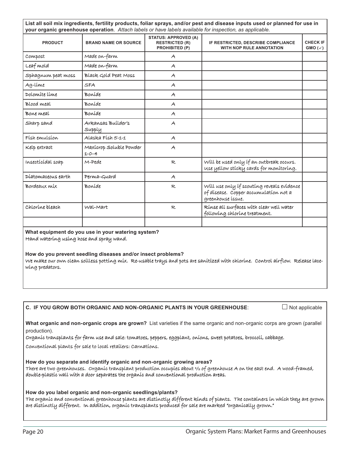| <b>PRODUCT</b>                                              | <b>BRAND NAME OR SOURCE</b>                                                                                        | <b>STATUS: APPROVED (A)</b><br><b>RESTRICTED (R)</b><br><b>PROHIBITED (P)</b> | IF RESTRICTED, DESCRIBE COMPLIANCE<br><b>WITH NOP RULE ANNOTATION</b>                                                            | <b>CHECK IF</b><br>$GMO(\checkmark)$ |
|-------------------------------------------------------------|--------------------------------------------------------------------------------------------------------------------|-------------------------------------------------------------------------------|----------------------------------------------------------------------------------------------------------------------------------|--------------------------------------|
| Compost                                                     | Made on-farm                                                                                                       | $\mathcal{A}$                                                                 |                                                                                                                                  |                                      |
| Leaf mold                                                   | Made on-farm                                                                                                       | A                                                                             |                                                                                                                                  |                                      |
| Sphagnum peat moss                                          | Black Gold Peat Moss                                                                                               | A                                                                             |                                                                                                                                  |                                      |
| Ag-lime                                                     | <b>SFA</b>                                                                                                         | A                                                                             |                                                                                                                                  |                                      |
| Dolomíte líme                                               | Boníde                                                                                                             | A                                                                             |                                                                                                                                  |                                      |
| Blood meal                                                  | Boníde                                                                                                             | A                                                                             |                                                                                                                                  |                                      |
| Bone meal                                                   | Boníde                                                                                                             | A                                                                             |                                                                                                                                  |                                      |
| Sharp sand                                                  | Arkansas Builder's<br>Supply                                                                                       | A                                                                             |                                                                                                                                  |                                      |
| Físh emulsíon                                               | Alaska Físh 5-1-1                                                                                                  | A                                                                             |                                                                                                                                  |                                      |
| Kelp extract                                                | Maxícrop Soluble Powder<br>$1 - 0 - 4$                                                                             | A                                                                             |                                                                                                                                  |                                      |
| Insecticidal soap                                           | M-Pede                                                                                                             | R                                                                             | Will be used only if an outbreak occurs.<br>use yellow sticky cards for monitoring.                                              |                                      |
| Díatomaceous earth                                          | Perma-Guard                                                                                                        | A                                                                             |                                                                                                                                  |                                      |
| Bordeaux míx                                                | Boníde                                                                                                             | R                                                                             | Will use only if scouting reveals evidence<br>of dísease. Copper accumulation not a<br>greenhouse issue.                         |                                      |
| Chloríne bleach                                             | Wal-Mart                                                                                                           | R                                                                             | Rinse all surfaces with clear well water<br>following chlorine treatment.                                                        |                                      |
|                                                             |                                                                                                                    |                                                                               |                                                                                                                                  |                                      |
| Hand watering using hose and spray wand.<br>wing predators. | What equipment do you use in your watering system?<br>How do you prevent seedling diseases and/or insect problems? |                                                                               | We make our own clean soilless potting mix. Re-usable trays and pots are sanitized with chlorine. Control airflow. Release lace- |                                      |

**What organic and non-organic crops are grown?** List varieties if the same organic and non-organic corps are grown (parallel production).

Organic transplants for farm use and sale: tomatoes, peppers, eggplant, onions, sweet potatoes, broccoli, cabbage.

Conventional plants for sale to local retailers: Carnations.

**How do you separate and identify organic and non-organic growing areas?** There are two greenhouses. Organic transplant production occupies about ½ of greenhouse A on the east end. A wood-framed, here double-plastic wall with a door separates the organic and conventional production areas.

**How do you label organic and non-organic seedlings/plants?** The organic and conventional greenhouse plants are distinctly different kinds of plants. The containers in which they are grown are distinctly different. In addition, organic transplants produced for sale are marked "organically grown."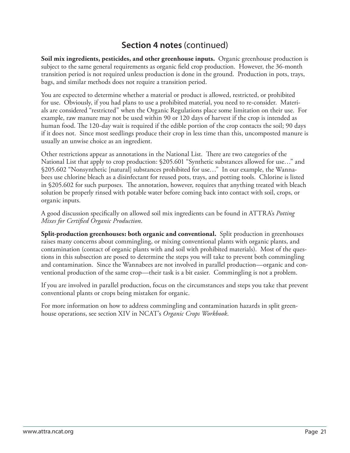**Soil mix ingredients, pesticides, and other greenhouse inputs.** Organic greenhouse production is subject to the same general requirements as organic field crop production. However, the 36-month transition period is not required unless production is done in the ground. Production in pots, trays, bags, and similar methods does not require a transition period.

You are expected to determine whether a material or product is allowed, restricted, or prohibited for use. Obviously, if you had plans to use a prohibited material, you need to re-consider. Materials are considered "restricted" when the Organic Regulations place some limitation on their use. For example, raw manure may not be used within 90 or 120 days of harvest if the crop is intended as human food. The 120-day wait is required if the edible portion of the crop contacts the soil; 90 days if it does not. Since most seedlings produce their crop in less time than this, uncomposted manure is usually an unwise choice as an ingredient.

Other restrictions appear as annotations in the National List. There are two categories of the National List that apply to crop production: §205.601 "Synthetic substances allowed for use…" and §205.602 "Nonsynthetic [natural] substances prohibited for use…" In our example, the Wannabees use chlorine bleach as a disinfectant for reused pots, trays, and potting tools. Chlorine is listed in §205.602 for such purposes. The annotation, however, requires that anything treated with bleach solution be properly rinsed with potable water before coming back into contact with soil, crops, or organic inputs.

A good discussion specifically on allowed soil mix ingredients can be found in ATTRA's *Potting Mixes for Certified Organic Production.* 

**Split-production greenhouses: both organic and conventional.** Split production in greenhouses raises many concerns about commingling, or mixing conventional plants with organic plants, and contamination (contact of organic plants with and soil with prohibited materials). Most of the questions in this subsection are posed to determine the steps you will take to prevent both commingling and contamination. Since the Wannabees are not involved in parallel production—organic and conventional production of the same crop—their task is a bit easier. Commingling is not a problem.

If you are involved in parallel production, focus on the circumstances and steps you take that prevent conventional plants or crops being mistaken for organic.

For more information on how to address commingling and contamination hazards in split greenhouse operations, see section XIV in NCAT's *Organic Crops Workbook*.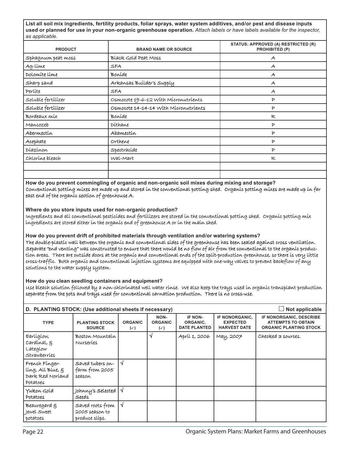**List all soil mix ingredients, fertility products, foliar sprays, water system additives, and/or pest and disease inputs used or planned for use in your non-organic greenhouse operation.** *Attach labels or have labels available for the inspector, as applicable.*

| <b>PRODUCT</b>     | <b>BRAND NAME OR SOURCE</b>           | STATUS: APPROVED (A) RESTRICTED (R)<br>PROHIBITED (P) |
|--------------------|---------------------------------------|-------------------------------------------------------|
| Sphagnum peat moss | Black Gold Peat Moss                  | $\mathcal{A}$                                         |
| Ag-lime            | SFA                                   | $\mathcal{A}$                                         |
| Dolomite lime      | Boníde                                | $\mathcal{A}$                                         |
| Sharp sand         | Arkansas Builder's Supply             | $\mathcal{A}$                                         |
| Perlite            | SFA                                   | $\mathcal{A}$                                         |
| Soluble fertílízer | Osmocote 19-6-12 With Micronutrients  | $\mathcal{P}$                                         |
| Soluble fertílízer | Osmocote 14-14-14 With Micronutrients | $\mathcal{P}$                                         |
| Bordeaux míx       | Boníde                                | R                                                     |
| Mancozeb           | Díthane                               | $\mathcal{P}$                                         |
| Abermectín         | Abamectín                             | $\mathcal{P}$                                         |
| Acephate           | Orthene                               | $\mathcal{P}$                                         |
| Díazínon           | Spectracide                           | $\mathcal{P}$                                         |
| Chloríne bleach    | Wal-Mart                              | R                                                     |
|                    |                                       |                                                       |
|                    |                                       |                                                       |

**How do you prevent commingling of organic and non-organic soil mixes during mixing and storage?** Conventíonal pottíng míxes are made up and stored ín the conventíonal pottíng shed. Organíc pottíng míxes are made up ín far east end of the organic section of greenhouse  $A$ .

**Where do you store inputs used for non-organic production?**

Ingredients and all conventional pesticides and fertilizers are stored in the conventional potting shed. Organic potting mix ngredients ingredients are stored either in the organic end of greenhouse  $\mathcal A$  or in the main shed.

**How do you prevent drift of prohibited materials through ventilation and/or watering systems?**

The double-plastic wall between the organic and conventional sides of the greenhouse has been sealed against cross ventilation. Separate "end venting" was constructed to ensure that there would be no flow of air from the conventional to the organic productíon areas. There are outsíde doors at the organic and conventional ends of the split-production greenhouse, so there is very little cross-traffic. Both organic and conventional injection systems are equipped with one-way valves to prevent backflow of any solutions to the water supply system.

**How do you clean seedling containers and equipment?**

Use bleach solution followed by a non-chlorinated well water rinse. We also keep the trays used in organic transplant production separate from the pots and trays used for conventional carnation production. There is no cross-use.

| Not applicable<br>D. PLANTING STOCK: (Use additional sheets if necessary) |                                                      |                                  |                                    |                                            |                                                          |                                                                                       |
|---------------------------------------------------------------------------|------------------------------------------------------|----------------------------------|------------------------------------|--------------------------------------------|----------------------------------------------------------|---------------------------------------------------------------------------------------|
| <b>TYPE</b>                                                               | <b>PLANTING STOCK</b><br><b>SOURCE</b>               | <b>ORGANIC</b><br>$(\checkmark)$ | NON-<br><b>ORGANIC</b><br>$(\vee)$ | IF NON-<br>ORGANIC,<br><b>DATE PLANTED</b> | IF NONORGANIC,<br><b>EXPECTED</b><br><b>HARVEST DATE</b> | IF NONORGANIC, DESCRIBE<br><b>ATTEMPTS TO OBTAIN</b><br><b>ORGANIC PLANTING STOCK</b> |
| Earlíglow,<br>Cardínal, g<br>Lateglow<br>Strawberries                     | Boston Mountain<br>Nurseries                         |                                  | N                                  | Apríl 1, 2006                              | Мау, 2007                                                | Checked 3 sources.                                                                    |
| French Finger-<br>líng, All Blue, g<br>Dark Red Norland<br>Potatoes       | saved tubers on-<br>farm from 2005<br>season         | √                                |                                    |                                            |                                                          |                                                                                       |
| Yukon Gold<br>Potatoes                                                    | Johnny's Selected  <br>Seeds                         | √                                |                                    |                                            |                                                          |                                                                                       |
| Beauregard g<br>Jewel Sweet<br>potatoes                                   | saved roots from<br>2005 season to<br>produce slips. | $\sqrt{ }$                       |                                    |                                            |                                                          |                                                                                       |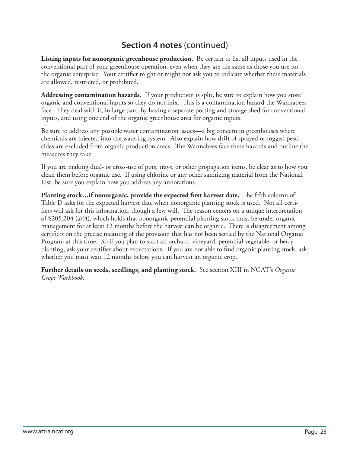**Listing inputs for nonorganic greenhouse production.** Be certain to list all inputs used in the conventional part of your greenhouse operation, even when they are the same as those you use for the organic enterprise. Your certifier might or might not ask you to indicate whether these materials are allowed, restricted, or prohibited.

**Addressing contamination hazards.** If your production is split, be sure to explain how you store organic and conventional inputs so they do not mix. This is a contamination hazard the Wannabees face. They deal with it, in large part, by having a separate potting and storage shed for conventional inputs, and using one end of the organic greenhouse area for organic inputs.

Be sure to address any possible water contamination issues—a big concern in greenhouses where chemicals are injected into the watering system. Also explain how drift of sprayed or fogged pesticides are excluded from organic production areas. The Wannabees face these hazards and outline the measures they take.

If you are making dual- or cross-use of pots, trays, or other propagation items, be clear as to how you clean them before organic use. If using chlorine or any other sanitizing material from the National List, be sure you explain how you address any annotations.

**Planting stock…if nonorganic, provide the expected first harvest date.** The fifth column of Table D asks for the expected harvest date when nonorganic planting stock is used. Not all certifiers will ask for this information, though a few will. The reason centers on a unique interpretation of §205.204 (a)(4), which holds that nonorganic perennial planting stock must be under organic management for at least 12 months before the harvest can be organic. There is disagreement among certifiers on the precise meaning of the provision that has not been settled by the National Organic Program at this time. So if you plan to start an orchard, vineyard, perennial vegetable, or berry planting, ask your certifier about expectations. If you are not able to find organic planting stock, ask whether you must wait 12 months before you can harvest an organic crop.

**Further details on seeds, seedlings, and planting stock.** See section XIII in NCAT's *Organic Crops Workbook*.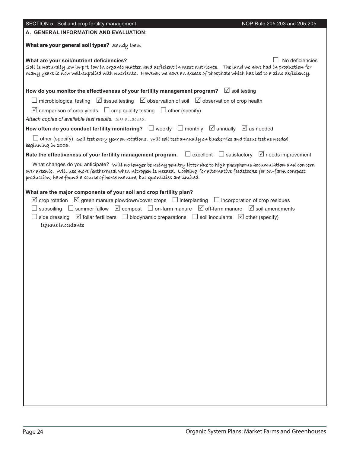| SECTION 5: Soil and crop fertility management                                                                                                                                                                                                                                                                                                                                                                                                                                              | NOP Rule 205.203 and 205.205 |
|--------------------------------------------------------------------------------------------------------------------------------------------------------------------------------------------------------------------------------------------------------------------------------------------------------------------------------------------------------------------------------------------------------------------------------------------------------------------------------------------|------------------------------|
| A. GENERAL INFORMATION AND EVALUATION:                                                                                                                                                                                                                                                                                                                                                                                                                                                     |                              |
| <b>What are your general soil types?</b> Sandy loam                                                                                                                                                                                                                                                                                                                                                                                                                                        |                              |
| What are your soil/nutrient deficiencies?<br>Soíl ís naturally low ín pH, low ín organíc matter, and deficíent ín most nutríents. The land we have had ín productíon for<br>many years is now well-supplied with nutrients. However, we have an excess of phosphate which has led to a zinc deficiency.                                                                                                                                                                                    | No deficiencies              |
| How do you monitor the effectiveness of your fertility management program? $\boxtimes$ soil testing                                                                                                                                                                                                                                                                                                                                                                                        |                              |
| $\Box$ microbiological testing $\Box$ issue testing $\Box$ observation of soil $\Box$ observation of crop health                                                                                                                                                                                                                                                                                                                                                                           |                              |
| $\boxtimes$ comparison of crop yields $\Box$ crop quality testing $\Box$ other (specify)<br>Attach copies of available test results. See attached.                                                                                                                                                                                                                                                                                                                                         |                              |
| How often do you conduct fertility monitoring? $\Box$ weekly $\Box$ monthly $\boxtimes$ annually $\boxtimes$ as needed                                                                                                                                                                                                                                                                                                                                                                     |                              |
| $\Box$ other (specify) soil test every year on rotations. Will soil test annually on blueberries and tissue test as needed<br>beginning in 2006.                                                                                                                                                                                                                                                                                                                                           |                              |
| Rate the effectiveness of your fertility management program. $\Box$ excellent $\Box$ satisfactory $\Box$ needs improvement                                                                                                                                                                                                                                                                                                                                                                 |                              |
| What changes do you anticipate? Will no longer be using poultry litter due to high phosphorus accumulation and concern<br>over arsenic. Will use more feathermeal when nitrogen is needed. Looking for alternative feedstocks for on-farm compost<br>production; have found a source of horse manure, but quantities are limited.                                                                                                                                                          |                              |
| What are the major components of your soil and crop fertility plan?<br>$\boxtimes$ crop rotation $\boxtimes$ green manure plowdown/cover crops $\Box$ interplanting $\Box$ incorporation of crop residues<br>$\Box$ subsoiling $\Box$ summer fallow $\Box$ compost $\Box$ on-farm manure $\Box$ off-farm manure $\Box$ soil amendments<br>$\Box$ side dressing $\Box$ foliar fertilizers $\Box$ biodynamic preparations $\Box$ soil inoculants $\Box$ other (specify)<br>legume inoculants |                              |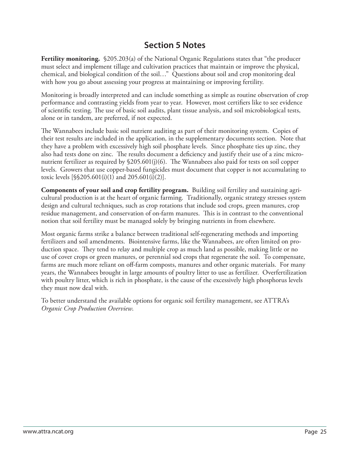### **Section 5 Notes**

**Fertility monitoring.** §205.203(a) of the National Organic Regulations states that "the producer must select and implement tillage and cultivation practices that maintain or improve the physical, chemical, and biological condition of the soil…" Questions about soil and crop monitoring deal with how you go about assessing your progress at maintaining or improving fertility.

Monitoring is broadly interpreted and can include something as simple as routine observation of crop performance and contrasting yields from year to year. However, most certifiers like to see evidence of scientific testing. The use of basic soil audits, plant tissue analysis, and soil microbiological tests, alone or in tandem, are preferred, if not expected.

The Wannabees include basic soil nutrient auditing as part of their monitoring system. Copies of their test results are included in the application, in the supplementary documents section. Note that they have a problem with excessively high soil phosphate levels. Since phosphate ties up zinc, they also had tests done on zinc. The results document a deficiency and justify their use of a zinc micronutrient fertilizer as required by  $\S205.601(j)(6)$ . The Wannabees also paid for tests on soil copper levels. Growers that use copper-based fungicides must document that copper is not accumulating to toxic levels [§§205.601(i)(1) and 205.601(i)(2)].

**Components of your soil and crop fertility program.** Building soil fertility and sustaining agricultural production is at the heart of organic farming. Traditionally, organic strategy stresses system design and cultural techniques, such as crop rotations that include sod crops, green manures, crop residue management, and conservation of on-farm manures. This is in contrast to the conventional notion that soil fertility must be managed solely by bringing nutrients in from elsewhere.

Most organic farms strike a balance between traditional self-regenerating methods and importing fertilizers and soil amendments. Biointensive farms, like the Wannabees, are often limited on production space. They tend to relay and multiple crop as much land as possible, making little or no use of cover crops or green manures, or perennial sod crops that regenerate the soil. To compensate, farms are much more reliant on off-farm composts, manures and other organic materials. For many years, the Wannabees brought in large amounts of poultry litter to use as fertilizer. Overfertilization with poultry litter, which is rich in phosphate, is the cause of the excessively high phosphorus levels they must now deal with.

To better understand the available options for organic soil fertility management, see ATTRA's *Organic Crop Production Overview*.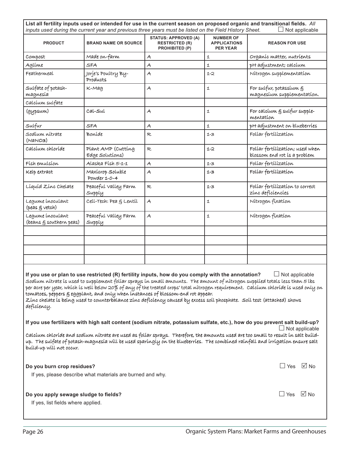|                                                                                                                                                                                                                                                                                                                                                                                                                                                                                                                                                                                                                               | inputs used during the current year and previous three years must be listed on the Field History Sheet. |                                                                               |                                                            | List all fertility inputs used or intended for use in the current season on proposed organic and transitional fields. All<br>Not applicable                                                                                                                         |  |  |
|-------------------------------------------------------------------------------------------------------------------------------------------------------------------------------------------------------------------------------------------------------------------------------------------------------------------------------------------------------------------------------------------------------------------------------------------------------------------------------------------------------------------------------------------------------------------------------------------------------------------------------|---------------------------------------------------------------------------------------------------------|-------------------------------------------------------------------------------|------------------------------------------------------------|---------------------------------------------------------------------------------------------------------------------------------------------------------------------------------------------------------------------------------------------------------------------|--|--|
| <b>PRODUCT</b>                                                                                                                                                                                                                                                                                                                                                                                                                                                                                                                                                                                                                | <b>BRAND NAME OR SOURCE</b>                                                                             | <b>STATUS: APPROVED (A)</b><br><b>RESTRICTED (R)</b><br><b>PROHIBITED (P)</b> | <b>NUMBER OF</b><br><b>APPLICATIONS</b><br><b>PER YEAR</b> | <b>REASON FOR USE</b>                                                                                                                                                                                                                                               |  |  |
| Compost                                                                                                                                                                                                                                                                                                                                                                                                                                                                                                                                                                                                                       | Made on-farm                                                                                            | A                                                                             | $\mathbf 1$                                                | Organic matter, nutrients                                                                                                                                                                                                                                           |  |  |
| Aglime                                                                                                                                                                                                                                                                                                                                                                                                                                                                                                                                                                                                                        | SFA                                                                                                     | A                                                                             | 1                                                          | pH adjustment; calcium                                                                                                                                                                                                                                              |  |  |
| Feathermeal                                                                                                                                                                                                                                                                                                                                                                                                                                                                                                                                                                                                                   | Jorje's Poultry By-<br>Products                                                                         | A                                                                             | $1 - 2$                                                    | Nítrogen supplementation                                                                                                                                                                                                                                            |  |  |
| Sulfate of potash-<br>magnesía                                                                                                                                                                                                                                                                                                                                                                                                                                                                                                                                                                                                | $K$ -Mag                                                                                                | A                                                                             | 1                                                          | For sulfur, potassium g<br>magnesium supplementation.                                                                                                                                                                                                               |  |  |
| Calcíum sulfate                                                                                                                                                                                                                                                                                                                                                                                                                                                                                                                                                                                                               |                                                                                                         |                                                                               |                                                            |                                                                                                                                                                                                                                                                     |  |  |
| (gypsum)                                                                                                                                                                                                                                                                                                                                                                                                                                                                                                                                                                                                                      | Cal-Sul                                                                                                 | A                                                                             | 1                                                          | For calcium g sulfur supple-<br>mentation                                                                                                                                                                                                                           |  |  |
| Sulfur                                                                                                                                                                                                                                                                                                                                                                                                                                                                                                                                                                                                                        | SFA                                                                                                     | $\mathcal{A}_{\mathcal{C}}$                                                   | $\mathbf{1}$                                               | pH adjustment on blueberries                                                                                                                                                                                                                                        |  |  |
| Sodíum nítrate<br>(NANOS)                                                                                                                                                                                                                                                                                                                                                                                                                                                                                                                                                                                                     | Boníde                                                                                                  | R                                                                             | $1 - 3$                                                    | Folíar fertílízation                                                                                                                                                                                                                                                |  |  |
| Calcíum chloríde                                                                                                                                                                                                                                                                                                                                                                                                                                                                                                                                                                                                              | Plant AMP (Cutting<br>Edge Solutions)                                                                   | R.                                                                            | 1-2                                                        | Foliar fertilization; used when<br>blossom end rot is a problem                                                                                                                                                                                                     |  |  |
| Físh emulsíon                                                                                                                                                                                                                                                                                                                                                                                                                                                                                                                                                                                                                 | Alaska Físh 5-1-1                                                                                       | A                                                                             | $1 - 3$                                                    | Folíar fertílízatíon                                                                                                                                                                                                                                                |  |  |
| Kelp extract                                                                                                                                                                                                                                                                                                                                                                                                                                                                                                                                                                                                                  | Maxícrop Soluble<br>Powder 1-0-4                                                                        | Ā                                                                             | $1 - 3$                                                    | Folíar fertílízatíon                                                                                                                                                                                                                                                |  |  |
| Líquíd Zínc Chelate                                                                                                                                                                                                                                                                                                                                                                                                                                                                                                                                                                                                           | Peaceful valley Farm<br>Supply                                                                          | R                                                                             | $1 - 3$                                                    | Folíar fertilization to correct<br>zínc deficiencies                                                                                                                                                                                                                |  |  |
| Legume inoculant<br>(peas g vetch)                                                                                                                                                                                                                                                                                                                                                                                                                                                                                                                                                                                            | Cell-Tech: Pea g Lentil                                                                                 | $\mathcal{A}$                                                                 | 1                                                          | Nítrogen fíxatíon                                                                                                                                                                                                                                                   |  |  |
| Legume inoculant<br>(beans $\xi$ southern peas)                                                                                                                                                                                                                                                                                                                                                                                                                                                                                                                                                                               | Peaceful valley Farm<br>Supply                                                                          | A                                                                             | 1                                                          | Nítrogen fíxatíon                                                                                                                                                                                                                                                   |  |  |
|                                                                                                                                                                                                                                                                                                                                                                                                                                                                                                                                                                                                                               |                                                                                                         |                                                                               |                                                            |                                                                                                                                                                                                                                                                     |  |  |
|                                                                                                                                                                                                                                                                                                                                                                                                                                                                                                                                                                                                                               |                                                                                                         |                                                                               |                                                            |                                                                                                                                                                                                                                                                     |  |  |
|                                                                                                                                                                                                                                                                                                                                                                                                                                                                                                                                                                                                                               |                                                                                                         |                                                                               |                                                            |                                                                                                                                                                                                                                                                     |  |  |
|                                                                                                                                                                                                                                                                                                                                                                                                                                                                                                                                                                                                                               |                                                                                                         |                                                                               |                                                            |                                                                                                                                                                                                                                                                     |  |  |
| If you use or plan to use restricted (R) fertility inputs, how do you comply with the annotation? $\Box$ Not applicable<br>Sodíum nítrate ís used to supplement folíar sprays ín small amounts. The amount of nítrogen supplíed totals less than 5 lbs<br>per acre per year, whích ís well below 20% of any of the treated crops' total nítrogen requírement. Calcíum chloríde ís used only on<br>tomatoes, peppers § eggplant, and only when instances of blossom-end rot appear.<br>Zínc chelate ís beíng used to counterbalance zínc defícíency caused by excess soíl phosphate. Soíl test (attached) shows<br>deficiency. |                                                                                                         |                                                                               |                                                            |                                                                                                                                                                                                                                                                     |  |  |
|                                                                                                                                                                                                                                                                                                                                                                                                                                                                                                                                                                                                                               |                                                                                                         |                                                                               |                                                            | If you use fertilizers with high salt content (sodium nitrate, potassium sulfate, etc.), how do you prevent salt build-up?<br>$\Box$ Not applicable                                                                                                                 |  |  |
| build-up will not occur.                                                                                                                                                                                                                                                                                                                                                                                                                                                                                                                                                                                                      |                                                                                                         |                                                                               |                                                            | calcíum chloríde and sodíum nitrate are used as folíar sprays. Therefore, the amounts used are too small to result in salt build-<br>up. The sulfate of potash-magnesía will be used sparingly on the blueberries. The combined rainfall and irrigation ensure salt |  |  |
| Do you burn crop residues?                                                                                                                                                                                                                                                                                                                                                                                                                                                                                                                                                                                                    | If yes, please describe what materials are burned and why.                                              |                                                                               |                                                            | $\Box$ Yes $\Box$ No                                                                                                                                                                                                                                                |  |  |
| Do you apply sewage sludge to fields?<br>If yes, list fields where applied.                                                                                                                                                                                                                                                                                                                                                                                                                                                                                                                                                   |                                                                                                         |                                                                               |                                                            | $\Box$ Yes $\Box$ No                                                                                                                                                                                                                                                |  |  |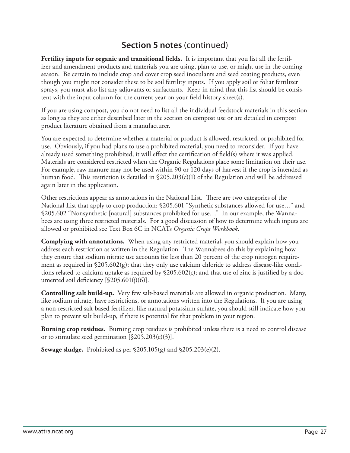**Fertility inputs for organic and transitional fields.** It is important that you list all the fertilizer and amendment products and materials you are using, plan to use, or might use in the coming season. Be certain to include crop and cover crop seed inoculants and seed coating products, even though you might not consider these to be soil fertility inputs. If you apply soil or foliar fertilizer sprays, you must also list any adjuvants or surfactants. Keep in mind that this list should be consistent with the input column for the current year on your field history sheet(s).

If you are using compost, you do not need to list all the individual feedstock materials in this section as long as they are either described later in the section on compost use or are detailed in compost product literature obtained from a manufacturer.

You are expected to determine whether a material or product is allowed, restricted, or prohibited for use. Obviously, if you had plans to use a prohibited material, you need to reconsider. If you have already used something prohibited, it will effect the certification of field(s) where it was applied. Materials are considered restricted when the Organic Regulations place some limitation on their use. For example, raw manure may not be used within 90 or 120 days of harvest if the crop is intended as human food. This restriction is detailed in  $\S205.203(c)(1)$  of the Regulation and will be addressed again later in the application.

Other restrictions appear as annotations in the National List. There are two categories of the National List that apply to crop production: §205.601 "Synthetic substances allowed for use…" and §205.602 "Nonsynthetic [natural] substances prohibited for use…" In our example, the Wannabees are using three restricted materials. For a good discussion of how to determine which inputs are allowed or prohibited see Text Box 6C in NCATs *Organic Crops Workbook*.

**Complying with annotations.** When using any restricted material, you should explain how you address each restriction as written in the Regulation. The Wannabees do this by explaining how they ensure that sodium nitrate use accounts for less than 20 percent of the crop nitrogen requirement as required in  $$205.602(g)$ ; that they only use calcium chloride to address disease-like conditions related to calcium uptake as required by  $\S205.602(c)$ ; and that use of zinc is justified by a documented soil deficiency  $[$205.601(j)(6)].$ 

**Controlling salt build-up.** Very few salt-based materials are allowed in organic production. Many, like sodium nitrate, have restrictions, or annotations written into the Regulations. If you are using a non-restricted salt-based fertilizer, like natural potassium sulfate, you should still indicate how you plan to prevent salt build-up, if there is potential for that problem in your region.

**Burning crop residues.** Burning crop residues is prohibited unless there is a need to control disease or to stimulate seed germination [§205.203(e)(3)].

**Sewage sludge.** Prohibited as per §205.105(g) and §205.203(e)(2).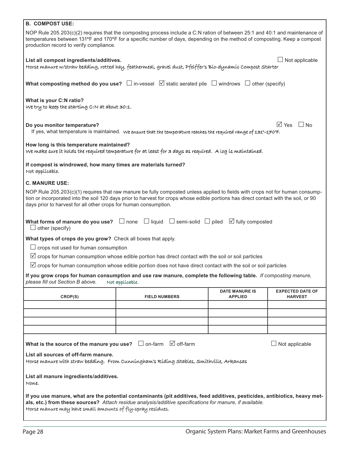| <b>B. COMPOST USE:</b>                                                                                                                                                                                                                                                                               |                                                                                                                                                                                                                                                                       |                                         |                                           |  |  |  |  |  |
|------------------------------------------------------------------------------------------------------------------------------------------------------------------------------------------------------------------------------------------------------------------------------------------------------|-----------------------------------------------------------------------------------------------------------------------------------------------------------------------------------------------------------------------------------------------------------------------|-----------------------------------------|-------------------------------------------|--|--|--|--|--|
| NOP Rule 205.203(c)(2) requires that the composting process include a C:N ration of between 25:1 and 40:1 and maintenance of<br>temperatures between 131°F and 170°F for a specific number of days, depending on the method of composting. Keep a compost<br>production record to verify compliance. |                                                                                                                                                                                                                                                                       |                                         |                                           |  |  |  |  |  |
|                                                                                                                                                                                                                                                                                                      | Not applicable<br>List all compost ingredients/additives.<br>Horse manure w/straw bedding, rotted hay, feathermeal, gravel dust, Pfeiffer's Bio-dynamic Compost Starter                                                                                               |                                         |                                           |  |  |  |  |  |
| What composting method do you use? $\Box$ in-vessel $\Box$ static aerated pile $\Box$ windrows $\Box$ other (specify)                                                                                                                                                                                |                                                                                                                                                                                                                                                                       |                                         |                                           |  |  |  |  |  |
| What is your C:N ratio?<br>We try to keep the starting C:N at about 30:1.                                                                                                                                                                                                                            |                                                                                                                                                                                                                                                                       |                                         |                                           |  |  |  |  |  |
| Do you monitor temperature?                                                                                                                                                                                                                                                                          | If yes, what temperature is maintained. We ensure that the temperature reaches the required range of 131°-170°F.                                                                                                                                                      |                                         | $\sqrt{ }$ Yes<br>$\Box$ No               |  |  |  |  |  |
| How long is this temperature maintained?                                                                                                                                                                                                                                                             | We make sure it holds the required temperature for at least for 3 days as required. A log is maintained.                                                                                                                                                              |                                         |                                           |  |  |  |  |  |
| If compost is windrowed, how many times are materials turned?<br>Not applicable.                                                                                                                                                                                                                     |                                                                                                                                                                                                                                                                       |                                         |                                           |  |  |  |  |  |
| <b>C. MANURE USE:</b>                                                                                                                                                                                                                                                                                |                                                                                                                                                                                                                                                                       |                                         |                                           |  |  |  |  |  |
| days prior to harvest for all other crops for human consumption.                                                                                                                                                                                                                                     | NOP Rule 205.203(c)(1) requires that raw manure be fully composted unless applied to fields with crops not for human consump-<br>tion or incorporated into the soil 120 days prior to harvest for crops whose edible portions has direct contact with the soil, or 90 |                                         |                                           |  |  |  |  |  |
| $\Box$ other (specify)                                                                                                                                                                                                                                                                               | What forms of manure do you use? $\Box$ none $\Box$ liquid $\Box$ semi-solid $\Box$ piled $\Box$ fully composted                                                                                                                                                      |                                         |                                           |  |  |  |  |  |
| What types of crops do you grow? Check all boxes that apply.                                                                                                                                                                                                                                         |                                                                                                                                                                                                                                                                       |                                         |                                           |  |  |  |  |  |
| $\Box$ crops not used for human consumption                                                                                                                                                                                                                                                          |                                                                                                                                                                                                                                                                       |                                         |                                           |  |  |  |  |  |
|                                                                                                                                                                                                                                                                                                      | $\triangledown$ crops for human consumption whose edible portion has direct contact with the soil or soil particles                                                                                                                                                   |                                         |                                           |  |  |  |  |  |
|                                                                                                                                                                                                                                                                                                      | $\triangledown$ crops for human consumption whose edible portion does not have direct contact with the soil or soil particles                                                                                                                                         |                                         |                                           |  |  |  |  |  |
| please fill out Section B above.                                                                                                                                                                                                                                                                     | If you grow crops for human consumption and use raw manure, complete the following table. If composting manure,<br>Not applicable.                                                                                                                                    |                                         |                                           |  |  |  |  |  |
|                                                                                                                                                                                                                                                                                                      |                                                                                                                                                                                                                                                                       |                                         |                                           |  |  |  |  |  |
| CROP(S)                                                                                                                                                                                                                                                                                              | <b>FIELD NUMBERS</b>                                                                                                                                                                                                                                                  | <b>DATE MANURE IS</b><br><b>APPLIED</b> | <b>EXPECTED DATE OF</b><br><b>HARVEST</b> |  |  |  |  |  |
|                                                                                                                                                                                                                                                                                                      |                                                                                                                                                                                                                                                                       |                                         |                                           |  |  |  |  |  |
|                                                                                                                                                                                                                                                                                                      |                                                                                                                                                                                                                                                                       |                                         |                                           |  |  |  |  |  |
|                                                                                                                                                                                                                                                                                                      |                                                                                                                                                                                                                                                                       |                                         |                                           |  |  |  |  |  |
|                                                                                                                                                                                                                                                                                                      |                                                                                                                                                                                                                                                                       |                                         |                                           |  |  |  |  |  |
| What is the source of the manure you use? $\Box$ on-farm $\Box$ off-farm                                                                                                                                                                                                                             |                                                                                                                                                                                                                                                                       |                                         | Not applicable                            |  |  |  |  |  |
| List all sources of off-farm manure.                                                                                                                                                                                                                                                                 | Horse manure with straw bedding. From Cunningham's Riding Stables, Smithville, Arkansas                                                                                                                                                                               |                                         |                                           |  |  |  |  |  |
| List all manure ingredients/additives.<br>None.                                                                                                                                                                                                                                                      |                                                                                                                                                                                                                                                                       |                                         |                                           |  |  |  |  |  |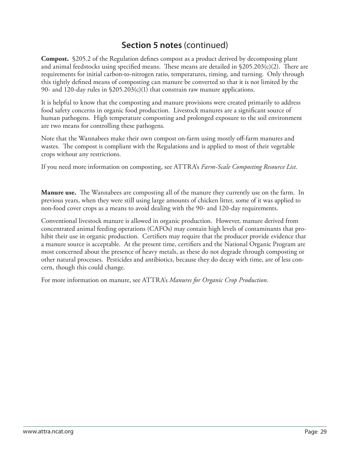**Compost.** §205.2 of the Regulation defines compost as a product derived by decomposing plant and animal feedstocks using specified means. These means are detailed in  $$205.203(c)(2)$ . There are requirements for initial carbon-to-nitrogen ratio, temperatures, timing, and turning. Only through this tightly defined means of composting can manure be converted so that it is not limited by the 90- and 120-day rules in §205.203(c)(1) that constrain raw manure applications.

It is helpful to know that the composting and manure provisions were created primarily to address food safety concerns in organic food production. Livestock manures are a significant source of human pathogens. High temperature composting and prolonged exposure to the soil environment are two means for controlling these pathogens.

Note that the Wannabees make their own compost on-farm using mostly off -farm manures and wastes. The compost is compliant with the Regulations and is applied to most of their vegetable crops without any restrictions.

If you need more information on composting, see ATTRA's *Farm-Scale Composting Resource List*.

**Manure use.** The Wannabees are composting all of the manure they currently use on the farm. In previous years, when they were still using large amounts of chicken litter, some of it was applied to non-food cover crops as a means to avoid dealing with the 90- and 120-day requirements.

Conventional livestock manure is allowed in organic production. However, manure derived from concentrated animal feeding operations (CAFOs) may contain high levels of contaminants that prohibit their use in organic production. Certifiers may require that the producer provide evidence that a manure source is acceptable. At the present time, certifiers and the National Organic Program are most concerned about the presence of heavy metals, as these do not degrade through composting or other natural processes. Pesticides and antibiotics, because they do decay with time, are of less concern, though this could change.

For more information on manure, see ATTRA's *Manures for Organic Crop Production*.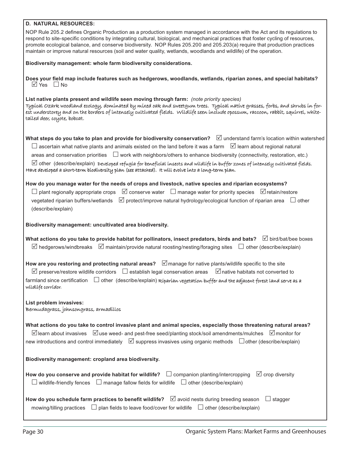| <b>D. NATURAL RESOURCES:</b>                                                                                                                                                                                                                                                                                                                                                                                                                                                                                                                                                                                                                       |
|----------------------------------------------------------------------------------------------------------------------------------------------------------------------------------------------------------------------------------------------------------------------------------------------------------------------------------------------------------------------------------------------------------------------------------------------------------------------------------------------------------------------------------------------------------------------------------------------------------------------------------------------------|
| NOP Rule 205.2 defines Organic Production as a production system managed in accordance with the Act and its regulations to<br>respond to site-specific conditions by integrating cultural, biological, and mechanical practices that foster cycling of resources,<br>promote ecological balance, and conserve biodiversity. NOP Rules 205.200 and 205.203(a) require that production practices<br>maintain or improve natural resources (soil and water quality, wetlands, woodlands and wildlife) of the operation.                                                                                                                               |
| Biodiversity management: whole farm biodiversity considerations.                                                                                                                                                                                                                                                                                                                                                                                                                                                                                                                                                                                   |
| Does your field map include features such as hedgerows, woodlands, wetlands, riparian zones, and special habitats?<br>$\boxtimes$ Yes $\Box$ No                                                                                                                                                                                                                                                                                                                                                                                                                                                                                                    |
| List native plants present and wildlife seen moving through farm: (note priority species)<br>Typical Ozark woodland ecology, dominated by mixed oak and sweetgum trees. Typical native grasses, forbs, and shrubs in for-<br>est understorey and on the borders of intensely cultivated fields. Wildlife seen include opossum, raccoon, rabbit, squirrel, white-<br>tailed deer, coyote, bobcat.                                                                                                                                                                                                                                                   |
| What steps do you take to plan and provide for biodiversity conservation? $\Box$ understand farm's location within watershed<br>$\Box$ ascertain what native plants and animals existed on the land before it was a farm $\Box$ learn about regional natural<br>areas and conservation priorities $\Box$ work with neighbors/others to enhance biodiversity (connectivity, restoration, etc.)<br>$\boxtimes$ other (describe/explain) Developed refugía for benefícíal ínsects and wildlife in buffer zones of intensely cultivated fields.<br>Have developed a short-term bíodíversíty plan (see attached). It will evolve into a long-term plan. |
| How do you manage water for the needs of crops and livestock, native species and riparian ecosystems?<br>$\Box$ plant regionally appropriate crops $\Box$ conserve water $\Box$ manage water for priority species $\Box$ retain/restore<br>vegetated riparian buffers/wetlands $\Box$ protect/improve natural hydrology/ecological function of riparian area $\Box$ other<br>(describe/explain)                                                                                                                                                                                                                                                    |
| Biodiversity management: uncultivated area biodiversity.                                                                                                                                                                                                                                                                                                                                                                                                                                                                                                                                                                                           |
| What actions do you take to provide habitat for pollinators, insect predators, birds and bats? $\Box$ bird/bat/bee boxes<br>$\boxtimes$ hedgerows/windbreaks $\boxtimes$ maintain/provide natural roosting/nesting/foraging sites $\Box$ other (describe/explain)                                                                                                                                                                                                                                                                                                                                                                                  |
| How are you restoring and protecting natural areas? $\Box$ manage for native plants/wildlife specific to the site<br>$\boxtimes$ preserve/restore wildlife corridors $\;\;\Box$ establish legal conservation areas<br>$\Box$ native habitats not converted to<br>farmland since certification $\Box$ other (describe/explain) Riparian vegetation buffer and the adjacent forest land serve as a<br>wildlife corridor.                                                                                                                                                                                                                             |
| List problem invasives:<br>Bermudagrass, johnsongrass, armadillos                                                                                                                                                                                                                                                                                                                                                                                                                                                                                                                                                                                  |
| What actions do you take to control invasive plant and animal species, especially those threatening natural areas?<br>$\Box$ learn about invasives $\Box$ use weed- and pest-free seed/planting stock/soil amendments/mulches $\Box$ monitor for<br>new introductions and control immediately ⊠ suppress invasives using organic methods □ other (describe/explain)                                                                                                                                                                                                                                                                                |
| Biodiversity management: cropland area biodiversity.                                                                                                                                                                                                                                                                                                                                                                                                                                                                                                                                                                                               |
| How do you conserve and provide habitat for wildlife? $\square$ companion planting/intercropping<br>$\boxtimes$ crop diversity<br>$\Box$ wildlife-friendly fences $\Box$ manage fallow fields for wildlife $\Box$ other (describe/explain)                                                                                                                                                                                                                                                                                                                                                                                                         |
| How do you schedule farm practices to benefit wildlife? $\Box$ avoid nests during breeding season<br>$\Box$ stagger<br>mowing/tilling practices $\Box$ plan fields to leave food/cover for wildlife $\Box$ other (describe/explain)                                                                                                                                                                                                                                                                                                                                                                                                                |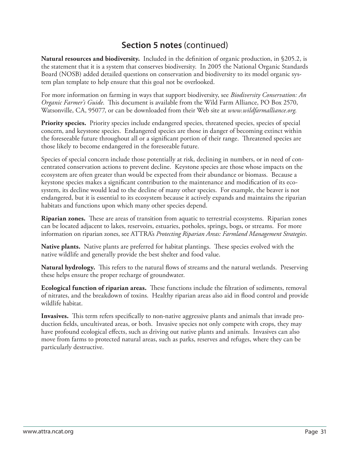**Natural resources and biodiversity.** Included in the definition of organic production, in \$205.2, is the statement that it is a system that conserves biodiversity. In 2005 the National Organic Standards Board (NOSB) added detailed questions on conservation and biodiversity to its model organic system plan template to help ensure that this goal not be overlooked.

For more information on farming in ways that support biodiversity, see *Biodiversity Conservation: An Organic Farmer's Guide*. This document is available from the Wild Farm Alliance, PO Box 2570, Watsonville, CA, 95077, or can be downloaded from their Web site at *www.wildfarmalliance.org*.

**Priority species.** Priority species include endangered species, threatened species, species of special concern, and keystone species. Endangered species are those in danger of becoming extinct within the foreseeable future throughout all or a significant portion of their range. Threatened species are those likely to become endangered in the foreseeable future.

Species of special concern include those potentially at risk, declining in numbers, or in need of concentrated conservation actions to prevent decline. Keystone species are those whose impacts on the ecosystem are often greater than would be expected from their abundance or biomass. Because a keystone species makes a significant contribution to the maintenance and modification of its ecosystem, its decline would lead to the decline of many other species. For example, the beaver is not endangered, but it is essential to its ecosystem because it actively expands and maintains the riparian habitats and functions upon which many other species depend.

**Riparian zones.** These are areas of transition from aquatic to terrestrial ecosystems. Riparian zones can be located adjacent to lakes, reservoirs, estuaries, potholes, springs, bogs, or streams. For more information on riparian zones, see ATTRA's *Protecting Riparian Areas: Farmland Management Strategies*.

**Native plants.** Native plants are preferred for habitat plantings. These species evolved with the native wildlife and generally provide the best shelter and food value.

Natural hydrology. This refers to the natural flows of streams and the natural wetlands. Preserving these helps ensure the proper recharge of groundwater.

**Ecological function of riparian areas.** These functions include the filtration of sediments, removal of nitrates, and the breakdown of toxins. Healthy riparian areas also aid in flood control and provide wildlife habitat.

**Invasives.** This term refers specifically to non-native aggressive plants and animals that invade production fields, uncultivated areas, or both. Invasive species not only compete with crops, they may have profound ecological effects, such as driving out native plants and animals. Invasives can also move from farms to protected natural areas, such as parks, reserves and refuges, where they can be particularly destructive.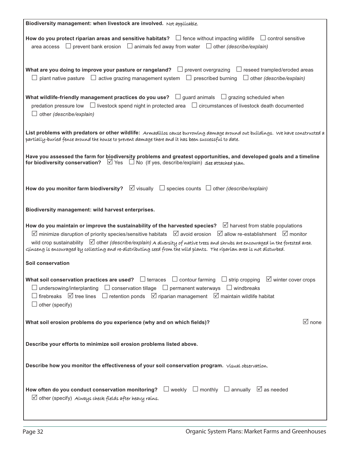| Biodiversity management: when livestock are involved. Not applicable.                                                                                                                                                                                                                                                                                                                                                                                                                                                                           |
|-------------------------------------------------------------------------------------------------------------------------------------------------------------------------------------------------------------------------------------------------------------------------------------------------------------------------------------------------------------------------------------------------------------------------------------------------------------------------------------------------------------------------------------------------|
| How do you protect riparian areas and sensitive habitats? $\Box$ fence without impacting wildlife $\Box$ control sensitive<br>$\Box$ prevent bank erosion $\Box$ animals fed away from water $\Box$ other (describe/explain)<br>area access                                                                                                                                                                                                                                                                                                     |
| What are you doing to improve your pasture or rangeland? $\Box$ prevent overgrazing $\Box$ reseed trampled/eroded areas<br>$\Box$ plant native pasture $\Box$ active grazing management system $\Box$ prescribed burning $\Box$ other (describe/explain)                                                                                                                                                                                                                                                                                        |
| What wildlife-friendly management practices do you use? $\Box$ guard animals $\Box$ grazing scheduled when<br>predation pressure low $\Box$ livestock spend night in protected area $\Box$ circumstances of livestock death documented<br>$\Box$ other (describe/explain)                                                                                                                                                                                                                                                                       |
| List problems with predators or other wildlife: Armadillos cause burrowing damage around out buildings. We have constructed a<br>partially-buried fence around the house to prevent damage there and it has been successful to date.                                                                                                                                                                                                                                                                                                            |
| Have you assessed the farm for biodiversity problems and greatest opportunities, and developed goals and a timeline<br>for biodiversity conservation? $\Box$ Yes $\Box$ No (If yes, describe/explain) see attached plan.                                                                                                                                                                                                                                                                                                                        |
| How do you monitor farm biodiversity? $\Box$ visually $\Box$ species counts $\Box$ other (describe/explain)                                                                                                                                                                                                                                                                                                                                                                                                                                     |
| Biodiversity management: wild harvest enterprises.                                                                                                                                                                                                                                                                                                                                                                                                                                                                                              |
| How do you maintain or improve the sustainability of the harvested species? $\Box$ harvest from stable populations<br>$\boxtimes$ minimize disruption of priority species/sensitive habitats $\boxtimes$ avoid erosion $\boxtimes$ allow re-establishment $\boxtimes$ monitor<br>wild crop sustainability $\Box$ other (describe/explain) A diversity of native trees and shrubs are encouraged in the forested area.<br>Gínseng ís encouraged by collecting and re-distributing seed from the wild plants. The riparian area is not disturbed. |
| Soil conservation                                                                                                                                                                                                                                                                                                                                                                                                                                                                                                                               |
| What soil conservation practices are used? $\Box$ terraces $\Box$ contour farming $\Box$ strip cropping $\Box$ winter cover crops<br>$\Box$ undersowing/interplanting $\Box$ conservation tillage $\Box$ permanent waterways $\Box$ windbreaks<br>$\Box$ firebreaks $\Box$ tree lines $\Box$ retention ponds $\Box$ riparian management $\Box$ maintain wildlife habitat<br>$\Box$ other (specify)                                                                                                                                              |
| $\sqrt{ }$ none<br>What soil erosion problems do you experience (why and on which fields)?                                                                                                                                                                                                                                                                                                                                                                                                                                                      |
| Describe your efforts to minimize soil erosion problems listed above.                                                                                                                                                                                                                                                                                                                                                                                                                                                                           |
| Describe how you monitor the effectiveness of your soil conservation program. Visual observation.                                                                                                                                                                                                                                                                                                                                                                                                                                               |
| How often do you conduct conservation monitoring? $\Box$ weekly $\Box$ monthly $\Box$ annually $\Box$ as needed<br>$\boxtimes$ other (specify) Always check fields after heavy rains.                                                                                                                                                                                                                                                                                                                                                           |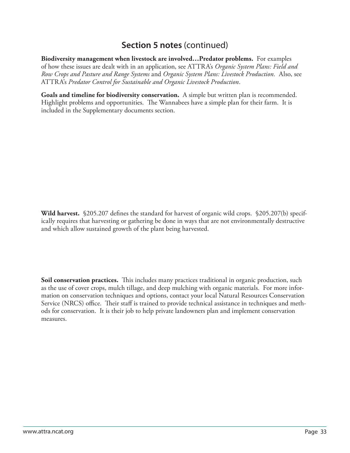**Biodiversity management when livestock are involved…Predator problems.** For examples of how these issues are dealt with in an application, see ATTRA's *Organic System Plans: Field and Row Crops and Pasture and Range Systems* and *Organic System Plans: Livestock Production.* Also, see ATTRA's *Predator Control for Sustainable and Organic Livestock Production*.

**Goals and timeline for biodiversity conservation.** A simple but written plan is recommended. Highlight problems and opportunities. The Wannabees have a simple plan for their farm. It is included in the Supplementary documents section.

**Wild harvest.** §205.207 defines the standard for harvest of organic wild crops. §205.207(b) specifically requires that harvesting or gathering be done in ways that are not environmentally destructive and which allow sustained growth of the plant being harvested.

Soil conservation practices. This includes many practices traditional in organic production, such as the use of cover crops, mulch tillage, and deep mulching with organic materials. For more information on conservation techniques and options, contact your local Natural Resources Conservation Service (NRCS) office. Their staff is trained to provide technical assistance in techniques and methods for conservation. It is their job to help private landowners plan and implement conservation measures.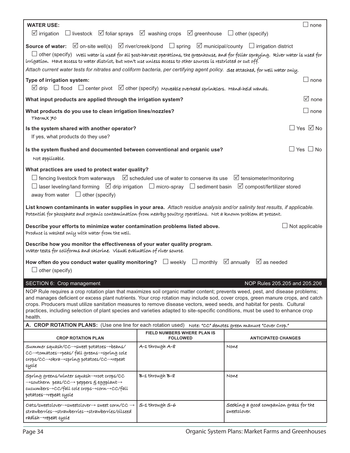| <b>WATER USE:</b>                                                                                                                                                                                                                                                                                                                                                                                                                                                                                                                          |                                                                                                     | $\Box$ none                                            |
|--------------------------------------------------------------------------------------------------------------------------------------------------------------------------------------------------------------------------------------------------------------------------------------------------------------------------------------------------------------------------------------------------------------------------------------------------------------------------------------------------------------------------------------------|-----------------------------------------------------------------------------------------------------|--------------------------------------------------------|
| $\triangledown$ irrigation                                                                                                                                                                                                                                                                                                                                                                                                                                                                                                                 | $\Box$ livestock $\Box$ foliar sprays $\Box$ washing crops $\Box$ greenhouse $\Box$ other (specify) |                                                        |
| <b>Source of water:</b> $\Box$ on-site well(s) $\Box$ river/creek/pond $\Box$ spring $\Box$ municipal/county $\Box$ irrigation district<br>$\Box$ other (specify) well water is used for all post-harvest operations, the greenhouse, and for foliar spraying. River water is used for<br>irrigation. Have access to water district, but won't use unless access to other sources is restricted or cut off.                                                                                                                                |                                                                                                     |                                                        |
| Attach current water tests for nitrates and coliform bacteria, per certifying agent policy. See attached, for well water only.                                                                                                                                                                                                                                                                                                                                                                                                             |                                                                                                     |                                                        |
| Type of irrigation system:<br>$\boxtimes$ drip $\Box$ flood $\Box$ center pivot $\boxtimes$ other (specify) Moveable overhead sprinklers. Hand-held wands.                                                                                                                                                                                                                                                                                                                                                                                 |                                                                                                     | $\Box$ none                                            |
| What input products are applied through the irrigation system?                                                                                                                                                                                                                                                                                                                                                                                                                                                                             |                                                                                                     | $\sqrt{ }$ none                                        |
| What products do you use to clean irrigation lines/nozzles?<br>ThermX70                                                                                                                                                                                                                                                                                                                                                                                                                                                                    |                                                                                                     | $\Box$ none                                            |
| Is the system shared with another operator?<br>If yes, what products do they use?                                                                                                                                                                                                                                                                                                                                                                                                                                                          |                                                                                                     | $\Box$ Yes $\boxdot$ No                                |
| Is the system flushed and documented between conventional and organic use?<br>Not applicable.                                                                                                                                                                                                                                                                                                                                                                                                                                              |                                                                                                     | $\Box$ Yes $\Box$ No                                   |
| What practices are used to protect water quality?<br>$\Box$ fencing livestock from waterways $\Box$ scheduled use of water to conserve its use $\Box$ tensiometer/monitoring<br>$\Box$ laser leveling/land forming $\Box$ drip irrigation $\Box$ micro-spray $\Box$ sediment basin $\Box$ compost/fertilizer stored<br>away from water $\Box$ other (specify)                                                                                                                                                                              |                                                                                                     |                                                        |
| List known contaminants in water supplies in your area. Attach residue analysis and/or salinity test results, if applicable.<br>Potential for phosphate and organic contamination from nearby poultry operations. Not a known problem at present.                                                                                                                                                                                                                                                                                          |                                                                                                     |                                                        |
| Describe your efforts to minimize water contamination problems listed above.<br>Produce is washed only with water from the well.                                                                                                                                                                                                                                                                                                                                                                                                           |                                                                                                     | Not applicable                                         |
| Describe how you monitor the effectiveness of your water quality program.<br>Water tests for coliforms and chlorine. Visual evaluation of river source.                                                                                                                                                                                                                                                                                                                                                                                    |                                                                                                     |                                                        |
| How often do you conduct water quality monitoring? $\Box$ weekly $\Box$ monthly $\Box$ annually $\Box$ as needed                                                                                                                                                                                                                                                                                                                                                                                                                           |                                                                                                     |                                                        |
| $\Box$ other (specify)                                                                                                                                                                                                                                                                                                                                                                                                                                                                                                                     |                                                                                                     |                                                        |
| SECTION 6: Crop management                                                                                                                                                                                                                                                                                                                                                                                                                                                                                                                 |                                                                                                     | NOP Rules 205.205 and 205.206                          |
| NOP Rule requires a crop rotation plan that maximizes soil organic matter content; prevents weed, pest, and disease problems;<br>and manages deficient or excess plant nutrients. Your crop rotation may include sod, cover crops, green manure crops, and catch<br>crops. Producers must utilize sanitation measures to remove disease vectors, weed seeds, and habitat for pests. Cultural<br>practices, including selection of plant species and varieties adapted to site-specific conditions, must be used to enhance crop<br>health. |                                                                                                     |                                                        |
| A. CROP ROTATION PLANS: (Use one line for each rotation used)                                                                                                                                                                                                                                                                                                                                                                                                                                                                              |                                                                                                     | Note: "CC" denotes green manure "Cover Crop."          |
| <b>CROP ROTATION PLAN</b>                                                                                                                                                                                                                                                                                                                                                                                                                                                                                                                  | <b>FIELD NUMBERS WHERE PLAN IS</b><br><b>FOLLOWED</b>                                               | <b>ANTICIPATED CHANGES</b>                             |
| Summer squash/CC→sweet potatoes→beans/<br>CC→tomatoes→peas/fall greens→spring cole<br>crops/CC→okra→spring potatoes/CC→repeat<br>cycle                                                                                                                                                                                                                                                                                                                                                                                                     | A-1 through A-8                                                                                     | None                                                   |
| Spring greens/winter squash-root crops/CC<br>$\rightarrow$ southern peas/CC $\rightarrow$ peppers $\xi$ eggplant $\rightarrow$<br>cucumbers→CC/fall cole crops→corn→CC/fall<br>potatoes-repeat cycle                                                                                                                                                                                                                                                                                                                                       | B-1 through B-8                                                                                     | None                                                   |
| $Oats/sweetclover \rightarrow$ sweetclover sweetclover $\rightarrow$ sweet corn/CC $\rightarrow$<br>strawberries->strawberries->strawberries/oilseed<br>radísh→repeat cycle                                                                                                                                                                                                                                                                                                                                                                | S-1 through S-6                                                                                     | Seeking a good companion grass for the<br>sweetclover. |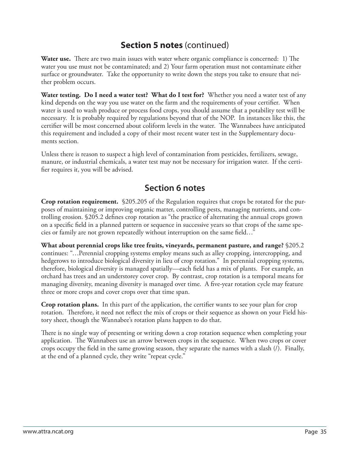**Water use.** There are two main issues with water where organic compliance is concerned: 1) The water you use must not be contaminated; and 2) Your farm operation must not contaminate either surface or groundwater. Take the opportunity to write down the steps you take to ensure that neither problem occurs.

**Water testing. Do I need a water test? What do I test for?** Whether you need a water test of any kind depends on the way you use water on the farm and the requirements of your certifier. When water is used to wash produce or process food crops, you should assume that a potability test will be necessary. It is probably required by regulations beyond that of the NOP. In instances like this, the certifier will be most concerned about coliform levels in the water. The Wannabees have anticipated this requirement and included a copy of their most recent water test in the Supplementary documents section.

Unless there is reason to suspect a high level of contamination from pesticides, fertilizers, sewage, manure, or industrial chemicals, a water test may not be necessary for irrigation water. If the certifier requires it, you will be advised.

### **Section 6 notes**

**Crop rotation requirement.** §205.205 of the Regulation requires that crops be rotated for the purposes of maintaining or improving organic matter, controlling pests, managing nutrients, and controlling erosion. §205.2 defines crop rotation as "the practice of alternating the annual crops grown on a specific field in a planned pattern or sequence in successive years so that crops of the same species or family are not grown repeatedly without interruption on the same field..."

**What about perennial crops like tree fruits, vineyards, permanent pasture, and range?** §205.2 continues: "…Perennial cropping systems employ means such as alley cropping, intercropping, and hedgerows to introduce biological diversity in lieu of crop rotation." In perennial cropping systems, therefore, biological diversity is managed spatially—each field has a mix of plants. For example, an orchard has trees and an understorey cover crop. By contrast, crop rotation is a temporal means for managing diversity, meaning diversity is managed over time. A five-year rotation cycle may feature three or more crops and cover crops over that time span.

**Crop rotation plans.** In this part of the application, the certifier wants to see your plan for crop rotation. Therefore, it need not reflect the mix of crops or their sequence as shown on your Field history sheet, though the Wannabee's rotation plans happen to do that.

There is no single way of presenting or writing down a crop rotation sequence when completing your application. The Wannabees use an arrow between crops in the sequence. When two crops or cover crops occupy the field in the same growing season, they separate the names with a slash  $(1)$ . Finally, at the end of a planned cycle, they write "repeat cycle."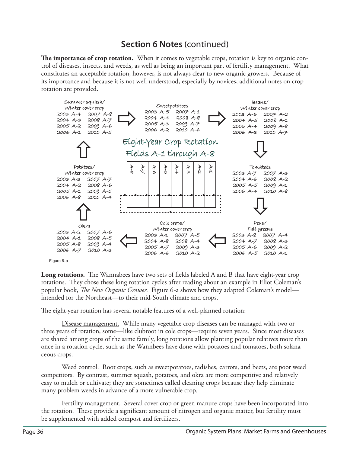**The importance of crop rotation.** When it comes to vegetable crops, rotation is key to organic control of diseases, insects, and weeds, as well as being an important part of fertility management. What constitutes an acceptable rotation, however, is not always clear to new organic growers. Because of its importance and because it is not well understood, especially by novices, additional notes on crop rotation are provided.



**Long rotations.** The Wannabees have two sets of fields labeled A and B that have eight-year crop rotations. They chose these long rotation cycles after reading about an example in Eliot Coleman's popular book, *The New Organic Grower*. Figure 6-a shows how they adapted Coleman's model intended for the Northeast—to their mid-South climate and crops.

The eight-year rotation has several notable features of a well-planned rotation:

Disease management. While many vegetable crop diseases can be managed with two or three years of rotation, some—like clubroot in cole crops—require seven years. Since most diseases are shared among crops of the same family, long rotations allow planting popular relatives more than once in a rotation cycle, such as the Wannbees have done with potatoes and tomatoes, both solanaceous crops.

 Weed control. Root crops, such as sweetpotatoes, radishes, carrots, and beets, are poor weed competitors. By contrast, summer squash, potatoes, and okra are more competitive and relatively easy to mulch or cultivate; they are sometimes called cleaning crops because they help eliminate many problem weeds in advance of a more vulnerable crop.

 Fertility management. Several cover crop or green manure crops have been incorporated into the rotation. These provide a significant amount of nitrogen and organic matter, but fertility must be supplemented with added compost and fertilizers.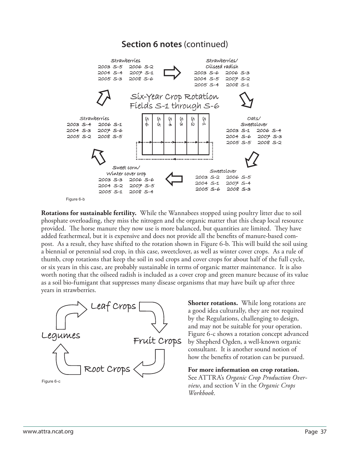

**Rotations for sustainable fertility.** While the Wannabees stopped using poultry litter due to soil phosphate overloading, they miss the nitrogen and the organic matter that this cheap local resource provided. The horse manure they now use is more balanced, but quantities are limited. They have added feathermeal, but it is expensive and does not provide all the benefits of manure-based compost. As a result, they have shifted to the rotation shown in Figure 6-b. This will build the soil using a biennial or perennial sod crop, in this case, sweetclover, as well as winter cover crops. As a rule of thumb, crop rotations that keep the soil in sod crops and cover crops for about half of the full cycle, or six years in this case, are probably sustainable in terms of organic matter maintenance. It is also worth noting that the oilseed radish is included as a cover crop and green manure because of its value as a soil bio-fumigant that suppresses many disease organisms that may have built up after three years in strawberries.



**Shorter rotations.** While long rotations are a good idea culturally, they are not required by the Regulations, challenging to design, and may not be suitable for your operation. Figure 6-c shows a rotation concept advanced by Shepherd Ogden, a well-known organic consultant. It is another sound notion of how the benefits of rotation can be pursued.

**For more information on crop rotation.**  See ATTRA's *Organic Crop Production Overview*, and section V in the *Organic Crops Workbook*.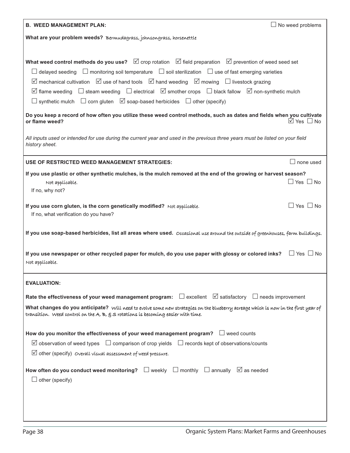| <b>B. WEED MANAGEMENT PLAN:</b>                                                                                                                 | $\Box$ No weed problems         |
|-------------------------------------------------------------------------------------------------------------------------------------------------|---------------------------------|
| What are your problem weeds? Bermudagrass, johnsongrass, horsenettle                                                                            |                                 |
|                                                                                                                                                 |                                 |
| What weed control methods do you use? $\boxtimes$ crop rotation $\boxtimes$ field preparation $\boxtimes$ prevention of weed seed set           |                                 |
| $\Box$ delayed seeding $\Box$ monitoring soil temperature $\Box$ soil sterilization $\Box$ use of fast emerging varieties                       |                                 |
| $\boxtimes$ mechanical cultivation $\boxtimes$ use of hand tools $\boxtimes$ hand weeding $\boxtimes$ mowing $\Box$ livestock grazing           |                                 |
| $\boxtimes$ flame weeding $\Box$ steam weeding $\Box$ electrical $\boxtimes$ smother crops $\Box$ black fallow $\boxtimes$ non-synthetic mulch  |                                 |
| $\Box$ synthetic mulch $\Box$ corn gluten $\Box$ soap-based herbicides $\Box$ other (specify)                                                   |                                 |
| Do you keep a record of how often you utilize these weed control methods, such as dates and fields when you cultivate                           |                                 |
| or flame weed?                                                                                                                                  | $\overline{\Box}$ Yes $\Box$ No |
| All inputs used or intended for use during the current year and used in the previous three years must be listed on your field<br>history sheet. |                                 |
| USE OF RESTRICTED WEED MANAGEMENT STRATEGIES:                                                                                                   | none used                       |
| If you use plastic or other synthetic mulches, is the mulch removed at the end of the growing or harvest season?                                |                                 |
| Not applicable.                                                                                                                                 | $\Box$ Yes $\Box$ No            |
| If no, why not?                                                                                                                                 |                                 |
| If you use corn gluten, is the corn genetically modified? Not applicable.<br>If no, what verification do you have?                              | $\Box$ Yes $\Box$ No            |
| If you use soap-based herbicides, list all areas where used. Occasional use around the outside of greenhouses, farm buildings.                  |                                 |
| If you use newspaper or other recycled paper for mulch, do you use paper with glossy or colored inks?<br>Not applicable.                        | $\Box$ Yes $\Box$ No            |
| <b>EVALUATION:</b>                                                                                                                              |                                 |
| Rate the effectiveness of your weed management program: $\Box$ excellent $\Box$ satisfactory $\Box$ needs improvement                           |                                 |
| What changes do you anticipate? Will need to evolve some new strategies on the blueberry acreage which is now in the first year of              |                                 |
| transition. Weed control on the $A$ , $B$ , $B$ $S$ rotations is becoming easier with time.                                                     |                                 |
| How do you monitor the effectiveness of your weed management program? $\Box$ weed counts                                                        |                                 |
| $\boxtimes$ observation of weed types $\Box$ comparison of crop yields $\Box$ records kept of observations/counts                               |                                 |
| $\Box$ other (specify) overall visual assessment of weed pressure.                                                                              |                                 |
| How often do you conduct weed monitoring? $\Box$ weekly $\Box$ monthly $\Box$ annually $\Box$ as needed<br>$\Box$ other (specify)               |                                 |
|                                                                                                                                                 |                                 |
|                                                                                                                                                 |                                 |
|                                                                                                                                                 |                                 |
|                                                                                                                                                 |                                 |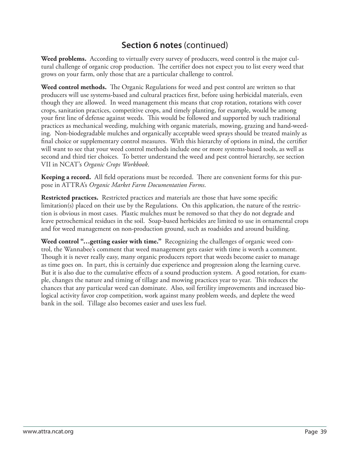**Weed problems.** According to virtually every survey of producers, weed control is the major cultural challenge of organic crop production. The certifier does not expect you to list every weed that grows on your farm, only those that are a particular challenge to control.

**Weed control methods.** The Organic Regulations for weed and pest control are written so that producers will use systems-based and cultural practices first, before using herbicidal materials, even though they are allowed. In weed management this means that crop rotation, rotations with cover crops, sanitation practices, competitive crops, and timely planting, for example, would be among your first line of defense against weeds. This would be followed and supported by such traditional practices as mechanical weeding, mulching with organic materials, mowing, grazing and hand-weeding. Non-biodegradable mulches and organically acceptable weed sprays should be treated mainly as final choice or supplementary control measures. With this hierarchy of options in mind, the certifier will want to see that your weed control methods include one or more systems-based tools, as well as second and third tier choices. To better understand the weed and pest control hierarchy, see section VII in NCAT's *Organic Crops Workbook*.

**Keeping a record.** All field operations must be recorded. There are convenient forms for this purpose in ATTRA's *Organic Market Farm Documentation Forms*.

**Restricted practices.** Restricted practices and materials are those that have some specific limitation(s) placed on their use by the Regulations. On this application, the nature of the restriction is obvious in most cases. Plastic mulches must be removed so that they do not degrade and leave petrochemical residues in the soil. Soap-based herbicides are limited to use in ornamental crops and for weed management on non-production ground, such as roadsides and around building.

**Weed control "…getting easier with time."** Recognizing the challenges of organic weed control, the Wannabee's comment that weed management gets easier with time is worth a comment. Though it is never really easy, many organic producers report that weeds become easier to manage as time goes on. In part, this is certainly due experience and progression along the learning curve. But it is also due to the cumulative effects of a sound production system. A good rotation, for example, changes the nature and timing of tillage and mowing practices year to year. This reduces the chances that any particular weed can dominate. Also, soil fertility improvements and increased biological activity favor crop competition, work against many problem weeds, and deplete the weed bank in the soil. Tillage also becomes easier and uses less fuel.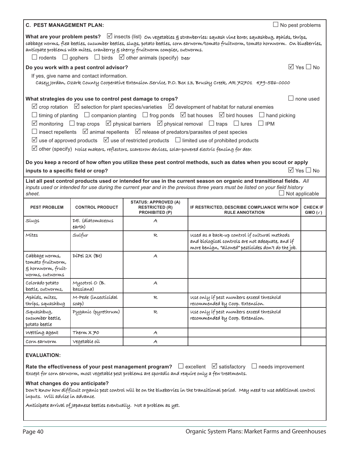|                                                                                                                                                                                                                                                                                                                                                                                                                                               | <b>C. PEST MANAGEMENT PLAN:</b><br>$\Box$ No pest problems |                                                                                                         |                                                                                                                                                                                                                                                       |                                      |  |  |
|-----------------------------------------------------------------------------------------------------------------------------------------------------------------------------------------------------------------------------------------------------------------------------------------------------------------------------------------------------------------------------------------------------------------------------------------------|------------------------------------------------------------|---------------------------------------------------------------------------------------------------------|-------------------------------------------------------------------------------------------------------------------------------------------------------------------------------------------------------------------------------------------------------|--------------------------------------|--|--|
| What are your problem pests? $\Box$ insects (list) on vegetables $g$ strawberríes: squash vine borer, squashbug, aphíds, thríps,<br>cabbage worms, flea beetles, cucumber beetles, slugs, potato beetles, corn earworm/tomato fruitworm, tomato hornworm. On blueberries,<br>anticpate problems with mites, cranberry § cherry fruitworm complex, cutworms.<br>$\Box$ rodents $\Box$ gophers $\Box$ birds $\Box$ other animals (specify) peer |                                                            |                                                                                                         |                                                                                                                                                                                                                                                       |                                      |  |  |
|                                                                                                                                                                                                                                                                                                                                                                                                                                               | Do you work with a pest control advisor?                   |                                                                                                         |                                                                                                                                                                                                                                                       | $\boxtimes$ Yes $\Box$ No            |  |  |
|                                                                                                                                                                                                                                                                                                                                                                                                                                               | If yes, give name and contact information.                 |                                                                                                         |                                                                                                                                                                                                                                                       |                                      |  |  |
|                                                                                                                                                                                                                                                                                                                                                                                                                                               |                                                            |                                                                                                         | Casey Jordan, Ozark County Cooperative Extension Service, P.O. Box 13, Brushy Creek, AR 72701 479-586-0000                                                                                                                                            |                                      |  |  |
|                                                                                                                                                                                                                                                                                                                                                                                                                                               |                                                            | What strategies do you use to control pest damage to crops?                                             |                                                                                                                                                                                                                                                       | none used                            |  |  |
|                                                                                                                                                                                                                                                                                                                                                                                                                                               |                                                            |                                                                                                         | $\boxtimes$ crop rotation $\boxtimes$ selection for plant species/varieties $\boxtimes$ development of habitat for natural enemies                                                                                                                    |                                      |  |  |
|                                                                                                                                                                                                                                                                                                                                                                                                                                               |                                                            |                                                                                                         | $\Box$ timing of planting $\Box$ companion planting $\Box$ frog ponds $\Box$ bat houses $\Box$ bird houses<br>$\Box$ hand picking                                                                                                                     |                                      |  |  |
|                                                                                                                                                                                                                                                                                                                                                                                                                                               |                                                            |                                                                                                         | $\boxtimes$ monitoring $\Box$ trap crops $\boxtimes$ physical barriers $\boxtimes$ physical removal $\Box$ traps $\Box$ lures<br>$\Box$ IPM                                                                                                           |                                      |  |  |
|                                                                                                                                                                                                                                                                                                                                                                                                                                               |                                                            | $\Box$ insect repellents $\Box$ animal repellents $\Box$ release of predators/parasites of pest species |                                                                                                                                                                                                                                                       |                                      |  |  |
|                                                                                                                                                                                                                                                                                                                                                                                                                                               |                                                            |                                                                                                         | $\boxtimes$ use of approved products $\boxtimes$ use of restricted products $\Box$ limited use of prohibited products                                                                                                                                 |                                      |  |  |
|                                                                                                                                                                                                                                                                                                                                                                                                                                               |                                                            |                                                                                                         | $\boxtimes$ other (specify) Noise makers, reflectors, scarecrow devices, solar-powered electric fencing for deer.                                                                                                                                     |                                      |  |  |
|                                                                                                                                                                                                                                                                                                                                                                                                                                               |                                                            |                                                                                                         |                                                                                                                                                                                                                                                       |                                      |  |  |
|                                                                                                                                                                                                                                                                                                                                                                                                                                               |                                                            |                                                                                                         | Do you keep a record of how often you utilize these pest control methods, such as dates when you scout or apply                                                                                                                                       |                                      |  |  |
| inputs to a specific field or crop?                                                                                                                                                                                                                                                                                                                                                                                                           |                                                            |                                                                                                         |                                                                                                                                                                                                                                                       | $\boxtimes$ Yes $\Box$ No            |  |  |
|                                                                                                                                                                                                                                                                                                                                                                                                                                               |                                                            |                                                                                                         | List all pest control products used or intended for use in the current season on organic and transitional fields. All<br>inputs used or intended for use during the current year and in the previous three years must be listed on your field history |                                      |  |  |
| sheet.                                                                                                                                                                                                                                                                                                                                                                                                                                        |                                                            |                                                                                                         | $\Box$ Not applicable                                                                                                                                                                                                                                 |                                      |  |  |
| <b>PEST PROBLEM</b>                                                                                                                                                                                                                                                                                                                                                                                                                           | <b>CONTROL PRODUCT</b>                                     | <b>STATUS: APPROVED (A)</b><br><b>RESTRICTED (R)</b><br><b>PROHIBITED (P)</b>                           | IF RESTRICTED, DESCRIBE COMPLIANCE WITH NOP<br><b>RULE ANNOTATION</b>                                                                                                                                                                                 | <b>CHECK IF</b><br>$GMO(\checkmark)$ |  |  |
| Slugs                                                                                                                                                                                                                                                                                                                                                                                                                                         | DE. (díatomaceous<br>earth)                                | $\mathcal{A}$                                                                                           |                                                                                                                                                                                                                                                       |                                      |  |  |
| Mítes                                                                                                                                                                                                                                                                                                                                                                                                                                         | Sulfur                                                     | $\mathcal{R}$                                                                                           | used as a back-up control if cultural methods<br>and biological controls are not adequate, and if<br>more benígn, "allowed" pestícides don't do the job.                                                                                              |                                      |  |  |
| cabbage worms,<br>tomato fruítworm,<br>g hornworm, fruit-<br>worms, cutworms                                                                                                                                                                                                                                                                                                                                                                  | DÍPEL 2X (Bt)                                              | $\mathcal{A}$                                                                                           |                                                                                                                                                                                                                                                       |                                      |  |  |
| Colorado potato<br>beetle, cutworms,                                                                                                                                                                                                                                                                                                                                                                                                          | Mycotrol O (B.<br>bassiana)                                | A                                                                                                       |                                                                                                                                                                                                                                                       |                                      |  |  |
| Aphíds, mítes,<br>thríps, squashbug                                                                                                                                                                                                                                                                                                                                                                                                           | M-Pede (ínsectícidal<br>soap)                              | R                                                                                                       | use only if pest numbers exceed threshold<br>recommended by Coop. Extension.                                                                                                                                                                          |                                      |  |  |
| Squashbug,<br>cucumber beetle,<br>potato beetle                                                                                                                                                                                                                                                                                                                                                                                               | Pyganic (pyrethrum)                                        | R                                                                                                       | use only if pest numbers exceed threshold<br>recommended by Coop. Extension.                                                                                                                                                                          |                                      |  |  |
| Wetting agent                                                                                                                                                                                                                                                                                                                                                                                                                                 | Therm $X \neq 0$                                           | A                                                                                                       |                                                                                                                                                                                                                                                       |                                      |  |  |
| Corn earworm                                                                                                                                                                                                                                                                                                                                                                                                                                  | vegetable oil                                              | A                                                                                                       |                                                                                                                                                                                                                                                       |                                      |  |  |
| <b>EVALUATION:</b>                                                                                                                                                                                                                                                                                                                                                                                                                            |                                                            |                                                                                                         |                                                                                                                                                                                                                                                       |                                      |  |  |
| Rate the effectiveness of your pest management program? $\Box$ excellent $\Box$ satisfactory<br>$\Box$ needs improvement<br>Except for corn earworm, most vegetable pest problems are sporadic and require only a few treatments.                                                                                                                                                                                                             |                                                            |                                                                                                         |                                                                                                                                                                                                                                                       |                                      |  |  |
| What changes do you anticipate?<br>Don't know how difficult organic pest control will be on the blueberries in the transitional period. May need to use additional control<br>inputs. Will advise in advance.                                                                                                                                                                                                                                 |                                                            |                                                                                                         |                                                                                                                                                                                                                                                       |                                      |  |  |
| Antícípate arríval of Japanese beetles eventually. Not a problem as yet.                                                                                                                                                                                                                                                                                                                                                                      |                                                            |                                                                                                         |                                                                                                                                                                                                                                                       |                                      |  |  |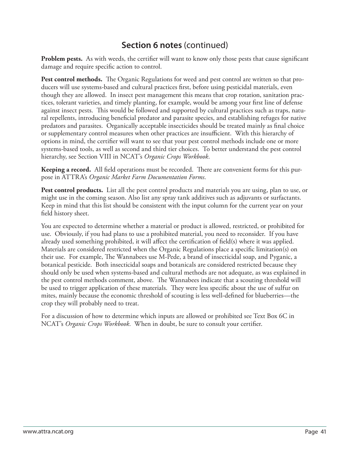**Problem pests.** As with weeds, the certifier will want to know only those pests that cause significant damage and require specific action to control.

**Pest control methods.** The Organic Regulations for weed and pest control are written so that producers will use systems-based and cultural practices first, before using pesticidal materials, even though they are allowed. In insect pest management this means that crop rotation, sanitation practices, tolerant varieties, and timely planting, for example, would be among your first line of defense against insect pests. This would be followed and supported by cultural practices such as traps, natural repellents, introducing beneficial predator and parasite species, and establishing refuges for native predators and parasites. Organically acceptable insecticides should be treated mainly as final choice or supplementary control measures when other practices are insufficient. With this hierarchy of options in mind, the certifier will want to see that your pest control methods include one or more systems-based tools, as well as second and third tier choices. To better understand the pest control hierarchy, see Section VIII in NCAT's *Organic Crops Workbook*.

Keeping a record. All field operations must be recorded. There are convenient forms for this purpose in ATTRA's *Organic Market Farm Documentation Forms*.

**Pest control products.** List all the pest control products and materials you are using, plan to use, or might use in the coming season. Also list any spray tank additives such as adjuvants or surfactants. Keep in mind that this list should be consistent with the input column for the current year on your field history sheet.

You are expected to determine whether a material or product is allowed, restricted, or prohibited for use. Obviously, if you had plans to use a prohibited material, you need to reconsider. If you have already used something prohibited, it will affect the certification of field(s) where it was applied. Materials are considered restricted when the Organic Regulations place a specific limitation(s) on their use. For example, The Wannabees use M-Pede, a brand of insecticidal soap, and Pyganic, a botanical pesticide. Both insecticidal soaps and botanicals are considered restricted because they should only be used when systems-based and cultural methods are not adequate, as was explained in the pest control methods comment, above. The Wannabees indicate that a scouting threshold will be used to trigger application of these materials. They were less specific about the use of sulfur on mites, mainly because the economic threshold of scouting is less well-defined for blueberries-the crop they will probably need to treat.

For a discussion of how to determine which inputs are allowed or prohibited see Text Box 6C in NCAT's *Organic Crops Workbook*. When in doubt, be sure to consult your certifier.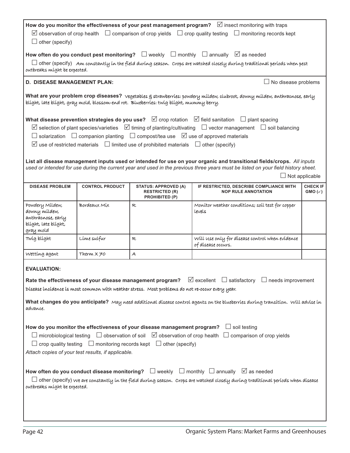| How do you monitor the effectiveness of your pest management program? $\Box$ insect monitoring with traps<br>$\boxtimes$ observation of crop health $\Box$ comparison of crop yields $\Box$ crop quality testing $\Box$ monitoring records kept<br>$\Box$ other (specify)                                                                                               |                                                                                                                                                                                                                                                                                      |                                                                                                           |                                                                                                                                                                                                                                                                                     |                                      |  |  |
|-------------------------------------------------------------------------------------------------------------------------------------------------------------------------------------------------------------------------------------------------------------------------------------------------------------------------------------------------------------------------|--------------------------------------------------------------------------------------------------------------------------------------------------------------------------------------------------------------------------------------------------------------------------------------|-----------------------------------------------------------------------------------------------------------|-------------------------------------------------------------------------------------------------------------------------------------------------------------------------------------------------------------------------------------------------------------------------------------|--------------------------------------|--|--|
| outbreaks might be expected.                                                                                                                                                                                                                                                                                                                                            |                                                                                                                                                                                                                                                                                      |                                                                                                           | How often do you conduct pest monitoring? $\Box$ weekly $\Box$ monthly $\Box$ annually $\Box$ as needed<br>$\Box$ other (specify) Am constantly in the field during season. Crops are watched closely during traditional periods when pest                                          |                                      |  |  |
| <b>D. DISEASE MANAGEMENT PLAN:</b>                                                                                                                                                                                                                                                                                                                                      |                                                                                                                                                                                                                                                                                      |                                                                                                           | No disease problems                                                                                                                                                                                                                                                                 |                                      |  |  |
|                                                                                                                                                                                                                                                                                                                                                                         |                                                                                                                                                                                                                                                                                      | blíght, late blíght, gray mold, blossom-end rot. Blueberríes: twíg blíght, mummy berry.                   | What are your problem crop diseases? vegetables g strawberries: powdery mildew, clubroot, downy mildew, anthracnose, early                                                                                                                                                          |                                      |  |  |
|                                                                                                                                                                                                                                                                                                                                                                         |                                                                                                                                                                                                                                                                                      |                                                                                                           | What disease prevention strategies do you use? $\Box$ crop rotation $\Box$ field sanitation $\Box$ plant spacing                                                                                                                                                                    |                                      |  |  |
|                                                                                                                                                                                                                                                                                                                                                                         |                                                                                                                                                                                                                                                                                      |                                                                                                           | $\boxtimes$ selection of plant species/varieties $\boxtimes$ timing of planting/cultivating $\Box$ vector management $\Box$ soil balancing                                                                                                                                          |                                      |  |  |
|                                                                                                                                                                                                                                                                                                                                                                         |                                                                                                                                                                                                                                                                                      | $\Box$ solarization $\Box$ companion planting $\Box$ compost/tea use $\Box$ use of approved materials     |                                                                                                                                                                                                                                                                                     |                                      |  |  |
|                                                                                                                                                                                                                                                                                                                                                                         |                                                                                                                                                                                                                                                                                      | $\boxtimes$ use of restricted materials $\Box$ limited use of prohibited materials $\Box$ other (specify) |                                                                                                                                                                                                                                                                                     |                                      |  |  |
|                                                                                                                                                                                                                                                                                                                                                                         |                                                                                                                                                                                                                                                                                      |                                                                                                           | List all disease management inputs used or intended for use on your organic and transitional fields/crops. All inputs<br>used or intended for use during the current year and used in the previous three years must be listed on your field history sheet.<br>$\Box$ Not applicable |                                      |  |  |
| <b>DISEASE PROBLEM</b>                                                                                                                                                                                                                                                                                                                                                  | <b>CONTROL PRODUCT</b>                                                                                                                                                                                                                                                               | <b>STATUS: APPROVED (A)</b><br><b>RESTRICTED (R)</b><br>PROHIBITED (P)                                    | IF RESTRICTED, DESCRIBE COMPLIANCE WITH<br><b>NOP RULE ANNOTATION</b>                                                                                                                                                                                                               | <b>CHECK IF</b><br>$GMO(\checkmark)$ |  |  |
| Powdery Mildew,<br>downy mildew,<br>anthracnose, early<br>blíght, late blíght,<br>gray mold                                                                                                                                                                                                                                                                             | Bordeaux Mix                                                                                                                                                                                                                                                                         | $\mathcal{R}$                                                                                             | Monitor weather conditions; soil test for copper<br>levels                                                                                                                                                                                                                          |                                      |  |  |
| Twig blight                                                                                                                                                                                                                                                                                                                                                             | Lime sulfur                                                                                                                                                                                                                                                                          | R                                                                                                         | Will use only for disease control when evidence<br>of disease occurs.                                                                                                                                                                                                               |                                      |  |  |
| Wetting agent                                                                                                                                                                                                                                                                                                                                                           | Therm $X \neq 0$                                                                                                                                                                                                                                                                     | $\overline{\mathcal{A}}$                                                                                  |                                                                                                                                                                                                                                                                                     |                                      |  |  |
| <b>EVALUATION:</b>                                                                                                                                                                                                                                                                                                                                                      | Rate the effectiveness of your disease management program? $\Box$ excellent $\Box$ satisfactory $\Box$ needs improvement<br>Disease incidence is most common with weather stress. Most problems do not re-occur every year.                                                          |                                                                                                           |                                                                                                                                                                                                                                                                                     |                                      |  |  |
| advance.                                                                                                                                                                                                                                                                                                                                                                |                                                                                                                                                                                                                                                                                      |                                                                                                           | What changes do you anticipate? May need additional disease control agents on the blueberries during transition. Will advise in                                                                                                                                                     |                                      |  |  |
| How do you monitor the effectiveness of your disease management program? $\Box$ soil testing<br>$\Box$ microbiological testing $\Box$ observation of soil $\Box$ observation of crop health $\Box$ comparison of crop yields<br>$\Box$ crop quality testing $\Box$ monitoring records kept $\Box$ other (specify)<br>Attach copies of your test results, if applicable. |                                                                                                                                                                                                                                                                                      |                                                                                                           |                                                                                                                                                                                                                                                                                     |                                      |  |  |
|                                                                                                                                                                                                                                                                                                                                                                         | How often do you conduct disease monitoring? $\Box$ weekly $\Box$ monthly $\Box$ annually $\Box$ as needed<br>$\Box$ other (specify) we are constantly in the field during season. Crops are watched closely during traditional periods when disease<br>outbreaks might be expected. |                                                                                                           |                                                                                                                                                                                                                                                                                     |                                      |  |  |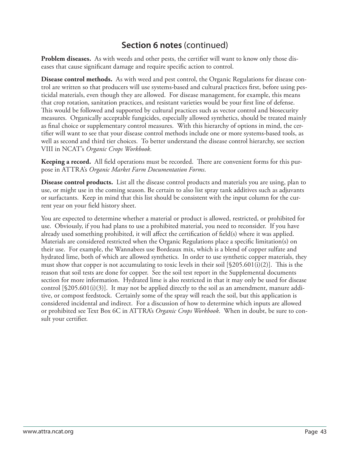**Problem diseases.** As with weeds and other pests, the certifier will want to know only those diseases that cause significant damage and require specific action to control.

**Disease control methods.** As with weed and pest control, the Organic Regulations for disease control are written so that producers will use systems-based and cultural practices first, before using pesticidal materials, even though they are allowed. For disease management, for example, this means that crop rotation, sanitation practices, and resistant varieties would be your first line of defense. This would be followed and supported by cultural practices such as vector control and biosecurity measures. Organically acceptable fungicides, especially allowed synthetics, should be treated mainly as final choice or supplementary control measures. With this hierarchy of options in mind, the certifier will want to see that your disease control methods include one or more systems-based tools, as well as second and third tier choices. To better understand the disease control hierarchy, see section VIII in NCAT's *Organic Crops Workbook.*

**Keeping a record.** All field operations must be recorded. There are convenient forms for this purpose in ATTRA's *Organic Market Farm Documentation Forms*.

**Disease control products.** List all the disease control products and materials you are using, plan to use, or might use in the coming season. Be certain to also list spray tank additives such as adjuvants or surfactants. Keep in mind that this list should be consistent with the input column for the current year on your field history sheet.

You are expected to determine whether a material or product is allowed, restricted, or prohibited for use. Obviously, if you had plans to use a prohibited material, you need to reconsider. If you have already used something prohibited, it will affect the certification of field(s) where it was applied. Materials are considered restricted when the Organic Regulations place a specific limitation(s) on their use. For example, the Wannabees use Bordeaux mix, which is a blend of copper sulfate and hydrated lime, both of which are allowed synthetics. In order to use synthetic copper materials, they must show that copper is not accumulating to toxic levels in their soil  $\S205.601(i)(2)$ . This is the reason that soil tests are done for copper. See the soil test report in the Supplemental documents section for more information. Hydrated lime is also restricted in that it may only be used for disease control  $[\$205.601(i)(3)]$ . It may not be applied directly to the soil as an amendment, manure additive, or compost feedstock. Certainly some of the spray will reach the soil, but this application is considered incidental and indirect. For a discussion of how to determine which inputs are allowed or prohibited see Text Box 6C in ATTRA's *Organic Crops Workbook*. When in doubt, be sure to consult your certifier.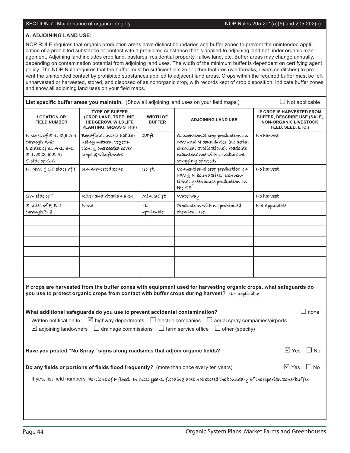#### SECTION 7: Maintenance of organic integrity NOP Rules 205.201(a)(5) and 205.202(c)

#### **A. ADJOINING LAND USE:**

NOP RULE requires that organic production areas have distinct boundaries and buffer zones to prevent the unintended application of a prohibited substance or contact with a prohibited substance that is applied to adjoining land not under organic management. Adjoining land includes crop land, pastures, residential property, fallow land, etc. Buffer areas may change annually, depending on contamination potential from adjoining land uses. The width of the minimum buffer is dependent on certifying agent policy. The NOP Rule requires that the buffer must be sufficient in size or other features (windbreaks, diversion ditches) to prevent the unintended contact by prohibited substances applied to adjacent land areas. Crops within the required buffer must be left unharvested or harvested, stored, and disposed of as nonorganic crop, with records kept of crop disposition. Indicate buffer zones and show all adjoining land uses on your field maps.

| List specific buffer areas you maintain. (Show all adjoining land uses on your field maps.)                                                                                                                                                                                                                                          | $\Box$ Not applicable                                                                                        |                                  |                                                                                                                                                                                                                     |                                                                                                                      |  |  |
|--------------------------------------------------------------------------------------------------------------------------------------------------------------------------------------------------------------------------------------------------------------------------------------------------------------------------------------|--------------------------------------------------------------------------------------------------------------|----------------------------------|---------------------------------------------------------------------------------------------------------------------------------------------------------------------------------------------------------------------|----------------------------------------------------------------------------------------------------------------------|--|--|
| <b>LOCATION OR</b><br><b>FIELD NUMBER</b>                                                                                                                                                                                                                                                                                            | <b>TYPE OF BUFFER</b><br>(CROP LAND, TREELINE,<br><b>HEDGEROW, WILDLIFE</b><br><b>PLANTING, GRASS STRIP)</b> | <b>WIDTH OF</b><br><b>BUFFER</b> | <b>ADJOINING LAND USE</b>                                                                                                                                                                                           | IF CROP IS HARVESTED FROM<br><b>BUFFER, DESCRIBE USE (SALE,</b><br><b>NON-ORGANIC LIVESTOCK</b><br>FEED, SEED, ETC.) |  |  |
| $N$ sídes of S-1, $Q \xi A - 1$<br>through A-8;<br>$E$ sídes of $Q$ , A-1, B-1,<br>$S-1$ , $S-2$ , $\S S-3$ ;<br>$s$ síde of $s$ -6.                                                                                                                                                                                                 | Beneficial insect habitat<br>using natural vegeta-<br>tion, $g$ overseeded cover<br>crops & wildflowers.     | 25ft                             | Conventional crop production on<br>NW and N boundaries (no aerial<br>chemical applications); roadside<br>maintenance with possible spot-<br>spraying of weeds                                                       | No harvest                                                                                                           |  |  |
| N, NW, $SSE$ sídes of $F$                                                                                                                                                                                                                                                                                                            | un-harvested zone                                                                                            | 25ft.                            | Conventional crop production on<br>NW & N boundaries. Conven-<br>tional greenhouse production on<br>the SE.                                                                                                         | No harvest                                                                                                           |  |  |
| $SW side$ of $F$                                                                                                                                                                                                                                                                                                                     | Ríver and ríparían area                                                                                      | Mín. 35 ft                       | Waterway                                                                                                                                                                                                            | No harvest                                                                                                           |  |  |
| $S$ sídes of $F$ , $B-1$<br>through B-8                                                                                                                                                                                                                                                                                              | None                                                                                                         | Not<br>applicable                | Production with no prohibited<br>chemícal use.                                                                                                                                                                      | Not applicable                                                                                                       |  |  |
|                                                                                                                                                                                                                                                                                                                                      |                                                                                                              |                                  |                                                                                                                                                                                                                     |                                                                                                                      |  |  |
|                                                                                                                                                                                                                                                                                                                                      |                                                                                                              |                                  |                                                                                                                                                                                                                     |                                                                                                                      |  |  |
|                                                                                                                                                                                                                                                                                                                                      |                                                                                                              |                                  |                                                                                                                                                                                                                     |                                                                                                                      |  |  |
|                                                                                                                                                                                                                                                                                                                                      |                                                                                                              |                                  |                                                                                                                                                                                                                     |                                                                                                                      |  |  |
|                                                                                                                                                                                                                                                                                                                                      |                                                                                                              |                                  |                                                                                                                                                                                                                     |                                                                                                                      |  |  |
|                                                                                                                                                                                                                                                                                                                                      |                                                                                                              |                                  | If crops are harvested from the buffer zones with equipment used for harvesting organic crops, what safeguards do<br>you use to protect organic crops from contact with buffer crops during harvest? Not applicable |                                                                                                                      |  |  |
| What additional safeguards do you use to prevent accidental contamination?<br>none<br>Written notification to: $\boxtimes$ highway departments $\Box$ electric companies $\Box$ aerial spray companies/airports<br>$\boxtimes$ adjoining landowners $\Box$ drainage commissions $\Box$ farm service office<br>$\Box$ other (specify) |                                                                                                              |                                  |                                                                                                                                                                                                                     |                                                                                                                      |  |  |
|                                                                                                                                                                                                                                                                                                                                      | Have you posted "No Spray" signs along roadsides that adjoin organic fields?                                 |                                  |                                                                                                                                                                                                                     | $\overline{\cup}$ Yes $\Box$ No                                                                                      |  |  |
|                                                                                                                                                                                                                                                                                                                                      | Do any fields or portions of fields flood frequently? (more than once every ten years)                       |                                  |                                                                                                                                                                                                                     | $\sqrt{ }$ Yes<br>⊿ No                                                                                               |  |  |
|                                                                                                                                                                                                                                                                                                                                      |                                                                                                              |                                  | If yes, list field numbers portions of Fflood. In most years, flooding does not exceed the boundary of the riparian zone/buffer.                                                                                    |                                                                                                                      |  |  |
|                                                                                                                                                                                                                                                                                                                                      |                                                                                                              |                                  |                                                                                                                                                                                                                     |                                                                                                                      |  |  |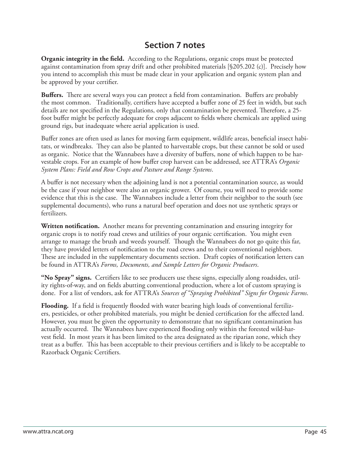#### **Section 7 notes**

**Organic integrity in the field.** According to the Regulations, organic crops must be protected against contamination from spray drift and other prohibited materials [§205.202 (c)]. Precisely how you intend to accomplish this must be made clear in your application and organic system plan and be approved by your certifier.

**Buffers.** There are several ways you can protect a field from contamination. Buffers are probably the most common. Traditionally, certifiers have accepted a buffer zone of 25 feet in width, but such details are not specified in the Regulations, only that contamination be prevented. Therefore, a 25foot buffer might be perfectly adequate for crops adjacent to fields where chemicals are applied using ground rigs, but inadequate where aerial application is used.

Buffer zones are often used as lanes for moving farm equipment, wildlife areas, beneficial insect habitats, or windbreaks. They can also be planted to harvestable crops, but these cannot be sold or used as organic. Notice that the Wannabees have a diversity of buffers, none of which happen to be harvestable crops. For an example of how buffer crop harvest can be addressed, see ATTRA's *Organic System Plans: Field and Row Crops and Pasture and Range Systems*.

A buffer is not necessary when the adjoining land is not a potential contamination source, as would be the case if your neighbor were also an organic grower. Of course, you will need to provide some evidence that this is the case. The Wannabees include a letter from their neighbor to the south (see supplemental documents), who runs a natural beef operation and does not use synthetic sprays or fertilizers.

**Written notification.** Another means for preventing contamination and ensuring integrity for organic crops is to notify road crews and utilities of your organic certification. You might even arrange to manage the brush and weeds yourself. Though the Wannabees do not go quite this far, they have provided letters of notification to the road crews and to their conventional neighbors. These are included in the supplementary documents section. Draft copies of notification letters can be found in ATTRA's *Forms, Documents, and Sample Letters for Organic Producers*.

"No Spray" signs. Certifiers like to see producers use these signs, especially along roadsides, utility rights-of-way, and on fields abutting conventional production, where a lot of custom spraying is done. For a list of vendors, ask for ATTRA's *Sources of "Spraying Prohibited" Signs for Organic Farms*.

**Flooding.** If a field is frequently flooded with water bearing high loads of conventional fertilizers, pesticides, or other prohibited materials, you might be denied certification for the affected land. However, you must be given the opportunity to demonstrate that no significant contamination has actually occurred. The Wannabees have experienced flooding only within the forested wild-harvest field. In most years it has been limited to the area designated as the riparian zone, which they treat as a buffer. This has been acceptable to their previous certifiers and is likely to be acceptable to Razorback Organic Certifiers.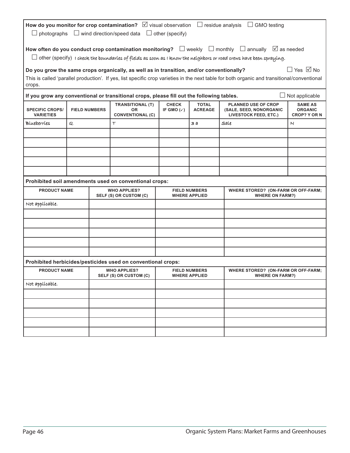| How do you monitor for crop contamination? $\boxtimes$ visual observation $\Box$ residue analysis $\Box$ GMO testing<br>$\Box$ wind direction/speed data $\Box$ other (specify)<br>$\Box$ photographs            |   |  |                                                                                           |                                                                                |                                                         |                                                                                                                                             |                       |
|------------------------------------------------------------------------------------------------------------------------------------------------------------------------------------------------------------------|---|--|-------------------------------------------------------------------------------------------|--------------------------------------------------------------------------------|---------------------------------------------------------|---------------------------------------------------------------------------------------------------------------------------------------------|-----------------------|
|                                                                                                                                                                                                                  |   |  |                                                                                           |                                                                                |                                                         | How often do you conduct crop contamination monitoring? $\Box$ weekly $\Box$ monthly $\Box$ annually $\boxtimes$ as needed                  |                       |
|                                                                                                                                                                                                                  |   |  |                                                                                           |                                                                                |                                                         | $\Box$ other (specify) $\,$ toheck the boundaries of fields as soon as I know the neighbors or road crews have been spraying.               |                       |
|                                                                                                                                                                                                                  |   |  | Do you grow the same crops organically, as well as in transition, and/or conventionally?  |                                                                                |                                                         |                                                                                                                                             | $\Box$ Yes $\Box$ No  |
| crops.                                                                                                                                                                                                           |   |  |                                                                                           |                                                                                |                                                         | This is called 'parallel production'. If yes, list specific crop varieties in the next table for both organic and transitional/conventional |                       |
|                                                                                                                                                                                                                  |   |  | If you grow any conventional or transitional crops, please fill out the following tables. |                                                                                |                                                         |                                                                                                                                             | $\Box$ Not applicable |
| <b>TRANSITIONAL (T)</b><br><b>CHECK</b><br><b>TOTAL</b><br><b>SPECIFIC CROPS/</b><br><b>FIELD NUMBERS</b><br>IF GMO $(\checkmark)$<br><b>ACREAGE</b><br><b>OR</b><br><b>CONVENTIONAL (C)</b><br><b>VARIETIES</b> |   |  |                                                                                           | <b>PLANNED USE OF CROP</b><br>(SALE, SEED, NONORGANIC<br>LIVESTOCK FEED, ETC.) | <b>SAME AS</b><br><b>ORGANIC</b><br><b>CROP? Y OR N</b> |                                                                                                                                             |                       |
| Blueberries                                                                                                                                                                                                      | Q |  | Τ                                                                                         |                                                                                | за                                                      | Sale                                                                                                                                        | N                     |
|                                                                                                                                                                                                                  |   |  |                                                                                           |                                                                                |                                                         |                                                                                                                                             |                       |
|                                                                                                                                                                                                                  |   |  |                                                                                           |                                                                                |                                                         |                                                                                                                                             |                       |
|                                                                                                                                                                                                                  |   |  |                                                                                           |                                                                                |                                                         |                                                                                                                                             |                       |
|                                                                                                                                                                                                                  |   |  |                                                                                           |                                                                                |                                                         |                                                                                                                                             |                       |
|                                                                                                                                                                                                                  |   |  | Prohibited soil amendments used on conventional crops:                                    |                                                                                |                                                         |                                                                                                                                             |                       |
| <b>PRODUCT NAME</b>                                                                                                                                                                                              |   |  | <b>WHO APPLIES?</b>                                                                       |                                                                                | <b>FIELD NUMBERS</b>                                    | <b>WHERE STORED? (ON-FARM OR OFF-FARM;</b>                                                                                                  |                       |
| Not applicable.                                                                                                                                                                                                  |   |  | SELF (S) OR CUSTOM (C)                                                                    |                                                                                | <b>WHERE APPLIED</b>                                    | <b>WHERE ON FARM?)</b>                                                                                                                      |                       |
|                                                                                                                                                                                                                  |   |  |                                                                                           |                                                                                |                                                         |                                                                                                                                             |                       |
|                                                                                                                                                                                                                  |   |  |                                                                                           |                                                                                |                                                         |                                                                                                                                             |                       |
|                                                                                                                                                                                                                  |   |  |                                                                                           |                                                                                |                                                         |                                                                                                                                             |                       |
|                                                                                                                                                                                                                  |   |  |                                                                                           |                                                                                |                                                         |                                                                                                                                             |                       |
|                                                                                                                                                                                                                  |   |  |                                                                                           |                                                                                |                                                         |                                                                                                                                             |                       |
|                                                                                                                                                                                                                  |   |  | Prohibited herbicides/pesticides used on conventional crops:                              |                                                                                |                                                         |                                                                                                                                             |                       |
| <b>PRODUCT NAME</b>                                                                                                                                                                                              |   |  | <b>WHO APPLIES?</b><br><b>SELF (S) OR CUSTOM (C)</b>                                      |                                                                                | <b>FIELD NUMBERS</b><br><b>WHERE APPLIED</b>            | <b>WHERE STORED? (ON-FARM OR OFF-FARM;</b><br><b>WHERE ON FARM?)</b>                                                                        |                       |
| Not applicable.                                                                                                                                                                                                  |   |  |                                                                                           |                                                                                |                                                         |                                                                                                                                             |                       |
|                                                                                                                                                                                                                  |   |  |                                                                                           |                                                                                |                                                         |                                                                                                                                             |                       |
|                                                                                                                                                                                                                  |   |  |                                                                                           |                                                                                |                                                         |                                                                                                                                             |                       |
|                                                                                                                                                                                                                  |   |  |                                                                                           |                                                                                |                                                         |                                                                                                                                             |                       |
|                                                                                                                                                                                                                  |   |  |                                                                                           |                                                                                |                                                         |                                                                                                                                             |                       |
|                                                                                                                                                                                                                  |   |  |                                                                                           |                                                                                |                                                         |                                                                                                                                             |                       |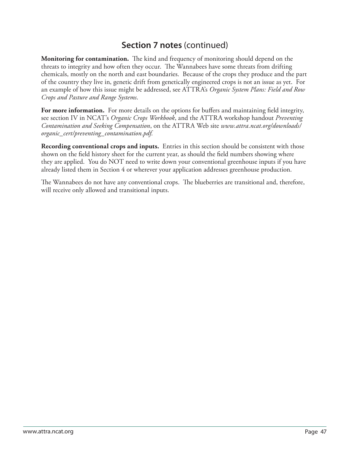**Monitoring for contamination.** The kind and frequency of monitoring should depend on the threats to integrity and how often they occur. The Wannabees have some threats from drifting chemicals, mostly on the north and east boundaries. Because of the crops they produce and the part of the country they live in, genetic drift from genetically engineered crops is not an issue as yet. For an example of how this issue might be addressed, see ATTRA's *Organic System Plans: Field and Row Crops and Pasture and Range Systems*.

For more information. For more details on the options for buffers and maintaining field integrity, see section IV in NCAT's *Organic Crops Workbook*, and the ATTRA workshop handout *Preventing Contamination and Seeking Compensation*, on the ATTRA Web site *www.attra.ncat.org/downloads/ organic\_cert/preventing\_contamination.pdf*.

**Recording conventional crops and inputs.** Entries in this section should be consistent with those shown on the field history sheet for the current year, as should the field numbers showing where they are applied. You do NOT need to write down your conventional greenhouse inputs if you have already listed them in Section 4 or wherever your application addresses greenhouse production.

The Wannabees do not have any conventional crops. The blueberries are transitional and, therefore, will receive only allowed and transitional inputs.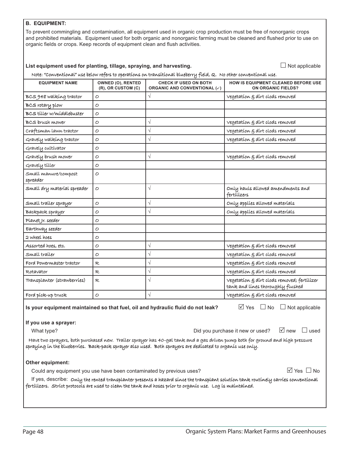#### **B. EQUIPMENT:**

To prevent commingling and contamination, all equipment used in organic crop production must be free of nonorganic crops and prohibited materials. Equipment used for both organic and nonorganic farming must be cleaned and flushed prior to use on organic fields or crops. Keep records of equipment clean and flush activities.

#### List equipment used for planting, tillage, spraying, and harvesting.

 $\Box$  Not applicable

#### Note: "Conventional" use below refers to operations on transitional blueberry field, Q. No other conventional use.

| <b>EQUIPMENT NAME</b>                                                                                                                                                                                                                        | OWNED (O), RENTED<br>(R), OR CUSTOM (C) | <b>CHECK IF USED ON BOTH</b><br><b>ORGANIC AND CONVENTIONAL (√)</b>             | HOW IS EQUIPMENT CLEANED BEFORE USE<br><b>ON ORGANIC FIELDS?</b>                 |  |  |  |  |  |  |  |  |
|----------------------------------------------------------------------------------------------------------------------------------------------------------------------------------------------------------------------------------------------|-----------------------------------------|---------------------------------------------------------------------------------|----------------------------------------------------------------------------------|--|--|--|--|--|--|--|--|
| BCS 948 walking tractor                                                                                                                                                                                                                      | O                                       | $\sqrt{}$                                                                       | Vegetation § dirt clods removed                                                  |  |  |  |  |  |  |  |  |
| BCS rotary plow                                                                                                                                                                                                                              | O                                       |                                                                                 |                                                                                  |  |  |  |  |  |  |  |  |
| BCS tiller w/middlebuster                                                                                                                                                                                                                    | $\circ$                                 |                                                                                 |                                                                                  |  |  |  |  |  |  |  |  |
| BCS brush mower                                                                                                                                                                                                                              | O                                       | $\sqrt{}$                                                                       | Vegetation § dirt clods removed                                                  |  |  |  |  |  |  |  |  |
| Craftsman lawn tractor                                                                                                                                                                                                                       | O                                       | $\sqrt{}$                                                                       | Vegetation $\varepsilon$ dirt clods removed                                      |  |  |  |  |  |  |  |  |
| Gravely walking tractor                                                                                                                                                                                                                      | O                                       | $\sqrt{}$                                                                       | Vegetation § dirt clods removed                                                  |  |  |  |  |  |  |  |  |
| Gravely cultivator                                                                                                                                                                                                                           | $\overline{O}$                          |                                                                                 |                                                                                  |  |  |  |  |  |  |  |  |
| Gravely brush mower                                                                                                                                                                                                                          | 0                                       | $\sqrt{}$                                                                       | vegetation $\varepsilon$ dirt clods removed                                      |  |  |  |  |  |  |  |  |
| Gravely tiller                                                                                                                                                                                                                               | O                                       |                                                                                 |                                                                                  |  |  |  |  |  |  |  |  |
| Small manure/compost<br>spreader                                                                                                                                                                                                             | O                                       |                                                                                 |                                                                                  |  |  |  |  |  |  |  |  |
| Small dry material spreader                                                                                                                                                                                                                  | O                                       | $\sqrt{}$                                                                       | Only hauls allowed amendments and<br>fertílízers                                 |  |  |  |  |  |  |  |  |
| Small trailer sprayer                                                                                                                                                                                                                        | O                                       | $\sqrt{}$                                                                       | Only applies allowed materials                                                   |  |  |  |  |  |  |  |  |
| Backpack sprayer                                                                                                                                                                                                                             | $\circ$                                 | $\sqrt{}$                                                                       | Only applies allowed materials                                                   |  |  |  |  |  |  |  |  |
| Planet Jr. seeder                                                                                                                                                                                                                            | O                                       |                                                                                 |                                                                                  |  |  |  |  |  |  |  |  |
| Earthway seeder                                                                                                                                                                                                                              | $\overline{O}$                          |                                                                                 |                                                                                  |  |  |  |  |  |  |  |  |
| 2 wheel hoes                                                                                                                                                                                                                                 | O                                       |                                                                                 |                                                                                  |  |  |  |  |  |  |  |  |
| Assorted hoes, etc.                                                                                                                                                                                                                          | 0                                       | $\sqrt{}$                                                                       | Vegetation $\varepsilon$ dirt clods removed                                      |  |  |  |  |  |  |  |  |
| Small traíler                                                                                                                                                                                                                                | $\circ$                                 | $\sqrt{2}$                                                                      | vegetation § dirt clods removed                                                  |  |  |  |  |  |  |  |  |
| Ford Powermaster tractor                                                                                                                                                                                                                     | R                                       | $\sqrt{}$                                                                       | vegetation § dirt clods removed                                                  |  |  |  |  |  |  |  |  |
| Rotavator                                                                                                                                                                                                                                    | R                                       | $\sqrt{}$                                                                       | vegetation $\xi$ dirt clods removed                                              |  |  |  |  |  |  |  |  |
| Transplanter (strawberries)                                                                                                                                                                                                                  | R                                       | $\sqrt{2}$                                                                      | Vegetation & dirt clods removed; fertilizer<br>tank and lines thoroughly flushed |  |  |  |  |  |  |  |  |
| Ford píck-up truck                                                                                                                                                                                                                           | 0                                       | $\sqrt{}$                                                                       | vegetation $\xi$ dirt clods removed                                              |  |  |  |  |  |  |  |  |
|                                                                                                                                                                                                                                              |                                         | Is your equipment maintained so that fuel, oil and hydraulic fluid do not leak? | $\overline{\vee}$ Yes $\Box$ No<br>$\Box$ Not applicable                         |  |  |  |  |  |  |  |  |
| If you use a sprayer:                                                                                                                                                                                                                        |                                         |                                                                                 |                                                                                  |  |  |  |  |  |  |  |  |
| What type?                                                                                                                                                                                                                                   |                                         |                                                                                 | $\sqrt{ }$ new<br>$\Box$ used<br>Did you purchase it new or used?                |  |  |  |  |  |  |  |  |
| Have two sprayers, both purchased new. Trailer sprayer has 40-gal tank and a gas driven pump both for ground and high pressure<br>spraying in the blueberries. Back-pack sprayer also used. Both sprayers are dedicated to organic use only. |                                         |                                                                                 |                                                                                  |  |  |  |  |  |  |  |  |

#### **Other equipment:**

Could any equipment you use have been contaminated by previous uses?

 $\overline{\vee}$  Yes  $\Box$  No

If yes, describe: Only the rented transplanter presents a hazard since the transplant solution tank routinely carries conventional fertilizers. Strict protocols are used to clean the tank and hoses prior to organic use. Log is maintained.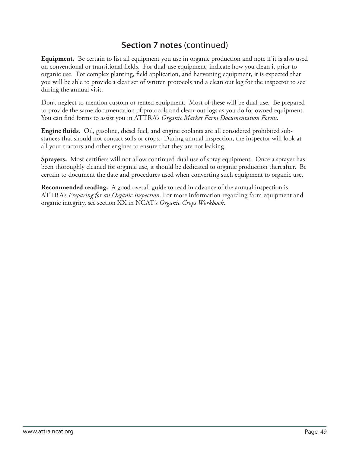**Equipment.** Be certain to list all equipment you use in organic production and note if it is also used on conventional or transitional fields. For dual-use equipment, indicate how you clean it prior to organic use. For complex planting, field application, and harvesting equipment, it is expected that you will be able to provide a clear set of written protocols and a clean out log for the inspector to see during the annual visit.

Don't neglect to mention custom or rented equipment. Most of these will be dual use. Be prepared to provide the same documentation of protocols and clean-out logs as you do for owned equipment. You can find forms to assist you in ATTRA's *Organic Market Farm Documentation Forms*.

**Engine fluids.** Oil, gasoline, diesel fuel, and engine coolants are all considered prohibited substances that should not contact soils or crops. During annual inspection, the inspector will look at all your tractors and other engines to ensure that they are not leaking.

**Sprayers.** Most certifiers will not allow continued dual use of spray equipment. Once a sprayer has been thoroughly cleaned for organic use, it should be dedicated to organic production thereafter. Be certain to document the date and procedures used when converting such equipment to organic use.

**Recommended reading.** A good overall guide to read in advance of the annual inspection is ATTRA's *Preparing for an Organic Inspection*. For more information regarding farm equipment and organic integrity, see section XX in NCAT's *Organic Crops Workbook*.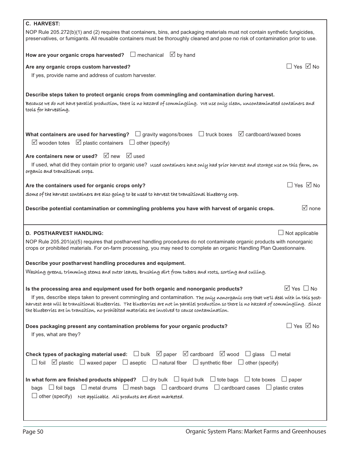| C. HARVEST:                                                                                                                                                                                                                                                                                                                                                                        |
|------------------------------------------------------------------------------------------------------------------------------------------------------------------------------------------------------------------------------------------------------------------------------------------------------------------------------------------------------------------------------------|
| NOP Rule 205.272(b)(1) and (2) requires that containers, bins, and packaging materials must not contain synthetic fungicides,<br>preservatives, or fumigants. All reusable containers must be thoroughly cleaned and pose no risk of contamination prior to use.                                                                                                                   |
| $\Box$ mechanical $\Box$ by hand<br>How are your organic crops harvested?                                                                                                                                                                                                                                                                                                          |
| $\Box$ Yes $\boxdot$ No<br>Are any organic crops custom harvested?                                                                                                                                                                                                                                                                                                                 |
| If yes, provide name and address of custom harvester.                                                                                                                                                                                                                                                                                                                              |
| Describe steps taken to protect organic crops from commingling and contamination during harvest.<br>Because we do not have parallel production, there is no hazard of commingling. We use only clean, uncontaminated containers and<br>tools for harvesting.                                                                                                                       |
| What containers are used for harvesting? $\Box$ gravity wagons/boxes $\Box$ truck boxes $\Box$ cardboard/waxed boxes<br>$\boxtimes$ plastic containers $\Box$ other (specify)<br>$\vee$ wooden totes                                                                                                                                                                               |
| Are containers new or used? Ø new Ø used                                                                                                                                                                                                                                                                                                                                           |
| If used, what did they contain prior to organic use? used containers have only had prior harvest and storage use on this farm, on<br>organic and transitional crops.                                                                                                                                                                                                               |
| $\Box$ Yes $\Box$ No<br>Are the containers used for organic crops only?                                                                                                                                                                                                                                                                                                            |
| Some of the harvest containers are also going to be used to harvest the transitional blueberry crop.                                                                                                                                                                                                                                                                               |
| $\sqrt{ }$ none<br>Describe potential contamination or commingling problems you have with harvest of organic crops.                                                                                                                                                                                                                                                                |
|                                                                                                                                                                                                                                                                                                                                                                                    |
| $\Box$ Not applicable<br><b>D. POSTHARVEST HANDLING:</b>                                                                                                                                                                                                                                                                                                                           |
| NOP Rule 205.201(a)(5) requires that postharvest handling procedures do not contaminate organic products with nonorganic<br>crops or prohibited materials. For on-farm processing, you may need to complete an organic Handling Plan Questionnaire.                                                                                                                                |
|                                                                                                                                                                                                                                                                                                                                                                                    |
| Describe your postharvest handling procedures and equipment.<br>Washing greens, trimming stems and outer leaves, brushing dirt from tubers and roots, sorting and culling.                                                                                                                                                                                                         |
|                                                                                                                                                                                                                                                                                                                                                                                    |
| $\boxtimes$ Yes $\Box$ No<br>Is the processing area and equipment used for both organic and nonorganic products?                                                                                                                                                                                                                                                                   |
| If yes, describe steps taken to prevent commingling and contamination. The only nonorganic crop that we'll deal with in this post-<br>harvest area will be transitional blueberries. The blueberries are not in parallel production so there is no hazard of commingling. Since<br>the blueberries are in transition, no prohibited materials are involved to cause contamination. |
| $\Box$ Yes $\Box$ No<br>Does packaging present any contamination problems for your organic products?<br>If yes, what are they?                                                                                                                                                                                                                                                     |
| <b>Check types of packaging material used:</b> $\Box$ bulk $\Box$ paper $\Box$ cardboard $\Box$ wood $\Box$ glass $\Box$ metal<br>$\Box$ foil $\Box$ plastic $\Box$ waxed paper $\Box$ aseptic $\Box$ natural fiber $\Box$ synthetic fiber $\Box$ other (specify)                                                                                                                  |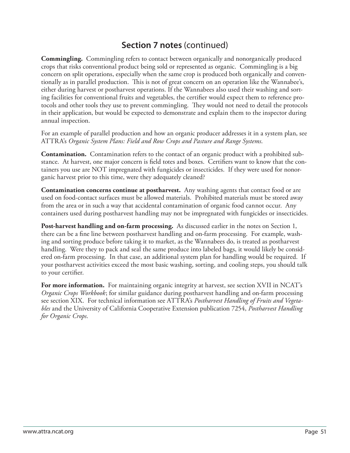**Commingling.** Commingling refers to contact between organically and nonorganically produced crops that risks conventional product being sold or represented as organic. Commingling is a big concern on split operations, especially when the same crop is produced both organically and conventionally as in parallel production. This is not of great concern on an operation like the Wannabee's, either during harvest or postharvest operations. If the Wannabees also used their washing and sorting facilities for conventional fruits and vegetables, the certifier would expect them to reference protocols and other tools they use to prevent commingling. They would not need to detail the protocols in their application, but would be expected to demonstrate and explain them to the inspector during annual inspection.

For an example of parallel production and how an organic producer addresses it in a system plan, see ATTRA's *Organic System Plans: Field and Row Crops and Pasture and Range Systems*.

**Contamination.** Contamination refers to the contact of an organic product with a prohibited substance. At harvest, one major concern is field totes and boxes. Certifiers want to know that the containers you use are NOT impregnated with fungicides or insecticides. If they were used for nonorganic harvest prior to this time, were they adequately cleaned?

**Contamination concerns continue at postharvest.** Any washing agents that contact food or are used on food-contact surfaces must be allowed materials. Prohibited materials must be stored away from the area or in such a way that accidental contamination of organic food cannot occur. Any containers used during postharvest handling may not be impregnated with fungicides or insecticides.

**Post-harvest handling and on-farm processing.** As discussed earlier in the notes on Section 1, there can be a fine line between postharvest handling and on-farm processing. For example, washing and sorting produce before taking it to market, as the Wannabees do, is treated as postharvest handling. Were they to pack and seal the same produce into labeled bags, it would likely be considered on-farm processing. In that case, an additional system plan for handling would be required. If your postharvest activities exceed the most basic washing, sorting, and cooling steps, you should talk to your certifier.

For more information. For maintaining organic integrity at harvest, see section XVII in NCAT's *Organic Crops Workbook*; for similar guidance during postharvest handling and on-farm processing see section XIX. For technical information see ATTRA's *Postharvest Handling of Fruits and Vegetables* and the University of California Cooperative Extension publication 7254, *Postharvest Handling for Organic Crops*.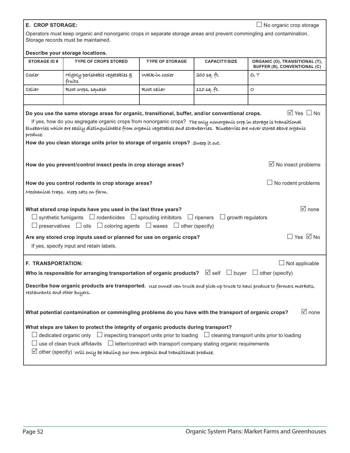#### **E. CROP STORAGE:** -

 $\Box$  No organic crop storage

Operators must keep organic and nonorganic crops in separate storage areas and prevent commingling and contamination. Storage records must be maintained.

#### **Describe your storage locations.**

|                                                                                                                          | Describe your storage locations.                                                                                                                                                                                                                                                                                                                                                                                                   |                        |                          |                                                                       |  |  |  |  |  |
|--------------------------------------------------------------------------------------------------------------------------|------------------------------------------------------------------------------------------------------------------------------------------------------------------------------------------------------------------------------------------------------------------------------------------------------------------------------------------------------------------------------------------------------------------------------------|------------------------|--------------------------|-----------------------------------------------------------------------|--|--|--|--|--|
| <b>STORAGE ID#</b>                                                                                                       | <b>TYPE OF CROPS STORED</b>                                                                                                                                                                                                                                                                                                                                                                                                        | <b>TYPE OF STORAGE</b> | <b>CAPACITY/SIZE</b>     | ORGANIC (O), TRANSITIONAL (T),<br><b>BUFFER (B), CONVENTIONAL (C)</b> |  |  |  |  |  |
| Cooler                                                                                                                   | Highly perishable vegetables §<br>fruits                                                                                                                                                                                                                                                                                                                                                                                           | Walk-ín cooler         | 200 sq. ft.              | O, T                                                                  |  |  |  |  |  |
| Cellar                                                                                                                   | Root crops, squash                                                                                                                                                                                                                                                                                                                                                                                                                 | Root cellar            | 110 sq. ft.              | $\circ$                                                               |  |  |  |  |  |
|                                                                                                                          |                                                                                                                                                                                                                                                                                                                                                                                                                                    |                        |                          |                                                                       |  |  |  |  |  |
|                                                                                                                          | Do you use the same storage areas for organic, transitional, buffer, and/or conventional crops.                                                                                                                                                                                                                                                                                                                                    |                        |                          | $\overline{\vee}$ Yes $\Box$ No                                       |  |  |  |  |  |
| produce.                                                                                                                 | If yes, how do you segregate organic crops from nonorganic crops? The only nonorganic crop in storage is transitional<br>blueberries which are easily distinguishable from organic vegetables and strawberries. Blueberries are never stored above organic                                                                                                                                                                         |                        |                          |                                                                       |  |  |  |  |  |
|                                                                                                                          | How do you clean storage units prior to storage of organic crops? Sweep it out.                                                                                                                                                                                                                                                                                                                                                    |                        |                          |                                                                       |  |  |  |  |  |
|                                                                                                                          |                                                                                                                                                                                                                                                                                                                                                                                                                                    |                        |                          |                                                                       |  |  |  |  |  |
|                                                                                                                          | How do you prevent/control insect pests in crop storage areas?                                                                                                                                                                                                                                                                                                                                                                     |                        |                          | $\boxtimes$ No insect problems                                        |  |  |  |  |  |
|                                                                                                                          |                                                                                                                                                                                                                                                                                                                                                                                                                                    |                        |                          |                                                                       |  |  |  |  |  |
|                                                                                                                          | How do you control rodents in crop storage areas?                                                                                                                                                                                                                                                                                                                                                                                  |                        |                          | $\Box$ No rodent problems                                             |  |  |  |  |  |
|                                                                                                                          | Mechanical traps. Keep cats on farm.                                                                                                                                                                                                                                                                                                                                                                                               |                        |                          |                                                                       |  |  |  |  |  |
|                                                                                                                          | What stored crop inputs have you used in the last three years?                                                                                                                                                                                                                                                                                                                                                                     |                        |                          | $\boxdot$ none                                                        |  |  |  |  |  |
|                                                                                                                          | $\Box$ synthetic fumigants $\Box$ rodenticides $\Box$ sprouting inhibitors $\Box$ ripeners                                                                                                                                                                                                                                                                                                                                         |                        | $\Box$ growth regulators |                                                                       |  |  |  |  |  |
|                                                                                                                          | $\Box$ preservatives $\Box$ oils $\Box$ coloring agents $\Box$ waxes $\Box$ other (specify)                                                                                                                                                                                                                                                                                                                                        |                        |                          |                                                                       |  |  |  |  |  |
|                                                                                                                          | Are any stored crop inputs used or planned for use on organic crops?                                                                                                                                                                                                                                                                                                                                                               |                        |                          | $\Box$ Yes $\Box$ No                                                  |  |  |  |  |  |
|                                                                                                                          | If yes, specify input and retain labels.                                                                                                                                                                                                                                                                                                                                                                                           |                        |                          |                                                                       |  |  |  |  |  |
| <b>F. TRANSPORTATION:</b>                                                                                                |                                                                                                                                                                                                                                                                                                                                                                                                                                    |                        |                          | $\Box$ Not applicable                                                 |  |  |  |  |  |
|                                                                                                                          |                                                                                                                                                                                                                                                                                                                                                                                                                                    |                        |                          |                                                                       |  |  |  |  |  |
|                                                                                                                          | Who is responsible for arranging transportation of organic products? $\Box$ self $\Box$ buyer $\Box$ other (specify)                                                                                                                                                                                                                                                                                                               |                        |                          |                                                                       |  |  |  |  |  |
| restaurants and other buyers.                                                                                            | Describe how organic products are transported. Use owned van truck and pick-up truck to haul produce to farmers markets,                                                                                                                                                                                                                                                                                                           |                        |                          |                                                                       |  |  |  |  |  |
| $\sqrt{2}$ none<br>What potential contamination or commingling problems do you have with the transport of organic crops? |                                                                                                                                                                                                                                                                                                                                                                                                                                    |                        |                          |                                                                       |  |  |  |  |  |
|                                                                                                                          | What steps are taken to protect the integrity of organic products during transport?<br>$\Box$ dedicated organic only $\Box$ inspecting transport units prior to loading $\Box$ cleaning transport units prior to loading<br>use of clean truck affidavits $\Box$ letter/contract with transport company stating organic requirements<br>$\boxtimes$ other (specify) will only be hauling our own organic and transitional produce. |                        |                          |                                                                       |  |  |  |  |  |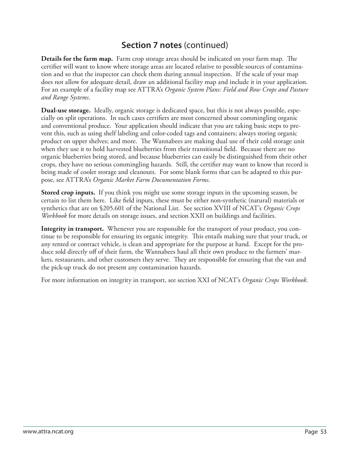**Details for the farm map.** Farm crop storage areas should be indicated on your farm map. The certifier will want to know where storage areas are located relative to possible sources of contamination and so that the inspector can check them during annual inspection. If the scale of your map does not allow for adequate detail, draw an additional facility map and include it in your application. For an example of a facility map see ATTRA's *Organic System Plans: Field and Row Crops and Pasture and Range Systems*.

**Dual-use storage.** Ideally, organic storage is dedicated space, but this is not always possible, especially on split operations. In such cases certifiers are most concerned about commingling organic and conventional produce. Your application should indicate that you are taking basic steps to prevent this, such as using shelf labeling and color-coded tags and containers; always storing organic product on upper shelves; and more. The Wannabees are making dual use of their cold storage unit when they use it to hold harvested blueberries from their transitional field. Because there are no organic blueberries being stored, and because blueberries can easily be distinguished from their other crops, they have no serious commingling hazards. Still, the certifier may want to know that record is being made of cooler storage and cleanouts. For some blank forms that can be adapted to this purpose, see ATTRA's *Organic Market Farm Documentation Forms*.

**Stored crop inputs.** If you think you might use some storage inputs in the upcoming season, be certain to list them here. Like field inputs, these must be either non-synthetic (natural) materials or synthetics that are on §205.601 of the National List. See section XVIII of NCAT's *Organic Crops Workbook* for more details on storage issues, and section XXII on buildings and facilities.

**Integrity in transport.** Whenever you are responsible for the transport of your product, you continue to be responsible for ensuring its organic integrity. This entails making sure that your truck, or any rented or contract vehicle, is clean and appropriate for the purpose at hand. Except for the produce sold directly off of their farm, the Wannabees haul all their own produce to the farmers' markets, restaurants, and other customers they serve. They are responsible for ensuring that the van and the pick-up truck do not present any contamination hazards.

For more information on integrity in transport, see section XXI of NCAT's *Organic Crops Workbook*.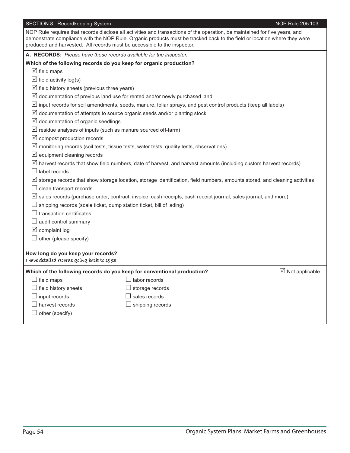| SECTION 8: Recordkeeping System |  |
|---------------------------------|--|
|                                 |  |

| NOP Rule requires that records disclose all activities and transactions of the operation, be maintained for five years, and<br>demonstrate compliance with the NOP Rule. Organic products must be tracked back to the field or location where they were<br>produced and harvested. All records must be accessible to the inspector. |  |
|-------------------------------------------------------------------------------------------------------------------------------------------------------------------------------------------------------------------------------------------------------------------------------------------------------------------------------------|--|
| A. RECORDS: Please have these records available for the inspector.                                                                                                                                                                                                                                                                  |  |
| Which of the following records do you keep for organic production?                                                                                                                                                                                                                                                                  |  |
| $\boxtimes$ field maps                                                                                                                                                                                                                                                                                                              |  |
| $\triangledown$ field activity log(s)                                                                                                                                                                                                                                                                                               |  |
| $\triangledown$ field history sheets (previous three years)                                                                                                                                                                                                                                                                         |  |
| $\boxtimes$ documentation of previous land use for rented and/or newly purchased land                                                                                                                                                                                                                                               |  |
| $\triangledown$ input records for soil amendments, seeds, manure, foliar sprays, and pest control products (keep all labels)                                                                                                                                                                                                        |  |
| $\triangledown$ documentation of attempts to source organic seeds and/or planting stock                                                                                                                                                                                                                                             |  |
| $\triangledown$ documentation of organic seedlings                                                                                                                                                                                                                                                                                  |  |
| $\triangledown$ residue analyses of inputs (such as manure sourced off-farm)                                                                                                                                                                                                                                                        |  |
| $\boxtimes$ compost production records                                                                                                                                                                                                                                                                                              |  |
| $\mathbb Z$ monitoring records (soil tests, tissue tests, water tests, quality tests, observations)                                                                                                                                                                                                                                 |  |
| $\boxtimes$ equipment cleaning records                                                                                                                                                                                                                                                                                              |  |
| $\boxtimes$ harvest records that show field numbers, date of harvest, and harvest amounts (including custom harvest records)                                                                                                                                                                                                        |  |
| $\Box$ label records                                                                                                                                                                                                                                                                                                                |  |
| $\triangledown$ storage records that show storage location, storage identification, field numbers, amounts stored, and cleaning activities                                                                                                                                                                                          |  |
| $\Box$ clean transport records                                                                                                                                                                                                                                                                                                      |  |
| $\triangledown$ sales records (purchase order, contract, invoice, cash receipts, cash receipt journal, sales journal, and more)                                                                                                                                                                                                     |  |
| $\Box$ shipping records (scale ticket, dump station ticket, bill of lading)                                                                                                                                                                                                                                                         |  |
| $\Box$ transaction certificates                                                                                                                                                                                                                                                                                                     |  |
| $\Box$ audit control summary                                                                                                                                                                                                                                                                                                        |  |
| $\boxtimes$ complaint log                                                                                                                                                                                                                                                                                                           |  |
| $\Box$ other (please specify)                                                                                                                                                                                                                                                                                                       |  |
| How long do you keep your records?<br>I have detailed records going back to 1993.                                                                                                                                                                                                                                                   |  |
| $\boxtimes$ Not applicable<br>Which of the following records do you keep for conventional production?                                                                                                                                                                                                                               |  |
| $\Box$ field maps<br>labor records                                                                                                                                                                                                                                                                                                  |  |
| $\Box$ field history sheets<br>$\Box$ storage records                                                                                                                                                                                                                                                                               |  |
| $\exists$ sales records<br>$\Box$ input records                                                                                                                                                                                                                                                                                     |  |
| $\Box$ harvest records<br>$\Box$ shipping records                                                                                                                                                                                                                                                                                   |  |
| $\Box$ other (specify)                                                                                                                                                                                                                                                                                                              |  |
|                                                                                                                                                                                                                                                                                                                                     |  |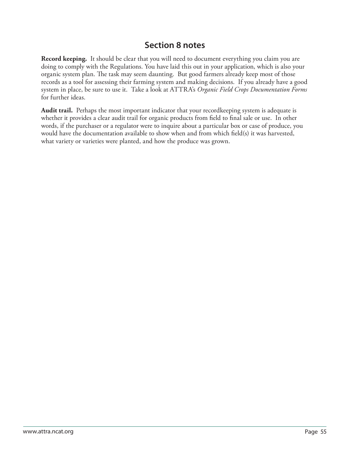#### **Section 8 notes**

**Record keeping.** It should be clear that you will need to document everything you claim you are doing to comply with the Regulations. You have laid this out in your application, which is also your organic system plan. The task may seem daunting. But good farmers already keep most of those records as a tool for assessing their farming system and making decisions. If you already have a good system in place, be sure to use it. Take a look at ATTRA's *Organic Field Crops Documentation Forms* for further ideas.

**Audit trail.** Perhaps the most important indicator that your recordkeeping system is adequate is whether it provides a clear audit trail for organic products from field to final sale or use. In other words, if the purchaser or a regulator were to inquire about a particular box or case of produce, you would have the documentation available to show when and from which field(s) it was harvested, what variety or varieties were planted, and how the produce was grown.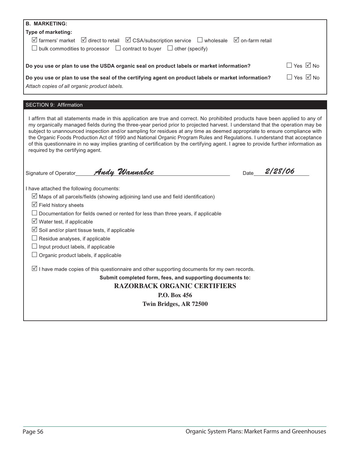| <b>B. MARKETING:</b>                                                                                                                                                                                                                                        |                       |                      |
|-------------------------------------------------------------------------------------------------------------------------------------------------------------------------------------------------------------------------------------------------------------|-----------------------|----------------------|
| Type of marketing:                                                                                                                                                                                                                                          |                       |                      |
| $\boxtimes$ farmers' market $\boxtimes$ direct to retail $\boxtimes$ CSA/subscription service $\Box$ wholesale                                                                                                                                              | $\Box$ on-farm retail |                      |
| $\Box$ bulk commodities to processor $\Box$ contract to buyer $\Box$ other (specify)                                                                                                                                                                        |                       |                      |
|                                                                                                                                                                                                                                                             |                       |                      |
| Do you use or plan to use the USDA organic seal on product labels or market information?                                                                                                                                                                    |                       | $\Box$ Yes $\Box$ No |
| Do you use or plan to use the seal of the certifying agent on product labels or market information?                                                                                                                                                         |                       | □ Yes ☑ No           |
| Attach copies of all organic product labels.                                                                                                                                                                                                                |                       |                      |
|                                                                                                                                                                                                                                                             |                       |                      |
| SECTION 9: Affirmation                                                                                                                                                                                                                                      |                       |                      |
|                                                                                                                                                                                                                                                             |                       |                      |
| I affirm that all statements made in this application are true and correct. No prohibited products have been applied to any of                                                                                                                              |                       |                      |
| my organically managed fields during the three-year period prior to projected harvest. I understand that the operation may be<br>subject to unannounced inspection and/or sampling for residues at any time as deemed appropriate to ensure compliance with |                       |                      |
| the Organic Foods Production Act of 1990 and National Organic Program Rules and Regulations. I understand that acceptance                                                                                                                                   |                       |                      |
| of this questionnaire in no way implies granting of certification by the certifying agent. I agree to provide further information as                                                                                                                        |                       |                      |
| required by the certifying agent.                                                                                                                                                                                                                           |                       |                      |
|                                                                                                                                                                                                                                                             |                       |                      |
| Andy Wannabee<br>Signature of Operator                                                                                                                                                                                                                      | Date                  | 2/28/06              |
|                                                                                                                                                                                                                                                             |                       |                      |
| I have attached the following documents:                                                                                                                                                                                                                    |                       |                      |
| $\triangledown$ Maps of all parcels/fields (showing adjoining land use and field identification)                                                                                                                                                            |                       |                      |
| $\boxtimes$ Field history sheets                                                                                                                                                                                                                            |                       |                      |
| $\Box$ Documentation for fields owned or rented for less than three years, if applicable                                                                                                                                                                    |                       |                      |
| $\triangledown$ Water test, if applicable                                                                                                                                                                                                                   |                       |                      |
| $\boxtimes$ Soil and/or plant tissue tests, if applicable                                                                                                                                                                                                   |                       |                      |
| $\Box$ Residue analyses, if applicable                                                                                                                                                                                                                      |                       |                      |
| $\Box$ Input product labels, if applicable                                                                                                                                                                                                                  |                       |                      |
| $\Box$ Organic product labels, if applicable                                                                                                                                                                                                                |                       |                      |
| $\Box$ I have made copies of this questionnaire and other supporting documents for my own records.                                                                                                                                                          |                       |                      |
| Submit completed form, fees, and supporting documents to:                                                                                                                                                                                                   |                       |                      |
| <b>RAZORBACK ORGANIC CERTIFIERS</b>                                                                                                                                                                                                                         |                       |                      |
| P.O. Box 456                                                                                                                                                                                                                                                |                       |                      |
| Twin Bridges, AR 72500                                                                                                                                                                                                                                      |                       |                      |
|                                                                                                                                                                                                                                                             |                       |                      |
|                                                                                                                                                                                                                                                             |                       |                      |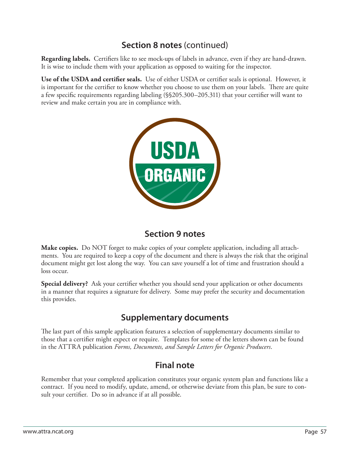**Regarding labels.** Certifiers like to see mock-ups of labels in advance, even if they are hand-drawn. It is wise to include them with your application as opposed to waiting for the inspector.

**Use of the USDA and certifier seals.** Use of either USDA or certifier seals is optional. However, it is important for the certifier to know whether you choose to use them on your labels. There are quite a few specific requirements regarding labeling (\$\$205.300–205.311) that your certifier will want to review and make certain you are in compliance with.



# **Section 9 notes**

**Make copies.** Do NOT forget to make copies of your complete application, including all attachments. You are required to keep a copy of the document and there is always the risk that the original document might get lost along the way. You can save yourself a lot of time and frustration should a loss occur.

**Special delivery?** Ask your certifier whether you should send your application or other documents in a manner that requires a signature for delivery. Some may prefer the security and documentation this provides.

# **Supplementary documents**

The last part of this sample application features a selection of supplementary documents similar to those that a certifier might expect or require. Templates for some of the letters shown can be found in the ATTRA publication *Forms, Documents, and Sample Letters for Organic Producers*.

# **Final note**

Remember that your completed application constitutes your organic system plan and functions like a contract. If you need to modify, update, amend, or otherwise deviate from this plan, be sure to consult your certifier. Do so in advance if at all possible.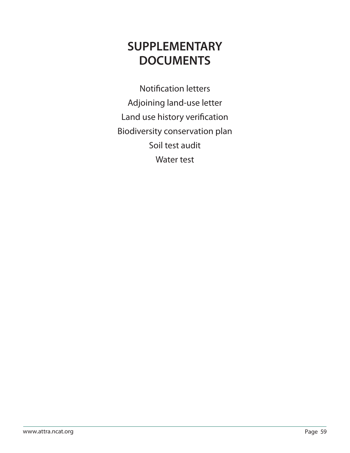# **SUPPLEMENTARY DOCUMENTS**

**Notification letters** Adjoining land-use letter Land use history verification Biodiversity conservation plan Soil test audit Water test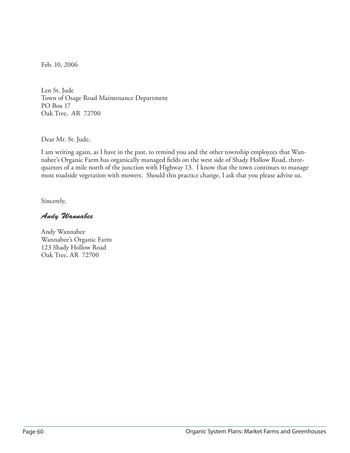Feb. 10, 2006

Len St. Jude Town of Osage Road Maintenance Department PO Box 17 Oak Tree, AR 72700

Dear Mr. St. Jude,

I am writing again, as I have in the past, to remind you and the other township employees that Wannabee's Organic Farm has organically managed fields on the west side of Shady Hollow Road, threequarters of a mile north of the junction with Highway 13. I know that the town continues to manage most roadside vegetation with mowers. Should this practice change, I ask that you please advise us.

Sincerely,

#### Andy Wannabee

Andy Wannabee Wannabee's Organic Farm 123 Shady Hollow Road Oak Tree, AR 72700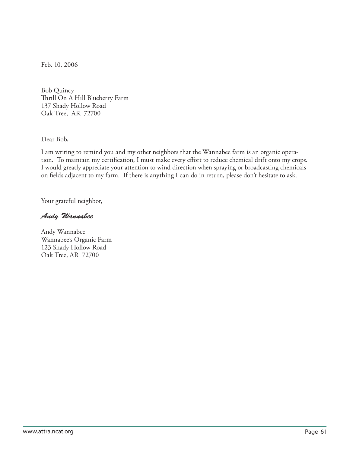Feb. 10, 2006

Bob Quincy Thrill On A Hill Blueberry Farm 137 Shady Hollow Road Oak Tree, AR 72700

Dear Bob,

I am writing to remind you and my other neighbors that the Wannabee farm is an organic operation. To maintain my certification, I must make every effort to reduce chemical drift onto my crops. I would greatly appreciate your attention to wind direction when spraying or broadcasting chemicals on fields adjacent to my farm. If there is anything I can do in return, please don't hesitate to ask.

Your grateful neighbor,

#### Andy Wannabee

Andy Wannabee Wannabee's Organic Farm 123 Shady Hollow Road Oak Tree, AR 72700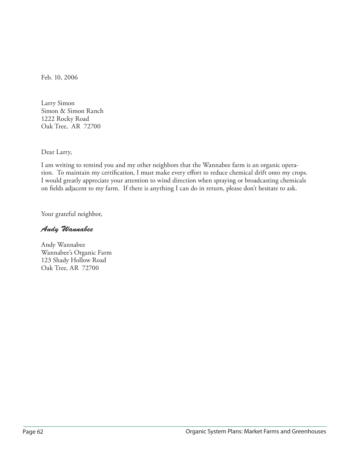Feb. 10, 2006

Larry Simon Simon & Simon Ranch 1222 Rocky Road Oak Tree, AR 72700

Dear Larry,

I am writing to remind you and my other neighbors that the Wannabee farm is an organic operation. To maintain my certification, I must make every effort to reduce chemical drift onto my crops. I would greatly appreciate your attention to wind direction when spraying or broadcasting chemicals on fields adjacent to my farm. If there is anything I can do in return, please don't hesitate to ask.

Your grateful neighbor,

Andy Wannabee

Andy Wannabee Wannabee's Organic Farm 123 Shady Hollow Road Oak Tree, AR 72700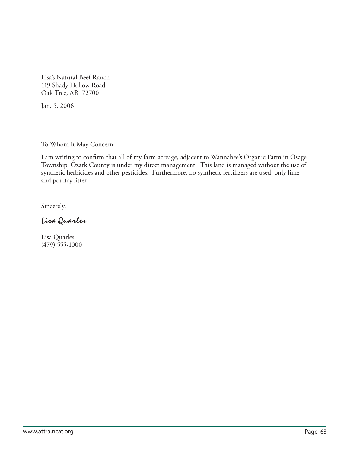Lisa's Natural Beef Ranch 119 Shady Hollow Road Oak Tree, AR 72700

Jan. 5, 2006

To Whom It May Concern:

I am writing to confirm that all of my farm acreage, adjacent to Wannabee's Organic Farm in Osage Township, Ozark County is under my direct management. This land is managed without the use of synthetic herbicides and other pesticides. Furthermore, no synthetic fertilizers are used, only lime and poultry litter.

Sincerely,

Lisa Quarles

Lisa Quarles (479) 555-1000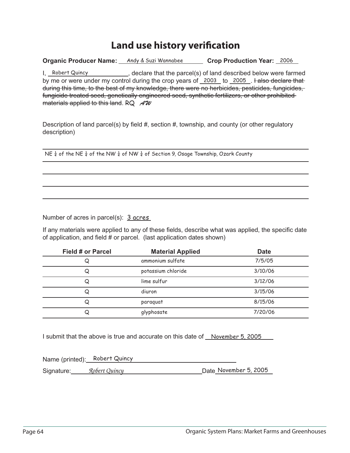# **Land use history verification**

**Organic Producer Name:** Andy & Suzi Wannabee **Crop Production Year:** 2006

I, Robert Quincy Summer Collector (S) of land described below were farmed by me or were under my control during the crop years of \_2003\_ to \_2005\_. Halso declare that during this time, to the best of my knowledge, there were no herbicides, pesticides, fungicides, fungicide treated seed, genetically engineered seed, synthetic fertilizers, or other prohibited materials applied to this land.  $RQ$   $A^2W$ 

Description of land parcel(s) by field #, section #, township, and county (or other regulatory description)

NE  $\frac{1}{4}$  of the NE  $\frac{1}{4}$  of the NW  $\frac{1}{4}$  of  $\frac{1}{4}$  of Section 9, Osage Township, Ozark County

Number of acres in parcel(s): 3 acres

If any materials were applied to any of these fields, describe what was applied, the specific date of application, and field  $#$  or parcel. (last application dates shown)

| <b>Field # or Parcel</b> | <b>Material Applied</b> | <b>Date</b> |
|--------------------------|-------------------------|-------------|
| Q                        | ammonium sulfate        | 7/5/05      |
| Q                        | potassium chloride      | 3/10/06     |
| Q                        | lime sulfur             | 3/12/06     |
| Q                        | diuron                  | 3/15/06     |
| Q                        | paraquat                | 8/15/06     |
| Q                        | glyphosate              | 7/20/06     |

I submit that the above is true and accurate on this date of \_November 5, 2005

Name (printed): Robert Quincy Signature: All **Robert Quincy Contract Contract Contract Contract Contract Contract Contract Contract Contract Co**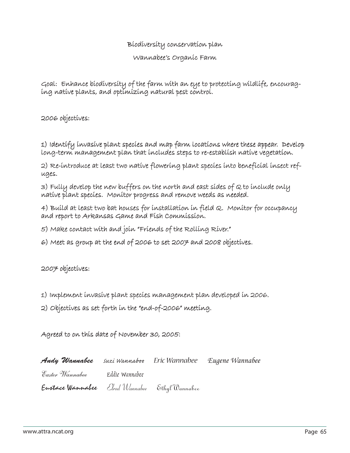#### Biodiversity conservation plan

Wannabee's Organic Farm

Goal: Enhance biodiversity of the farm with an eye to protecting wildlife, encouraging native plants, and optimizing natural pest control.

2006 objectives:

1) Identify invasive plant species and map farm locations where these appear. Develop long-term management plan that includes steps to re-establish native vegetation.

2) Re-introduce at least two native flowering plant species into beneficial insect refuges.

 $3)$  Fully develop the new buffers on the north and east sides of  $\alpha$  to include only native plant species. Monitor progress and remove weeds as needed.

4) Build at least two bat houses for installation in field Q. Monitor for occupancy and report to Arkansas Game and Fish Commission.

5) Make contact with and join "Friends of the Rolling River." )

6) Meet as group at the end of 2006 to set 2007 and 2008 objectives.

 $2007$  objectives:

1) Implement invasive plant species management plan developed in 2006.

 $2)$  Objectives as set forth in the "end-of-2006" meeting.

Agreed to on this date of November 30, 2005:

| Andy Wannabee Suzi Wannabee Eric Wannabee Eugene Wannabee |  |  |
|-----------------------------------------------------------|--|--|
| Easter Wannabee       Eddie Wannabee                      |  |  |
| Eustace Wannabee Elrod Wannabee Ethyl Wannabee            |  |  |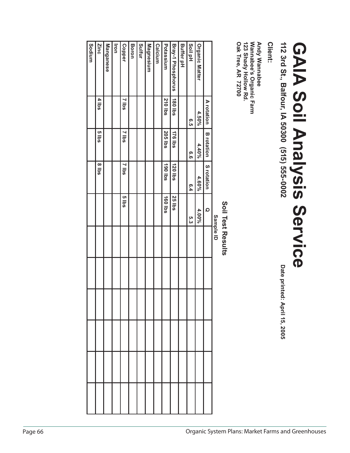|         | Sodium | Zinc              | Manganese | lron | <b>Copper</b> | Boron | Sulfur | Magnesium | Calcium | Potassium      | Bray-1 Phosphorus | <b>Buffer pH</b> | Soil pH | <b>Organic Matter</b> |                   |           |                   | <b>Wannabee's Organic Farm</b><br>123 Shady Hollow Rd.<br><b>Andy Wannabee</b><br><b>Oak Tree, AR 72700</b> | Client: | 112 3rd St., Balfour, IA 50300 (515) 555-0002 | <b>GAIA Soil Analysis Service</b> |  |
|---------|--------|-------------------|-----------|------|---------------|-------|--------|-----------|---------|----------------|-------------------|------------------|---------|-----------------------|-------------------|-----------|-------------------|-------------------------------------------------------------------------------------------------------------|---------|-----------------------------------------------|-----------------------------------|--|
|         |        | 4 lbs             |           |      | ⊣<br>sq       |       |        |           |         | <b>210 lbs</b> | 180 lbs           |                  | G.5     | 4.50%                 | A rotation        |           |                   |                                                                                                             |         |                                               |                                   |  |
|         |        | sq <sub>l</sub> s |           |      | <b>z</b> lbs  |       |        |           |         | <b>205 lbs</b> | 176 lbs           |                  | 9.9     | $4.40\%$              | <b>B</b> rotation |           |                   |                                                                                                             |         |                                               |                                   |  |
|         |        | sq <sub>l</sub> 8 |           |      | sql 2         |       |        |           |         | <b>190 lbs</b> | 120 lbs           |                  | 6.4     | 4.60%                 | S rotation        |           |                   |                                                                                                             |         |                                               |                                   |  |
|         |        |                   |           |      | sql 9         |       |        |           |         | 160 lbs        | <b>25 lbs</b>     |                  | 5.3     | $4.00\%$              | $\mathbf{\Omega}$ |           |                   |                                                                                                             |         |                                               |                                   |  |
|         |        |                   |           |      |               |       |        |           |         |                |                   |                  |         |                       |                   | Sample ID | Soil Test Results |                                                                                                             |         |                                               |                                   |  |
|         |        |                   |           |      |               |       |        |           |         |                |                   |                  |         |                       |                   |           |                   |                                                                                                             |         |                                               |                                   |  |
|         |        |                   |           |      |               |       |        |           |         |                |                   |                  |         |                       |                   |           |                   |                                                                                                             |         | Date printed: April 15, 2005                  |                                   |  |
|         |        |                   |           |      |               |       |        |           |         |                |                   |                  |         |                       |                   |           |                   |                                                                                                             |         |                                               |                                   |  |
|         |        |                   |           |      |               |       |        |           |         |                |                   |                  |         |                       |                   |           |                   |                                                                                                             |         |                                               |                                   |  |
|         |        |                   |           |      |               |       |        |           |         |                |                   |                  |         |                       |                   |           |                   |                                                                                                             |         |                                               |                                   |  |
| Page 66 |        |                   |           |      |               |       |        |           |         |                |                   |                  |         |                       |                   |           |                   | Organic System Plans: Market Farms and Greenhouses                                                          |         |                                               |                                   |  |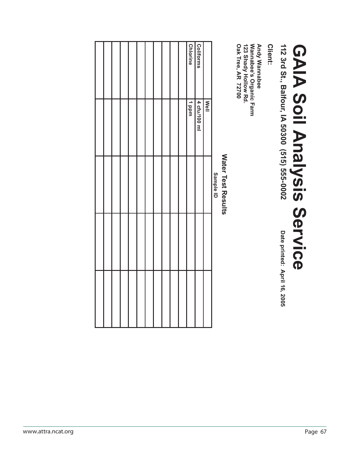|                    |  |  |  |  |  | <b>Chlorine</b> | Coliforms    |             |           |                           | <b>Wannabee's Organic Farm</b><br><b>Andy Wannabee</b><br><b>Oak Tree, AR 72700</b><br>123 Shady Hollow Rd.<br>Client: |                                               |                                   |
|--------------------|--|--|--|--|--|-----------------|--------------|-------------|-----------|---------------------------|------------------------------------------------------------------------------------------------------------------------|-----------------------------------------------|-----------------------------------|
|                    |  |  |  |  |  | undd 1          | 4 cfu/100 ml | <b>Mell</b> |           |                           |                                                                                                                        | 112 3rd St., Balfour, IA 50300 (515) 555-0002 |                                   |
|                    |  |  |  |  |  |                 |              |             | Sample ID | <b>Water Test Results</b> |                                                                                                                        |                                               | <b>GAIA Soil Analysis Service</b> |
|                    |  |  |  |  |  |                 |              |             |           |                           |                                                                                                                        |                                               |                                   |
|                    |  |  |  |  |  |                 |              |             |           |                           |                                                                                                                        | Date printed: April 16, 2005                  |                                   |
|                    |  |  |  |  |  |                 |              |             |           |                           |                                                                                                                        |                                               |                                   |
| www.attra.ncat.org |  |  |  |  |  |                 |              |             |           |                           |                                                                                                                        |                                               | Page 67                           |